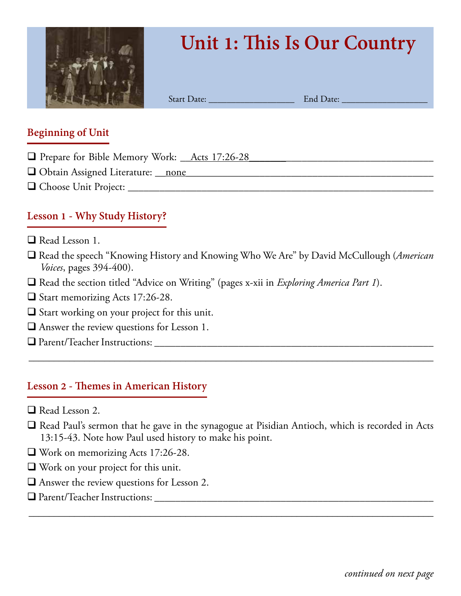

# **Unit 1: This Is Our Country**

Start Date: \_\_\_\_\_\_\_\_\_\_\_\_\_\_\_\_\_\_\_ End Date: \_\_\_\_\_\_\_\_\_\_\_\_\_\_\_\_\_\_\_

#### **Beginning of Unit**

- □ Prepare for Bible Memory Work: \_\_Acts 17:26-28
- q Obtain Assigned Literature: \_\_none\_\_\_\_\_\_\_\_\_\_\_\_\_\_\_\_\_\_\_\_\_\_\_\_\_\_\_\_\_\_\_\_\_\_\_\_\_\_\_\_\_\_\_\_\_\_\_
- q Choose Unit Project: \_\_\_\_\_\_\_\_\_\_\_\_\_\_\_\_\_\_\_\_\_\_\_\_\_\_\_\_\_\_\_\_\_\_\_\_\_\_\_\_\_\_\_\_\_\_\_\_\_\_\_\_\_\_\_\_\_\_

# **Lesson 1 - Why Study History?**

- $\Box$  Read Lesson 1.
- □ Read the speech "Knowing History and Knowing Who We Are" by David McCullough (*American Voices*, pages 394-400).
- q Read the section titled "Advice on Writing" (pages x-xii in *Exploring America Part 1*).
- $\Box$  Start memorizing Acts 17:26-28.
- $\Box$  Start working on your project for this unit.
- $\Box$  Answer the review questions for Lesson 1.
- q Parent/Teacher Instructions: \_\_\_\_\_\_\_\_\_\_\_\_\_\_\_\_\_\_\_\_\_\_\_\_\_\_\_\_\_\_\_\_\_\_\_\_\_\_\_\_\_\_\_\_\_\_\_\_\_\_\_\_\_

#### **Lesson 2 - Themes in American History**

- $\Box$  Read Lesson 2.
- $\Box$  Read Paul's sermon that he gave in the synagogue at Pisidian Antioch, which is recorded in Acts 13:15-43. Note how Paul used history to make his point.

\_\_\_\_\_\_\_\_\_\_\_\_\_\_\_\_\_\_\_\_\_\_\_\_\_\_\_\_\_\_\_\_\_\_\_\_\_\_\_\_\_\_\_\_\_\_\_\_\_\_\_\_\_\_\_\_\_\_\_\_\_\_\_\_\_\_\_\_\_\_\_\_\_\_\_\_\_\_\_\_

- $\Box$  Work on memorizing Acts 17:26-28.
- $\Box$  Work on your project for this unit.
- $\Box$  Answer the review questions for Lesson 2.
- q Parent/Teacher Instructions: \_\_\_\_\_\_\_\_\_\_\_\_\_\_\_\_\_\_\_\_\_\_\_\_\_\_\_\_\_\_\_\_\_\_\_\_\_\_\_\_\_\_\_\_\_\_\_\_\_\_\_\_\_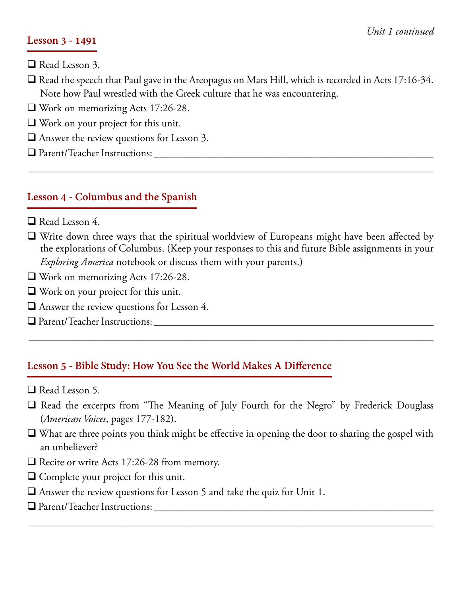#### **Lesson 3 - 1491**

- $\Box$  Read Lesson 3.
- $\Box$  Read the speech that Paul gave in the Areopagus on Mars Hill, which is recorded in Acts 17:16-34. Note how Paul wrestled with the Greek culture that he was encountering.
- $\Box$  Work on memorizing Acts 17:26-28.
- $\Box$  Work on your project for this unit.
- $\Box$  Answer the review questions for Lesson 3.
- q Parent/Teacher Instructions: \_\_\_\_\_\_\_\_\_\_\_\_\_\_\_\_\_\_\_\_\_\_\_\_\_\_\_\_\_\_\_\_\_\_\_\_\_\_\_\_\_\_\_\_\_\_\_\_\_\_\_\_\_

#### **Lesson 4 - Columbus and the Spanish**

- $\Box$  Read Lesson 4.
- $\Box$  Write down three ways that the spiritual worldview of Europeans might have been affected by the explorations of Columbus. (Keep your responses to this and future Bible assignments in your *Exploring America* notebook or discuss them with your parents.)

\_\_\_\_\_\_\_\_\_\_\_\_\_\_\_\_\_\_\_\_\_\_\_\_\_\_\_\_\_\_\_\_\_\_\_\_\_\_\_\_\_\_\_\_\_\_\_\_\_\_\_\_\_\_\_\_\_\_\_\_\_\_\_\_\_\_\_\_\_\_\_\_\_\_\_\_\_\_\_\_

- $\Box$  Work on memorizing Acts 17:26-28.
- $\Box$  Work on your project for this unit.
- $\Box$  Answer the review questions for Lesson 4.
- q Parent/Teacher Instructions: \_\_\_\_\_\_\_\_\_\_\_\_\_\_\_\_\_\_\_\_\_\_\_\_\_\_\_\_\_\_\_\_\_\_\_\_\_\_\_\_\_\_\_\_\_\_\_\_\_\_\_\_\_

# **Lesson 5 - Bible Study: How You See the World Makes A Difference**

- $\Box$  Read Lesson 5.
- $\Box$  Read the excerpts from "The Meaning of July Fourth for the Negro" by Frederick Douglass (*American Voices*, pages 177-182).

\_\_\_\_\_\_\_\_\_\_\_\_\_\_\_\_\_\_\_\_\_\_\_\_\_\_\_\_\_\_\_\_\_\_\_\_\_\_\_\_\_\_\_\_\_\_\_\_\_\_\_\_\_\_\_\_\_\_\_\_\_\_\_\_\_\_\_\_\_\_\_\_\_\_\_\_\_\_\_\_

 $\Box$  What are three points you think might be effective in opening the door to sharing the gospel with an unbeliever?

- $\Box$  Recite or write Acts 17:26-28 from memory.
- $\Box$  Complete your project for this unit.
- $\Box$  Answer the review questions for Lesson 5 and take the quiz for Unit 1.
- q Parent/Teacher Instructions: \_\_\_\_\_\_\_\_\_\_\_\_\_\_\_\_\_\_\_\_\_\_\_\_\_\_\_\_\_\_\_\_\_\_\_\_\_\_\_\_\_\_\_\_\_\_\_\_\_\_\_\_\_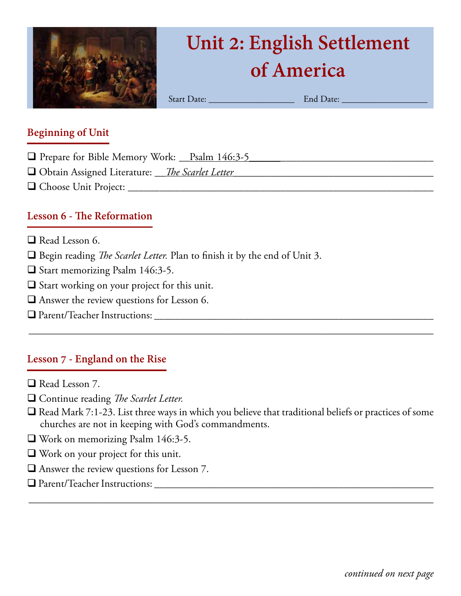

# **Unit 2: English Settlement of America**

Start Date: \_\_\_\_\_\_\_\_\_\_\_\_\_\_\_\_\_\_\_ End Date: \_\_\_\_\_\_\_\_\_\_\_\_\_\_\_\_\_\_\_

#### **Beginning of Unit**

- □ Prepare for Bible Memory Work: \_\_Psalm 146:3-5
- q Obtain Assigned Literature: \_\_*The Scarlet Letter*\_\_\_\_\_\_\_\_\_\_\_\_\_\_\_\_\_\_\_\_\_\_\_\_\_\_\_\_\_\_\_\_\_\_\_\_\_\_
- q Choose Unit Project: \_\_\_\_\_\_\_\_\_\_\_\_\_\_\_\_\_\_\_\_\_\_\_\_\_\_\_\_\_\_\_\_\_\_\_\_\_\_\_\_\_\_\_\_\_\_\_\_\_\_\_\_\_\_\_\_\_\_

### **Lesson 6 - The Reformation**

- $\Box$  Read Lesson 6.
- □ Begin reading *The Scarlet Letter*. Plan to finish it by the end of Unit 3.
- $\Box$  Start memorizing Psalm 146:3-5.
- $\Box$  Start working on your project for this unit.
- $\Box$  <br> Answer the review questions for Lesson 6.
- q Parent/Teacher Instructions: \_\_\_\_\_\_\_\_\_\_\_\_\_\_\_\_\_\_\_\_\_\_\_\_\_\_\_\_\_\_\_\_\_\_\_\_\_\_\_\_\_\_\_\_\_\_\_\_\_\_\_\_\_

# **Lesson 7 - England on the Rise**

- $\Box$  Read Lesson 7.
- □ Continue reading *The Scarlet Letter.*
- $\Box$  Read Mark 7:1-23. List three ways in which you believe that traditional beliefs or practices of some churches are not in keeping with God's commandments.

\_\_\_\_\_\_\_\_\_\_\_\_\_\_\_\_\_\_\_\_\_\_\_\_\_\_\_\_\_\_\_\_\_\_\_\_\_\_\_\_\_\_\_\_\_\_\_\_\_\_\_\_\_\_\_\_\_\_\_\_\_\_\_\_\_\_\_\_\_\_\_\_\_\_\_\_\_\_\_\_

- $\Box$  Work on memorizing Psalm 146:3-5.
- $\Box$  Work on your project for this unit.
- $\Box$  Answer the review questions for Lesson 7.
- q Parent/Teacher Instructions: \_\_\_\_\_\_\_\_\_\_\_\_\_\_\_\_\_\_\_\_\_\_\_\_\_\_\_\_\_\_\_\_\_\_\_\_\_\_\_\_\_\_\_\_\_\_\_\_\_\_\_\_\_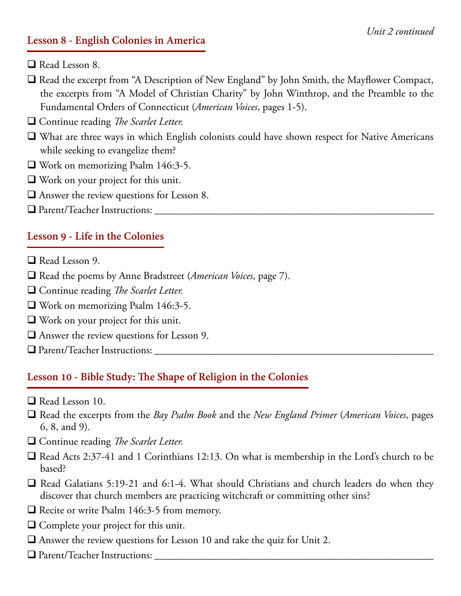#### **Lesson 8 - English Colonies in America**

 $\Box$  Read Lesson 8.

- $\Box$  Read the excerpt from "A Description of New England" by John Smith, the Mayflower Compact, the excerpts from "A Model of Christian Charity" by John Winthrop, and the Preamble to the Fundamental Orders of Connecticut (*American Voices*, pages 1-5).
- **□ Continue reading** *The Scarlet Letter.*
- $\Box$  What are three ways in which English colonists could have shown respect for Native Americans while seeking to evangelize them?
- $\Box$  Work on memorizing Psalm 146:3-5.
- $\Box$  Work on your project for this unit.
- $\Box$  Answer the review questions for Lesson 8.
- q Parent/Teacher Instructions: \_\_\_\_\_\_\_\_\_\_\_\_\_\_\_\_\_\_\_\_\_\_\_\_\_\_\_\_\_\_\_\_\_\_\_\_\_\_\_\_\_\_\_\_\_\_\_\_\_\_\_\_\_

#### **Lesson 9 - Life in the Colonies**

- $\Box$  Read Lesson 9.
- q Read the poems by Anne Bradstreet (*American Voices*, page 7).
- □ Continue reading *The Scarlet Letter.*
- $\Box$  Work on memorizing Psalm 146:3-5.
- $\Box$  Work on your project for this unit.
- $\Box$  Answer the review questions for Lesson 9.
- $\Box$  Parent/Teacher Instructions:  $\Box$

#### **Lesson 10 - Bible Study: The Shape of Religion in the Colonies**

- Read Lesson 10.
- q Read the excerpts from the *Bay Psalm Book* and the *New England Primer* (*American Voices*, pages 6, 8, and 9).
- □ Continue reading *The Scarlet Letter.*
- $\Box$  Read Acts 2:37-41 and 1 Corinthians 12:13. On what is membership in the Lord's church to be based?
- $\Box$  Read Galatians 5:19-21 and 6:1-4. What should Christians and church leaders do when they discover that church members are practicing witchcraft or committing other sins?
- $\Box$  Recite or write Psalm 146:3-5 from memory.
- $\Box$  Complete your project for this unit.
- $\Box$  Answer the review questions for Lesson 10 and take the quiz for Unit 2.
- $\Box$  Parent/Teacher Instructions: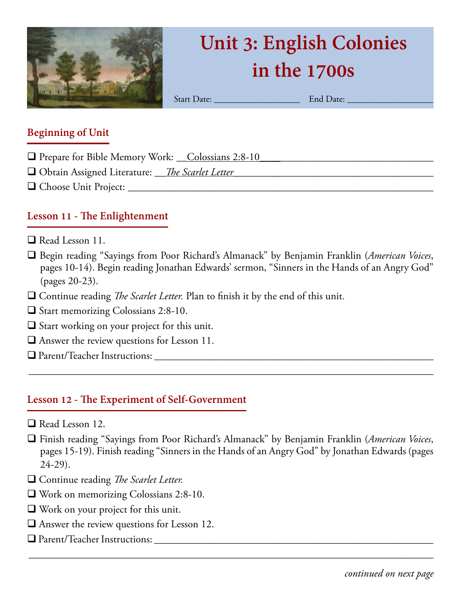

# **Unit 3: English Colonies in the 1700s**

Start Date: \_\_\_\_\_\_\_\_\_\_\_\_\_\_\_\_\_\_\_ End Date: \_\_\_\_\_\_\_\_\_\_\_\_\_\_\_\_\_\_\_

#### **Beginning of Unit**

- q Prepare for Bible Memory Work: \_\_Colossians 2:8-10\_\_\_\_\_\_\_\_\_\_\_\_\_\_\_\_\_\_\_\_\_\_\_\_\_\_\_\_\_\_\_\_\_
- q Obtain Assigned Literature: \_\_*The Scarlet Letter\_\_\_*\_\_\_\_\_\_\_\_\_\_\_\_\_\_\_\_\_\_\_\_\_\_\_\_\_\_\_\_\_\_\_\_\_\_\_
- q Choose Unit Project: \_\_\_\_\_\_\_\_\_\_\_\_\_\_\_\_\_\_\_\_\_\_\_\_\_\_\_\_\_\_\_\_\_\_\_\_\_\_\_\_\_\_\_\_\_\_\_\_\_\_\_\_\_\_\_\_\_\_

# **Lesson 11 - The Enlightenment**

- $\Box$  Read Lesson 11.
- q Begin reading "Sayings from Poor Richard's Almanack" by Benjamin Franklin (*American Voices*, pages 10-14). Begin reading Jonathan Edwards' sermon, "Sinners in the Hands of an Angry God" (pages 20-23).
- □ Continue reading *The Scarlet Letter*. Plan to finish it by the end of this unit.
- $\Box$  Start memorizing Colossians 2:8-10.
- $\Box$  Start working on your project for this unit.
- $\Box$  Answer the review questions for Lesson 11.
- q Parent/Teacher Instructions: \_\_\_\_\_\_\_\_\_\_\_\_\_\_\_\_\_\_\_\_\_\_\_\_\_\_\_\_\_\_\_\_\_\_\_\_\_\_\_\_\_\_\_\_\_\_\_\_\_\_\_\_\_

#### **Lesson 12 - The Experiment of Self-Government**

- $\Box$  Read Lesson 12.
- q Finish reading "Sayings from Poor Richard's Almanack" by Benjamin Franklin (*American Voices*, pages 15-19). Finish reading "Sinners in the Hands of an Angry God" by Jonathan Edwards (pages 24-29).

\_\_\_\_\_\_\_\_\_\_\_\_\_\_\_\_\_\_\_\_\_\_\_\_\_\_\_\_\_\_\_\_\_\_\_\_\_\_\_\_\_\_\_\_\_\_\_\_\_\_\_\_\_\_\_\_\_\_\_\_\_\_\_\_\_\_\_\_\_\_\_\_\_\_\_\_\_\_\_\_

- □ Continue reading *The Scarlet Letter.*
- $\Box$  Work on memorizing Colossians 2:8-10.
- $\Box$  Work on your project for this unit.
- $\Box$  Answer the review questions for Lesson 12.
- q Parent/Teacher Instructions: \_\_\_\_\_\_\_\_\_\_\_\_\_\_\_\_\_\_\_\_\_\_\_\_\_\_\_\_\_\_\_\_\_\_\_\_\_\_\_\_\_\_\_\_\_\_\_\_\_\_\_\_\_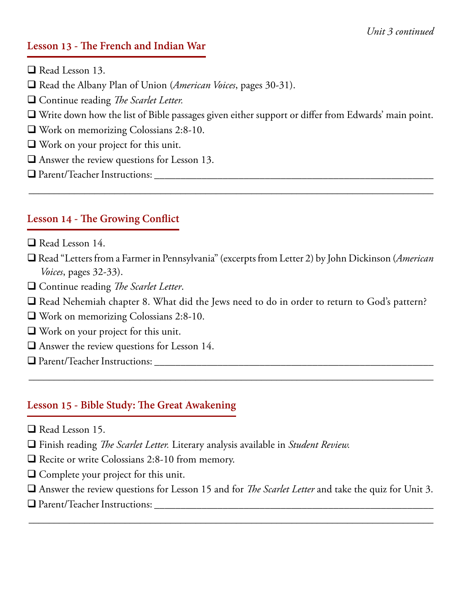#### **Lesson 13 - The French and Indian War**

- $\Box$  Read Lesson 13.
- q Read the Albany Plan of Union (*American Voices*, pages 30-31).
- □ Continue reading *The Scarlet Letter.*
- $\Box$  Write down how the list of Bible passages given either support or differ from Edwards' main point.
- $\Box$  Work on memorizing Colossians 2:8-10.
- $\Box$  Work on your project for this unit.
- $\Box$  Answer the review questions for Lesson 13.
- q Parent/Teacher Instructions: \_\_\_\_\_\_\_\_\_\_\_\_\_\_\_\_\_\_\_\_\_\_\_\_\_\_\_\_\_\_\_\_\_\_\_\_\_\_\_\_\_\_\_\_\_\_\_\_\_\_\_\_\_

# **Lesson 14 - The Growing Conflict**

- $\Box$  Read Lesson 14.
- q Read "Letters from a Farmer in Pennsylvania" (excerpts from Letter 2) by John Dickinson (*American Voices*, pages 32-33).

\_\_\_\_\_\_\_\_\_\_\_\_\_\_\_\_\_\_\_\_\_\_\_\_\_\_\_\_\_\_\_\_\_\_\_\_\_\_\_\_\_\_\_\_\_\_\_\_\_\_\_\_\_\_\_\_\_\_\_\_\_\_\_\_\_\_\_\_\_\_\_\_\_\_\_\_\_\_\_\_

- □ Continue reading *The Scarlet Letter*.
- $\Box$  Read Nehemiah chapter 8. What did the Jews need to do in order to return to God's pattern?

\_\_\_\_\_\_\_\_\_\_\_\_\_\_\_\_\_\_\_\_\_\_\_\_\_\_\_\_\_\_\_\_\_\_\_\_\_\_\_\_\_\_\_\_\_\_\_\_\_\_\_\_\_\_\_\_\_\_\_\_\_\_\_\_\_\_\_\_\_\_\_\_\_\_\_\_\_\_\_\_

- $\Box$  Work on memorizing Colossians 2:8-10.
- $\Box$  Work on your project for this unit.
- $\Box$  Answer the review questions for Lesson 14.
- q Parent/Teacher Instructions: \_\_\_\_\_\_\_\_\_\_\_\_\_\_\_\_\_\_\_\_\_\_\_\_\_\_\_\_\_\_\_\_\_\_\_\_\_\_\_\_\_\_\_\_\_\_\_\_\_\_\_\_\_

#### **Lesson 15 - Bible Study: The Great Awakening**

- $\Box$  Read Lesson 15.
- q Finish reading *The Scarlet Letter.* Literary analysis available in *Student Review.*
- $\Box$  Recite or write Colossians 2:8-10 from memory.
- $\Box$  Complete your project for this unit.
- q Answer the review questions for Lesson 15 and for *The Scarlet Letter* and take the quiz for Unit 3.

\_\_\_\_\_\_\_\_\_\_\_\_\_\_\_\_\_\_\_\_\_\_\_\_\_\_\_\_\_\_\_\_\_\_\_\_\_\_\_\_\_\_\_\_\_\_\_\_\_\_\_\_\_\_\_\_\_\_\_\_\_\_\_\_\_\_\_\_\_\_\_\_\_\_\_\_\_\_\_\_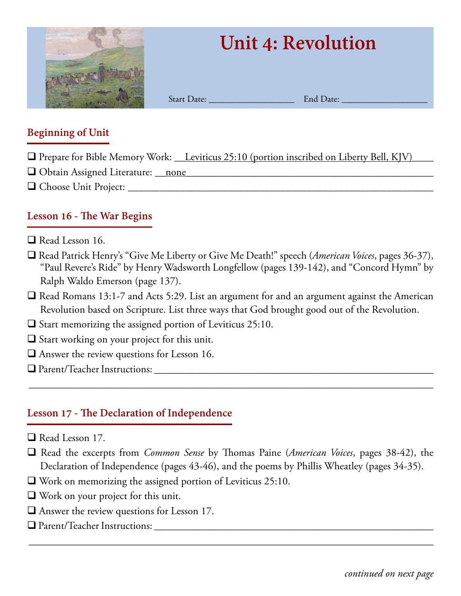

# **Unit 4: Revolution**

Start Date: \_\_\_\_\_\_\_\_\_\_\_\_\_\_\_\_\_\_\_ End Date: \_\_\_\_\_\_\_\_\_\_\_\_\_\_\_\_\_\_\_

#### **Beginning of Unit**

- $\Box$  Prepare for Bible Memory Work: Leviticus 25:10 (portion inscribed on Liberty Bell, KJV)
- $\Box$  Obtain Assigned Literature: <u>\_\_none</u>
- q Choose Unit Project: \_\_\_\_\_\_\_\_\_\_\_\_\_\_\_\_\_\_\_\_\_\_\_\_\_\_\_\_\_\_\_\_\_\_\_\_\_\_\_\_\_\_\_\_\_\_\_\_\_\_\_\_\_\_\_\_\_\_

### **Lesson 16 - The War Begins**

- $\Box$  Read Lesson 16.
- q Read Patrick Henry's "Give Me Liberty or Give Me Death!" speech (*American Voices*, pages 36-37), "Paul Revere's Ride" by Henry Wadsworth Longfellow (pages 139-142), and "Concord Hymn" by Ralph Waldo Emerson (page 137).
- $\Box$  Read Romans 13:1-7 and Acts 5:29. List an argument for and an argument against the American Revolution based on Scripture. List three ways that God brought good out of the Revolution.
- $\Box$  Start memorizing the assigned portion of Leviticus 25:10.
- $\Box$  Start working on your project for this unit.
- $\Box$  Answer the review questions for Lesson 16.
- q Parent/Teacher Instructions: \_\_\_\_\_\_\_\_\_\_\_\_\_\_\_\_\_\_\_\_\_\_\_\_\_\_\_\_\_\_\_\_\_\_\_\_\_\_\_\_\_\_\_\_\_\_\_\_\_\_\_\_\_

# **Lesson 17 - The Declaration of Independence**

- $\Box$  Read Lesson 17.
- q Read the excerpts from *Common Sense* by Thomas Paine (*American Voices*, pages 38-42), the Declaration of Independence (pages 43-46), and the poems by Phillis Wheatley (pages 34-35).

\_\_\_\_\_\_\_\_\_\_\_\_\_\_\_\_\_\_\_\_\_\_\_\_\_\_\_\_\_\_\_\_\_\_\_\_\_\_\_\_\_\_\_\_\_\_\_\_\_\_\_\_\_\_\_\_\_\_\_\_\_\_\_\_\_\_\_\_\_\_\_\_\_\_\_\_\_\_\_\_

- $\Box$  Work on memorizing the assigned portion of Leviticus 25:10.
- $\Box$  Work on your project for this unit.
- $\Box$  Answer the review questions for Lesson 17.
- q Parent/Teacher Instructions: \_\_\_\_\_\_\_\_\_\_\_\_\_\_\_\_\_\_\_\_\_\_\_\_\_\_\_\_\_\_\_\_\_\_\_\_\_\_\_\_\_\_\_\_\_\_\_\_\_\_\_\_\_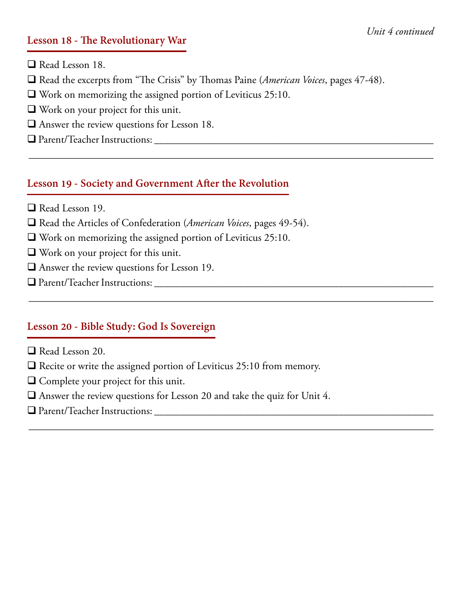#### **Lesson 18 - The Revolutionary War**

 $\Box$  Read Lesson 18.

□ Read the excerpts from "The Crisis" by Thomas Paine (*American Voices*, pages 47-48).

\_\_\_\_\_\_\_\_\_\_\_\_\_\_\_\_\_\_\_\_\_\_\_\_\_\_\_\_\_\_\_\_\_\_\_\_\_\_\_\_\_\_\_\_\_\_\_\_\_\_\_\_\_\_\_\_\_\_\_\_\_\_\_\_\_\_\_\_\_\_\_\_\_\_\_\_\_\_\_\_

\_\_\_\_\_\_\_\_\_\_\_\_\_\_\_\_\_\_\_\_\_\_\_\_\_\_\_\_\_\_\_\_\_\_\_\_\_\_\_\_\_\_\_\_\_\_\_\_\_\_\_\_\_\_\_\_\_\_\_\_\_\_\_\_\_\_\_\_\_\_\_\_\_\_\_\_\_\_\_\_

\_\_\_\_\_\_\_\_\_\_\_\_\_\_\_\_\_\_\_\_\_\_\_\_\_\_\_\_\_\_\_\_\_\_\_\_\_\_\_\_\_\_\_\_\_\_\_\_\_\_\_\_\_\_\_\_\_\_\_\_\_\_\_\_\_\_\_\_\_\_\_\_\_\_\_\_\_\_\_\_

- $\Box$  Work on memorizing the assigned portion of Leviticus 25:10.
- $\Box$  Work on your project for this unit.
- $\Box$  Answer the review questions for Lesson 18.
- q Parent/Teacher Instructions: \_\_\_\_\_\_\_\_\_\_\_\_\_\_\_\_\_\_\_\_\_\_\_\_\_\_\_\_\_\_\_\_\_\_\_\_\_\_\_\_\_\_\_\_\_\_\_\_\_\_\_\_\_

#### **Lesson 19 - Society and Government After the Revolution**

- $\Box$  Read Lesson 19.
- □ Read the Articles of Confederation (*American Voices*, pages 49-54).
- $\Box$  Work on memorizing the assigned portion of Leviticus 25:10.
- $\Box$  Work on your project for this unit.
- $\Box$  Answer the review questions for Lesson 19.
- q Parent/Teacher Instructions: \_\_\_\_\_\_\_\_\_\_\_\_\_\_\_\_\_\_\_\_\_\_\_\_\_\_\_\_\_\_\_\_\_\_\_\_\_\_\_\_\_\_\_\_\_\_\_\_\_\_\_\_\_

#### **Lesson 20 - Bible Study: God Is Sovereign**

- $\Box$  Read Lesson 20.
- $\Box$  Recite or write the assigned portion of Leviticus 25:10 from memory.
- $\Box$  Complete your project for this unit.
- $\Box$  Answer the review questions for Lesson 20 and take the quiz for Unit 4.
- q Parent/Teacher Instructions: \_\_\_\_\_\_\_\_\_\_\_\_\_\_\_\_\_\_\_\_\_\_\_\_\_\_\_\_\_\_\_\_\_\_\_\_\_\_\_\_\_\_\_\_\_\_\_\_\_\_\_\_\_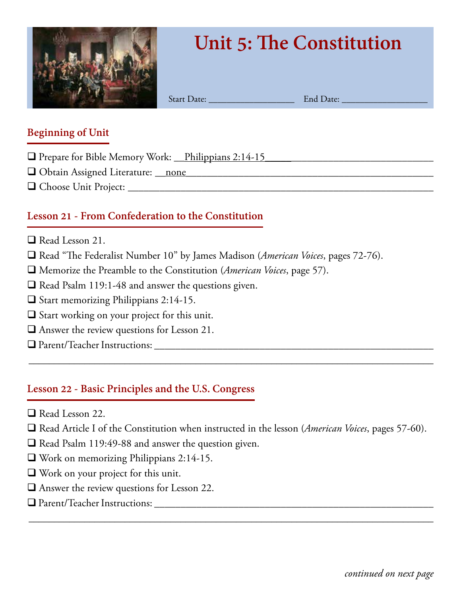

# **Unit 5: The Constitution**

Start Date: \_\_\_\_\_\_\_\_\_\_\_\_\_\_\_\_\_\_\_ End Date: \_\_\_\_\_\_\_\_\_\_\_\_\_\_\_\_\_\_\_

#### **Beginning of Unit**

- $\Box$  Prepare for Bible Memory Work:  $\Box$  Philippians 2:14-15
- q Obtain Assigned Literature: \_\_none*\_\_\_\_\_\_\_\_\_\_\_\_\_*\_\_\_\_\_\_\_\_\_\_\_\_\_\_\_\_\_\_\_\_\_\_\_\_\_\_\_\_\_\_\_\_\_\_
- q Choose Unit Project: \_\_\_\_\_\_\_\_\_\_\_\_\_\_\_\_\_\_\_\_\_\_\_\_\_\_\_\_\_\_\_\_\_\_\_\_\_\_\_\_\_\_\_\_\_\_\_\_\_\_\_\_\_\_\_\_\_\_

# **Lesson 21 - From Confederation to the Constitution**

- $\Box$  Read Lesson 21.
- □ Read "The Federalist Number 10" by James Madison (*American Voices*, pages 72-76).
- q Memorize the Preamble to the Constitution (*American Voices*, page 57).
- $\Box$  Read Psalm 119:1-48 and answer the questions given.
- $\Box$  Start memorizing Philippians 2:14-15.
- $\square$  Start working on your project for this unit.
- $\Box$  Answer the review questions for Lesson 21.
- q Parent/Teacher Instructions: \_\_\_\_\_\_\_\_\_\_\_\_\_\_\_\_\_\_\_\_\_\_\_\_\_\_\_\_\_\_\_\_\_\_\_\_\_\_\_\_\_\_\_\_\_\_\_\_\_\_\_\_\_

#### **Lesson 22 - Basic Principles and the U.S. Congress**

- $\Box$  Read Lesson 22.
- □ Read Article I of the Constitution when instructed in the lesson (*American Voices*, pages 57-60).

\_\_\_\_\_\_\_\_\_\_\_\_\_\_\_\_\_\_\_\_\_\_\_\_\_\_\_\_\_\_\_\_\_\_\_\_\_\_\_\_\_\_\_\_\_\_\_\_\_\_\_\_\_\_\_\_\_\_\_\_\_\_\_\_\_\_\_\_\_\_\_\_\_\_\_\_\_\_\_\_

- $\Box$  Read Psalm 119:49-88 and answer the question given.
- $\Box$  Work on memorizing Philippians 2:14-15.
- $\Box$  Work on your project for this unit.
- $\Box$  Answer the review questions for Lesson 22.
- q Parent/Teacher Instructions: \_\_\_\_\_\_\_\_\_\_\_\_\_\_\_\_\_\_\_\_\_\_\_\_\_\_\_\_\_\_\_\_\_\_\_\_\_\_\_\_\_\_\_\_\_\_\_\_\_\_\_\_\_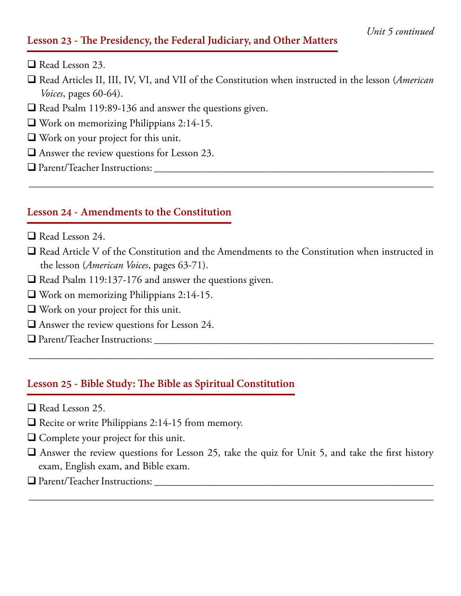#### **Lesson 23 - The Presidency, the Federal Judiciary, and Other Matters**

- $\Box$  Read Lesson 23.
- q Read Articles II, III, IV, VI, and VII of the Constitution when instructed in the lesson (*American Voices*, pages 60-64).
- $\Box$  Read Psalm 119:89-136 and answer the questions given.
- $\Box$  Work on memorizing Philippians 2:14-15.
- $\Box$  Work on your project for this unit.
- $\Box$  Answer the review questions for Lesson 23.
- q Parent/Teacher Instructions: \_\_\_\_\_\_\_\_\_\_\_\_\_\_\_\_\_\_\_\_\_\_\_\_\_\_\_\_\_\_\_\_\_\_\_\_\_\_\_\_\_\_\_\_\_\_\_\_\_\_\_\_\_

#### **Lesson 24 - Amendments to the Constitution**

- $\Box$  Read Lesson 24.
- $\Box$  Read Article V of the Constitution and the Amendments to the Constitution when instructed in the lesson (*American Voices*, pages 63-71).

\_\_\_\_\_\_\_\_\_\_\_\_\_\_\_\_\_\_\_\_\_\_\_\_\_\_\_\_\_\_\_\_\_\_\_\_\_\_\_\_\_\_\_\_\_\_\_\_\_\_\_\_\_\_\_\_\_\_\_\_\_\_\_\_\_\_\_\_\_\_\_\_\_\_\_\_\_\_\_\_

\_\_\_\_\_\_\_\_\_\_\_\_\_\_\_\_\_\_\_\_\_\_\_\_\_\_\_\_\_\_\_\_\_\_\_\_\_\_\_\_\_\_\_\_\_\_\_\_\_\_\_\_\_\_\_\_\_\_\_\_\_\_\_\_\_\_\_\_\_\_\_\_\_\_\_\_\_\_\_\_

- $\Box$  Read Psalm 119:137-176 and answer the questions given.
- q Work on memorizing Philippians 2:14-15.
- $\Box$  Work on your project for this unit.
- $\Box$  Answer the review questions for Lesson 24.
- $\Box$  Parent/Teacher Instructions:

#### **Lesson 25 - Bible Study: The Bible as Spiritual Constitution**

- $\Box$  Read Lesson 25.
- $\Box$  Recite or write Philippians 2:14-15 from memory.
- $\Box$  Complete your project for this unit.
- $\Box$  Answer the review questions for Lesson 25, take the quiz for Unit 5, and take the first history exam, English exam, and Bible exam.

\_\_\_\_\_\_\_\_\_\_\_\_\_\_\_\_\_\_\_\_\_\_\_\_\_\_\_\_\_\_\_\_\_\_\_\_\_\_\_\_\_\_\_\_\_\_\_\_\_\_\_\_\_\_\_\_\_\_\_\_\_\_\_\_\_\_\_\_\_\_\_\_\_\_\_\_\_\_\_\_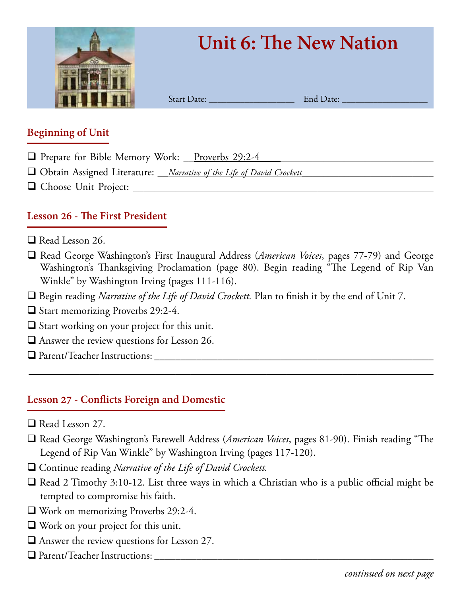

# **Unit 6: The New Nation**

Start Date: <br>
Start Date: 
<u>End Date:</u>

#### **Beginning of Unit**

- $\Box$  Prepare for Bible Memory Work: <u>Proverbs 29:2-4</u>
- q Obtain Assigned Literature: *\_\_Narrative of the Life of David Crockett\_\_\_\_\_\_\_\_\_\_\_\_\_\_\_\_\_\_\_\_\_\_\_\_\_*
- q Choose Unit Project: \_\_\_\_\_\_\_\_\_\_\_\_\_\_\_\_\_\_\_\_\_\_\_\_\_\_\_\_\_\_\_\_\_\_\_\_\_\_\_\_\_\_\_\_\_\_\_\_\_\_\_\_\_\_\_\_\_

# **Lesson 26 - The First President**

- $\Box$  Read Lesson 26.
- q Read George Washington's First Inaugural Address (*American Voices*, pages 77-79) and George Washington's Thanksgiving Proclamation (page 80). Begin reading "The Legend of Rip Van Winkle" by Washington Irving (pages 111-116).
- □ Begin reading *Narrative of the Life of David Crockett*. Plan to finish it by the end of Unit 7.
- $\Box$  Start memorizing Proverbs 29:2-4.
- $\Box$  Start working on your project for this unit.
- $\Box$  Answer the review questions for Lesson 26.
- q Parent/Teacher Instructions: \_\_\_\_\_\_\_\_\_\_\_\_\_\_\_\_\_\_\_\_\_\_\_\_\_\_\_\_\_\_\_\_\_\_\_\_\_\_\_\_\_\_\_\_\_\_\_\_\_\_\_\_\_

# **Lesson 27 - Conflicts Foreign and Domestic**

- $\Box$  Read Lesson 27.
- □ Read George Washington's Farewell Address (*American Voices*, pages 81-90). Finish reading "The Legend of Rip Van Winkle" by Washington Irving (pages 117-120).

- □ Continue reading *Narrative of the Life of David Crockett*.
- $\Box$  Read 2 Timothy 3:10-12. List three ways in which a Christian who is a public official might be tempted to compromise his faith.
- $\Box$  Work on memorizing Proverbs 29:2-4.
- $\Box$  Work on your project for this unit.
- $\Box$  Answer the review questions for Lesson 27.
- q Parent/Teacher Instructions: \_\_\_\_\_\_\_\_\_\_\_\_\_\_\_\_\_\_\_\_\_\_\_\_\_\_\_\_\_\_\_\_\_\_\_\_\_\_\_\_\_\_\_\_\_\_\_\_\_\_\_\_\_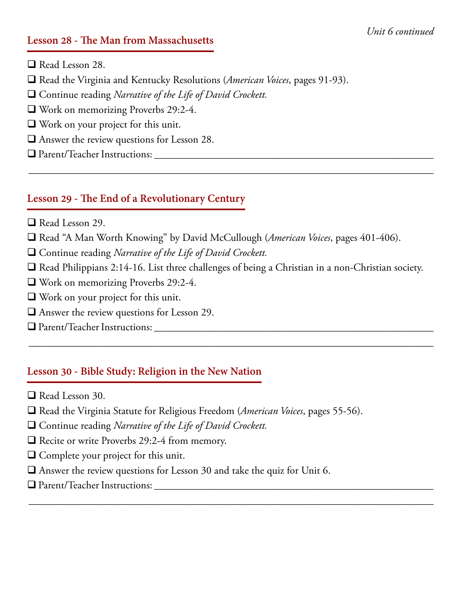#### **Lesson 28 - The Man from Massachusetts**

 $\Box$  Read Lesson 28.

- □ Read the Virginia and Kentucky Resolutions (*American Voices*, pages 91-93).
- □ Continue reading *Narrative of the Life of David Crockett*.
- $\Box$  Work on memorizing Proverbs 29:2-4.
- $\Box$  Work on your project for this unit.
- $\Box$  Answer the review questions for Lesson 28.
- q Parent/Teacher Instructions: \_\_\_\_\_\_\_\_\_\_\_\_\_\_\_\_\_\_\_\_\_\_\_\_\_\_\_\_\_\_\_\_\_\_\_\_\_\_\_\_\_\_\_\_\_\_\_\_\_\_\_\_\_

### **Lesson 29 - The End of a Revolutionary Century**

- $\Box$  Read Lesson 29.
- □ Read "A Man Worth Knowing" by David McCullough (*American Voices*, pages 401-406).
- □ Continue reading *Narrative of the Life of David Crockett*.
- $\Box$  Read Philippians 2:14-16. List three challenges of being a Christian in a non-Christian society.

\_\_\_\_\_\_\_\_\_\_\_\_\_\_\_\_\_\_\_\_\_\_\_\_\_\_\_\_\_\_\_\_\_\_\_\_\_\_\_\_\_\_\_\_\_\_\_\_\_\_\_\_\_\_\_\_\_\_\_\_\_\_\_\_\_\_\_\_\_\_\_\_\_\_\_\_\_\_\_\_

\_\_\_\_\_\_\_\_\_\_\_\_\_\_\_\_\_\_\_\_\_\_\_\_\_\_\_\_\_\_\_\_\_\_\_\_\_\_\_\_\_\_\_\_\_\_\_\_\_\_\_\_\_\_\_\_\_\_\_\_\_\_\_\_\_\_\_\_\_\_\_\_\_\_\_\_\_\_\_\_

\_\_\_\_\_\_\_\_\_\_\_\_\_\_\_\_\_\_\_\_\_\_\_\_\_\_\_\_\_\_\_\_\_\_\_\_\_\_\_\_\_\_\_\_\_\_\_\_\_\_\_\_\_\_\_\_\_\_\_\_\_\_\_\_\_\_\_\_\_\_\_\_\_\_\_\_\_\_\_\_

- $\Box$  Work on memorizing Proverbs 29:2-4.
- $\Box$  Work on your project for this unit.
- $\Box$  Answer the review questions for Lesson 29.
- q Parent/Teacher Instructions: \_\_\_\_\_\_\_\_\_\_\_\_\_\_\_\_\_\_\_\_\_\_\_\_\_\_\_\_\_\_\_\_\_\_\_\_\_\_\_\_\_\_\_\_\_\_\_\_\_\_\_\_\_

# **Lesson 30 - Bible Study: Religion in the New Nation**

- $\Box$  Read Lesson 30.
- □ Read the Virginia Statute for Religious Freedom (*American Voices*, pages 55-56).
- □ Continue reading *Narrative of the Life of David Crockett*.
- $\Box$  Recite or write Proverbs 29:2-4 from memory.
- $\Box$  Complete your project for this unit.
- $\Box$  Answer the review questions for Lesson 30 and take the quiz for Unit 6.
- q Parent/Teacher Instructions: \_\_\_\_\_\_\_\_\_\_\_\_\_\_\_\_\_\_\_\_\_\_\_\_\_\_\_\_\_\_\_\_\_\_\_\_\_\_\_\_\_\_\_\_\_\_\_\_\_\_\_\_\_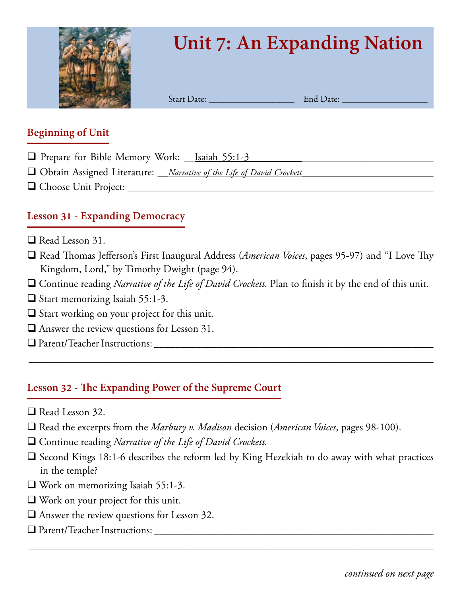

# **Unit 7: An Expanding Nation**

Start Date: \_\_\_\_\_\_\_\_\_\_\_\_\_\_\_\_\_\_\_ End Date: \_\_\_\_\_\_\_\_\_\_\_\_\_\_\_\_\_\_\_

#### **Beginning of Unit**

- q Prepare for Bible Memory Work: \_\_Isaiah 55:1-3\_\_\_\_\_\_\_\_\_\_\_\_\_\_\_\_\_\_\_\_\_\_\_\_\_\_\_\_\_\_\_\_\_\_\_
- q Obtain Assigned Literature: *\_\_Narrative of the Life of David Crockett\_\_\_\_\_\_\_\_\_\_\_\_\_\_\_\_\_\_\_\_\_\_\_\_\_*
- q Choose Unit Project: \_\_\_\_\_\_\_\_\_\_\_\_\_\_\_\_\_\_\_\_\_\_\_\_\_\_\_\_\_\_\_\_\_\_\_\_\_\_\_\_\_\_\_\_\_\_\_\_\_\_\_\_\_\_\_\_\_\_

# **Lesson 31 - Expanding Democracy**

- $\Box$  Read Lesson 31.
- q Read Thomas Jefferson's First Inaugural Address (*American Voices*, pages 95-97) and "I Love Thy Kingdom, Lord," by Timothy Dwight (page 94).
- □ Continue reading *Narrative of the Life of David Crockett*. Plan to finish it by the end of this unit.

\_\_\_\_\_\_\_\_\_\_\_\_\_\_\_\_\_\_\_\_\_\_\_\_\_\_\_\_\_\_\_\_\_\_\_\_\_\_\_\_\_\_\_\_\_\_\_\_\_\_\_\_\_\_\_\_\_\_\_\_\_\_\_\_\_\_\_\_\_\_\_\_\_\_\_\_\_\_\_\_

- $\Box$  Start memorizing Isaiah 55:1-3.
- $\Box$  Start working on your project for this unit.
- $\Box$  Answer the review questions for Lesson 31.
- q Parent/Teacher Instructions: \_\_\_\_\_\_\_\_\_\_\_\_\_\_\_\_\_\_\_\_\_\_\_\_\_\_\_\_\_\_\_\_\_\_\_\_\_\_\_\_\_\_\_\_\_\_\_\_\_\_\_\_\_

#### **Lesson 32 - The Expanding Power of the Supreme Court**

- $\Box$  Read Lesson 32.
- □ Read the excerpts from the *Marbury v. Madison* decision (*American Voices*, pages 98-100).
- □ Continue reading *Narrative of the Life of David Crockett*.
- $\Box$  Second Kings 18:1-6 describes the reform led by King Hezekiah to do away with what practices in the temple?

- $\Box$  Work on memorizing Isaiah 55:1-3.
- $\Box$  Work on your project for this unit.
- $\Box$  Answer the review questions for Lesson 32.
- q Parent/Teacher Instructions: \_\_\_\_\_\_\_\_\_\_\_\_\_\_\_\_\_\_\_\_\_\_\_\_\_\_\_\_\_\_\_\_\_\_\_\_\_\_\_\_\_\_\_\_\_\_\_\_\_\_\_\_\_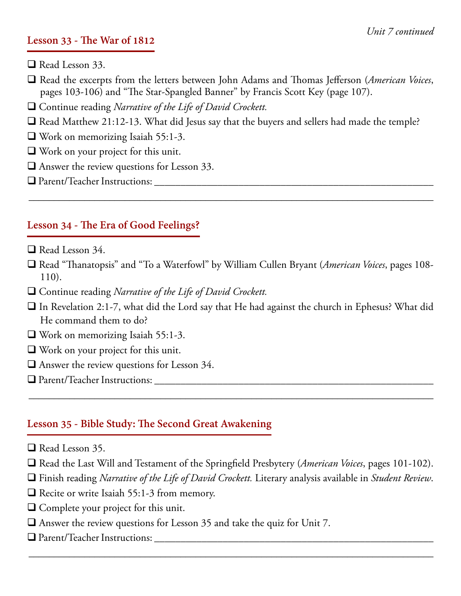#### **Lesson 33 - The War of 1812**

- $\Box$  Read Lesson 33.
- q Read the excerpts from the letters between John Adams and Thomas Jefferson (*American Voices*, pages 103-106) and "The Star-Spangled Banner" by Francis Scott Key (page 107).
- □ Continue reading *Narrative of the Life of David Crockett*.
- $\Box$  Read Matthew 21:12-13. What did Jesus say that the buyers and sellers had made the temple?
- $\Box$  Work on memorizing Isaiah 55:1-3.
- $\Box$  Work on your project for this unit.
- $\Box$  Answer the review questions for Lesson 33.
- q Parent/Teacher Instructions: \_\_\_\_\_\_\_\_\_\_\_\_\_\_\_\_\_\_\_\_\_\_\_\_\_\_\_\_\_\_\_\_\_\_\_\_\_\_\_\_\_\_\_\_\_\_\_\_\_\_\_\_\_

### **Lesson 34 - The Era of Good Feelings?**

- $\Box$  Read Lesson 34.
- q Read "Thanatopsis" and "To a Waterfowl" by William Cullen Bryant (*American Voices*, pages 108- 110).

\_\_\_\_\_\_\_\_\_\_\_\_\_\_\_\_\_\_\_\_\_\_\_\_\_\_\_\_\_\_\_\_\_\_\_\_\_\_\_\_\_\_\_\_\_\_\_\_\_\_\_\_\_\_\_\_\_\_\_\_\_\_\_\_\_\_\_\_\_\_\_\_\_\_\_\_\_\_\_\_

- □ Continue reading *Narrative of the Life of David Crockett*.
- $\Box$  In Revelation 2:1-7, what did the Lord say that He had against the church in Ephesus? What did He command them to do?
- $\Box$  Work on memorizing Isaiah 55:1-3.
- $\Box$  Work on your project for this unit.
- $\Box$  Answer the review questions for Lesson 34.
- q Parent/Teacher Instructions: \_\_\_\_\_\_\_\_\_\_\_\_\_\_\_\_\_\_\_\_\_\_\_\_\_\_\_\_\_\_\_\_\_\_\_\_\_\_\_\_\_\_\_\_\_\_\_\_\_\_\_\_\_

# **Lesson 35 - Bible Study: The Second Great Awakening**

- $\Box$  Read Lesson 35.
- □ Read the Last Will and Testament of the Springfield Presbytery (*American Voices*, pages 101-102).

\_\_\_\_\_\_\_\_\_\_\_\_\_\_\_\_\_\_\_\_\_\_\_\_\_\_\_\_\_\_\_\_\_\_\_\_\_\_\_\_\_\_\_\_\_\_\_\_\_\_\_\_\_\_\_\_\_\_\_\_\_\_\_\_\_\_\_\_\_\_\_\_\_\_\_\_\_\_\_\_

q Finish reading *Narrative of the Life of David Crockett.* Literary analysis available in *Student Review*.

- $\Box$  Recite or write Isaiah 55:1-3 from memory.
- $\Box$  Complete your project for this unit.
- $\Box$  Answer the review questions for Lesson 35 and take the quiz for Unit 7.
- q Parent/Teacher Instructions: \_\_\_\_\_\_\_\_\_\_\_\_\_\_\_\_\_\_\_\_\_\_\_\_\_\_\_\_\_\_\_\_\_\_\_\_\_\_\_\_\_\_\_\_\_\_\_\_\_\_\_\_\_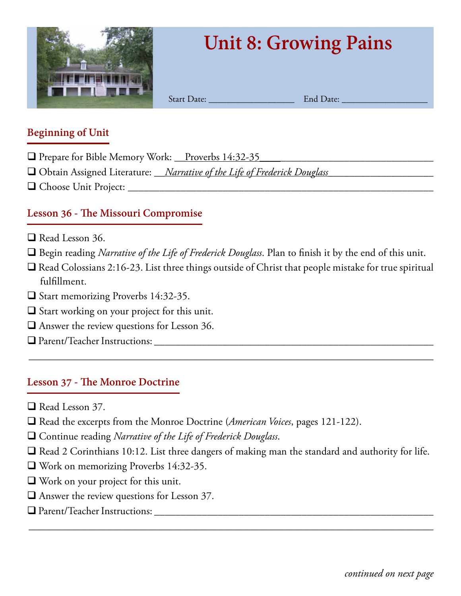

# **Unit 8: Growing Pains**

Start Date: \_\_\_\_\_\_\_\_\_\_\_\_\_\_\_\_\_\_\_ End Date: \_\_\_\_\_\_\_\_\_\_\_\_\_\_\_\_\_\_\_

#### **Beginning of Unit**

- □ Prepare for Bible Memory Work: \_\_Proverbs 14:32-35
- q Obtain Assigned Literature: \_\_*Narrative of the Life of Frederick Douglass*\_\_\_\_\_\_\_\_\_\_\_\_\_\_\_\_\_\_\_\_
- q Choose Unit Project: \_\_\_\_\_\_\_\_\_\_\_\_\_\_\_\_\_\_\_\_\_\_\_\_\_\_\_\_\_\_\_\_\_\_\_\_\_\_\_\_\_\_\_\_\_\_\_\_\_\_\_\_\_\_\_\_\_\_

### **Lesson 36 - The Missouri Compromise**

- $\Box$  Read Lesson 36.
- □ Begin reading *Narrative of the Life of Frederick Douglass*. Plan to finish it by the end of this unit.
- $\Box$  Read Colossians 2:16-23. List three things outside of Christ that people mistake for true spiritual fulfillment.

\_\_\_\_\_\_\_\_\_\_\_\_\_\_\_\_\_\_\_\_\_\_\_\_\_\_\_\_\_\_\_\_\_\_\_\_\_\_\_\_\_\_\_\_\_\_\_\_\_\_\_\_\_\_\_\_\_\_\_\_\_\_\_\_\_\_\_\_\_\_\_\_\_\_\_\_\_\_\_\_

- $\Box$  Start memorizing Proverbs 14:32-35.
- $\Box$  Start working on your project for this unit.
- $\Box$  Answer the review questions for Lesson 36.
- q Parent/Teacher Instructions: \_\_\_\_\_\_\_\_\_\_\_\_\_\_\_\_\_\_\_\_\_\_\_\_\_\_\_\_\_\_\_\_\_\_\_\_\_\_\_\_\_\_\_\_\_\_\_\_\_\_\_\_\_

#### **Lesson 37 - The Monroe Doctrine**

- $\Box$  Read Lesson 37.
- □ Read the excerpts from the Monroe Doctrine (*American Voices*, pages 121-122).
- q Continue reading *Narrative of the Life of Frederick Douglass*.
- $\Box$  Read 2 Corinthians 10:12. List three dangers of making man the standard and authority for life.

- $\Box$  Work on memorizing Proverbs 14:32-35.
- $\Box$  Work on your project for this unit.
- $\Box$  Answer the review questions for Lesson 37.
- q Parent/Teacher Instructions: \_\_\_\_\_\_\_\_\_\_\_\_\_\_\_\_\_\_\_\_\_\_\_\_\_\_\_\_\_\_\_\_\_\_\_\_\_\_\_\_\_\_\_\_\_\_\_\_\_\_\_\_\_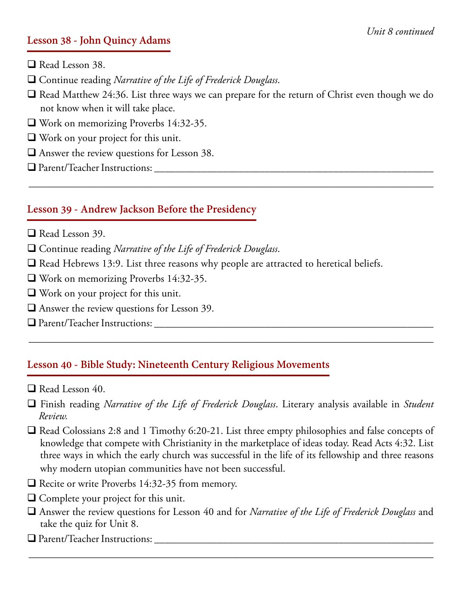#### **Lesson 38 - John Quincy Adams**

 $\Box$  Read Lesson 38.

q Continue reading *Narrative of the Life of Frederick Douglass*.

 $\Box$  Read Matthew 24:36. List three ways we can prepare for the return of Christ even though we do not know when it will take place.

\_\_\_\_\_\_\_\_\_\_\_\_\_\_\_\_\_\_\_\_\_\_\_\_\_\_\_\_\_\_\_\_\_\_\_\_\_\_\_\_\_\_\_\_\_\_\_\_\_\_\_\_\_\_\_\_\_\_\_\_\_\_\_\_\_\_\_\_\_\_\_\_\_\_\_\_\_\_\_\_

- $\Box$  Work on memorizing Proverbs 14:32-35.
- $\Box$  Work on your project for this unit.
- $\Box$  Answer the review questions for Lesson 38.
- q Parent/Teacher Instructions: \_\_\_\_\_\_\_\_\_\_\_\_\_\_\_\_\_\_\_\_\_\_\_\_\_\_\_\_\_\_\_\_\_\_\_\_\_\_\_\_\_\_\_\_\_\_\_\_\_\_\_\_\_

#### **Lesson 39 - Andrew Jackson Before the Presidency**

- $\Box$  Read Lesson 39.
- q Continue reading *Narrative of the Life of Frederick Douglass*.
- $\Box$  Read Hebrews 13:9. List three reasons why people are attracted to heretical beliefs.
- $\Box$  Work on memorizing Proverbs 14:32-35.
- $\Box$  Work on your project for this unit.
- $\Box$  Answer the review questions for Lesson 39.
- q Parent/Teacher Instructions: \_\_\_\_\_\_\_\_\_\_\_\_\_\_\_\_\_\_\_\_\_\_\_\_\_\_\_\_\_\_\_\_\_\_\_\_\_\_\_\_\_\_\_\_\_\_\_\_\_\_\_\_\_

#### **Lesson 40 - Bible Study: Nineteenth Century Religious Movements**

- $\Box$  Read Lesson 40.
- q Finish reading *Narrative of the Life of Frederick Douglass*. Literary analysis available in *Student Review.*

\_\_\_\_\_\_\_\_\_\_\_\_\_\_\_\_\_\_\_\_\_\_\_\_\_\_\_\_\_\_\_\_\_\_\_\_\_\_\_\_\_\_\_\_\_\_\_\_\_\_\_\_\_\_\_\_\_\_\_\_\_\_\_\_\_\_\_\_\_\_\_\_\_\_\_\_\_\_\_\_

- $\Box$  Read Colossians 2:8 and 1 Timothy 6:20-21. List three empty philosophies and false concepts of knowledge that compete with Christianity in the marketplace of ideas today. Read Acts 4:32. List three ways in which the early church was successful in the life of its fellowship and three reasons why modern utopian communities have not been successful.
- $\Box$  Recite or write Proverbs 14:32-35 from memory.
- $\Box$  Complete your project for this unit.
- q Answer the review questions for Lesson 40 and for *Narrative of the Life of Frederick Douglass* and take the quiz for Unit 8.

\_\_\_\_\_\_\_\_\_\_\_\_\_\_\_\_\_\_\_\_\_\_\_\_\_\_\_\_\_\_\_\_\_\_\_\_\_\_\_\_\_\_\_\_\_\_\_\_\_\_\_\_\_\_\_\_\_\_\_\_\_\_\_\_\_\_\_\_\_\_\_\_\_\_\_\_\_\_\_\_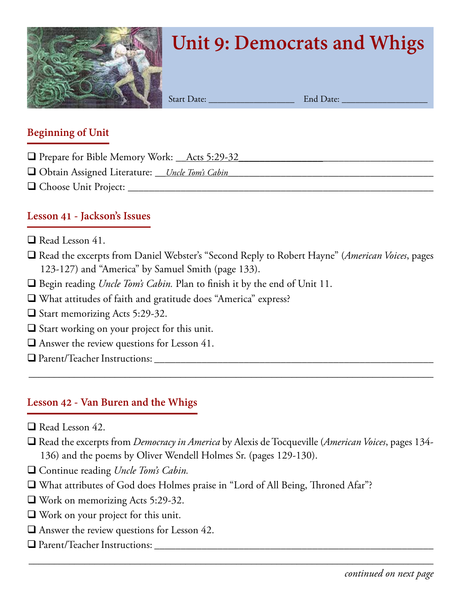

# **Unit 9: Democrats and Whigs**

Start Date: \_\_\_\_\_\_\_\_\_\_\_\_\_\_\_\_\_\_\_ End Date: \_\_\_\_\_\_\_\_\_\_\_\_\_\_\_\_\_\_\_

#### **Beginning of Unit**

- $\Box$  Prepare for Bible Memory Work: <u>Acts 5:29-32</u>
- q Obtain Assigned Literature: \_\_*Uncle Tom's Cabin*\_\_*\_\_\_*\_\_\_\_\_\_\_\_\_\_\_\_\_\_\_\_\_\_\_\_\_\_\_\_\_\_\_\_\_\_\_\_\_\_
- q Choose Unit Project: \_\_\_\_\_\_\_\_\_\_\_\_\_\_\_\_\_\_\_\_\_\_\_\_\_\_\_\_\_\_\_\_\_\_\_\_\_\_\_\_\_\_\_\_\_\_\_\_\_\_\_\_\_\_\_\_\_\_

# **Lesson 41 - Jackson's Issues**

- $\Box$  Read Lesson 41.
- q Read the excerpts from Daniel Webster's "Second Reply to Robert Hayne" (*American Voices*, pages 123-127) and "America" by Samuel Smith (page 133).
- □ Begin reading *Uncle Tom's Cabin*. Plan to finish it by the end of Unit 11.
- $\Box$  What attitudes of faith and gratitude does "America" express?
- $\Box$  Start memorizing Acts 5:29-32.
- $\Box$  Start working on your project for this unit.
- $\Box$  Answer the review questions for Lesson 41.
- q Parent/Teacher Instructions: \_\_\_\_\_\_\_\_\_\_\_\_\_\_\_\_\_\_\_\_\_\_\_\_\_\_\_\_\_\_\_\_\_\_\_\_\_\_\_\_\_\_\_\_\_\_\_\_\_\_\_\_\_

# **Lesson 42 - Van Buren and the Whigs**

- $\Box$  Read Lesson 42.
- q Read the excerpts from *Democracy in America* by Alexis de Tocqueville (*American Voices*, pages 134- 136) and the poems by Oliver Wendell Holmes Sr. (pages 129-130).

\_\_\_\_\_\_\_\_\_\_\_\_\_\_\_\_\_\_\_\_\_\_\_\_\_\_\_\_\_\_\_\_\_\_\_\_\_\_\_\_\_\_\_\_\_\_\_\_\_\_\_\_\_\_\_\_\_\_\_\_\_\_\_\_\_\_\_\_\_\_\_\_\_\_\_\_\_\_\_\_

- □ Continue reading *Uncle Tom's Cabin.*
- $\Box$  What attributes of God does Holmes praise in "Lord of All Being, Throned Afar"?
- $\Box$  Work on memorizing Acts 5:29-32.
- $\Box$  Work on your project for this unit.
- $\Box$  Answer the review questions for Lesson 42.
- q Parent/Teacher Instructions: \_\_\_\_\_\_\_\_\_\_\_\_\_\_\_\_\_\_\_\_\_\_\_\_\_\_\_\_\_\_\_\_\_\_\_\_\_\_\_\_\_\_\_\_\_\_\_\_\_\_\_\_\_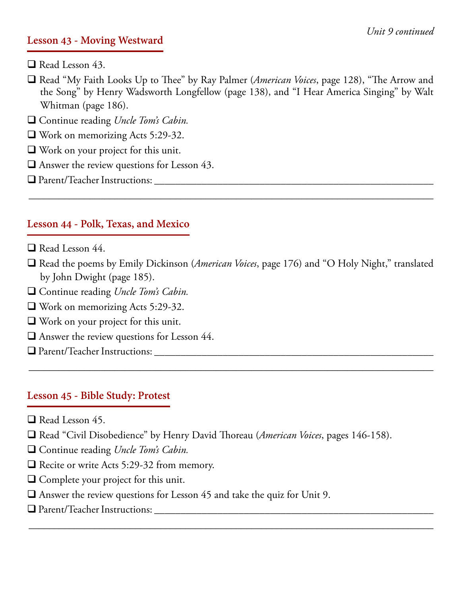#### **Lesson 43 - Moving Westward**

- $\Box$  Read Lesson 43.
- q Read "My Faith Looks Up to Thee" by Ray Palmer (*American Voices*, page 128), "The Arrow and the Song" by Henry Wadsworth Longfellow (page 138), and "I Hear America Singing" by Walt Whitman (page 186).
- □ Continue reading *Uncle Tom's Cabin.*
- $\Box$  Work on memorizing Acts 5:29-32.
- $\Box$  Work on your project for this unit.
- $\Box$  Answer the review questions for Lesson 43.
- q Parent/Teacher Instructions: \_\_\_\_\_\_\_\_\_\_\_\_\_\_\_\_\_\_\_\_\_\_\_\_\_\_\_\_\_\_\_\_\_\_\_\_\_\_\_\_\_\_\_\_\_\_\_\_\_\_\_\_\_

#### **Lesson 44 - Polk, Texas, and Mexico**

- $\Box$  Read Lesson 44.
- q Read the poems by Emily Dickinson (*American Voices*, page 176) and "O Holy Night," translated by John Dwight (page 185).

\_\_\_\_\_\_\_\_\_\_\_\_\_\_\_\_\_\_\_\_\_\_\_\_\_\_\_\_\_\_\_\_\_\_\_\_\_\_\_\_\_\_\_\_\_\_\_\_\_\_\_\_\_\_\_\_\_\_\_\_\_\_\_\_\_\_\_\_\_\_\_\_\_\_\_\_\_\_\_\_

\_\_\_\_\_\_\_\_\_\_\_\_\_\_\_\_\_\_\_\_\_\_\_\_\_\_\_\_\_\_\_\_\_\_\_\_\_\_\_\_\_\_\_\_\_\_\_\_\_\_\_\_\_\_\_\_\_\_\_\_\_\_\_\_\_\_\_\_\_\_\_\_\_\_\_\_\_\_\_\_

\_\_\_\_\_\_\_\_\_\_\_\_\_\_\_\_\_\_\_\_\_\_\_\_\_\_\_\_\_\_\_\_\_\_\_\_\_\_\_\_\_\_\_\_\_\_\_\_\_\_\_\_\_\_\_\_\_\_\_\_\_\_\_\_\_\_\_\_\_\_\_\_\_\_\_\_\_\_\_\_

- □ Continue reading *Uncle Tom's Cabin.*
- $\Box$  Work on memorizing Acts 5:29-32.
- $\Box$  Work on your project for this unit.
- $\Box$  Answer the review questions for Lesson 44.
- q Parent/Teacher Instructions: \_\_\_\_\_\_\_\_\_\_\_\_\_\_\_\_\_\_\_\_\_\_\_\_\_\_\_\_\_\_\_\_\_\_\_\_\_\_\_\_\_\_\_\_\_\_\_\_\_\_\_\_\_

#### **Lesson 45 - Bible Study: Protest**

- $\Box$  Read Lesson 45.
- □ Read "Civil Disobedience" by Henry David Thoreau (*American Voices*, pages 146-158).
- □ Continue reading *Uncle Tom's Cabin.*
- $\Box$  Recite or write Acts 5:29-32 from memory.
- $\Box$  Complete your project for this unit.
- $\Box$  Answer the review questions for Lesson 45 and take the quiz for Unit 9.
- q Parent/Teacher Instructions: \_\_\_\_\_\_\_\_\_\_\_\_\_\_\_\_\_\_\_\_\_\_\_\_\_\_\_\_\_\_\_\_\_\_\_\_\_\_\_\_\_\_\_\_\_\_\_\_\_\_\_\_\_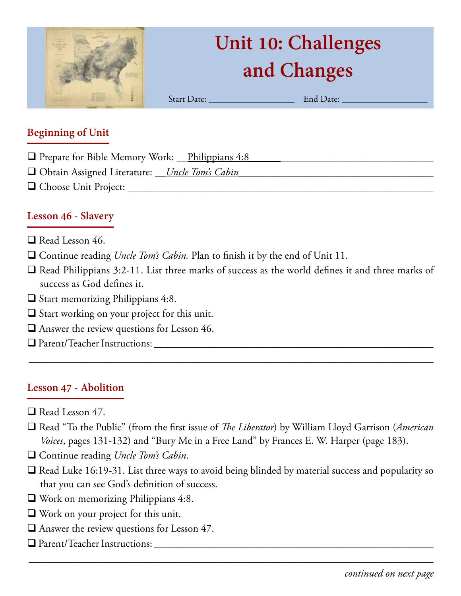

# **Unit 10: Challenges and Changes**

Start Date: \_\_\_\_\_\_\_\_\_\_\_\_\_\_\_\_\_\_\_ End Date: \_\_\_\_\_\_\_\_\_\_\_\_\_\_\_\_\_\_\_

# **Beginning of Unit**

- $\Box$  Prepare for Bible Memory Work: \_\_Philippians 4:8
- □ Obtain Assigned Literature: \_\_*Uncle Tom's Cabin\_\_\_\_\_\_\_\_\_\_\_\_\_\_\_\_\_\_\_\_\_\_\_\_\_\_\_\_\_\_\_\_\_\_\_*
- q Choose Unit Project: \_\_\_\_\_\_\_\_\_\_\_\_\_\_\_\_\_\_\_\_\_\_\_\_\_\_\_\_\_\_\_\_\_\_\_\_\_\_\_\_\_\_\_\_\_\_\_\_\_\_\_\_\_\_\_\_\_\_

### **Lesson 46 - Slavery**

- $\Box$  Read Lesson 46.
- □ Continue reading *Uncle Tom's Cabin*. Plan to finish it by the end of Unit 11.
- $\Box$  Read Philippians 3:2-11. List three marks of success as the world defines it and three marks of success as God defines it.
- $\Box$  Start memorizing Philippians 4:8.
- $\Box$  Start working on your project for this unit.
- $\Box$  Answer the review questions for Lesson 46.
- q Parent/Teacher Instructions: \_\_\_\_\_\_\_\_\_\_\_\_\_\_\_\_\_\_\_\_\_\_\_\_\_\_\_\_\_\_\_\_\_\_\_\_\_\_\_\_\_\_\_\_\_\_\_\_\_\_\_\_\_

#### **Lesson 47 - Abolition**

- Read Lesson 47.
- □ Read "To the Public" (from the first issue of *The Liberator*) by William Lloyd Garrison (*American Voices*, pages 131-132) and "Bury Me in a Free Land" by Frances E. W. Harper (page 183).

\_\_\_\_\_\_\_\_\_\_\_\_\_\_\_\_\_\_\_\_\_\_\_\_\_\_\_\_\_\_\_\_\_\_\_\_\_\_\_\_\_\_\_\_\_\_\_\_\_\_\_\_\_\_\_\_\_\_\_\_\_\_\_\_\_\_\_\_\_\_\_\_\_\_\_\_\_\_\_\_

- □ Continue reading *Uncle Tom's Cabin*.
- $\Box$  Read Luke 16:19-31. List three ways to avoid being blinded by material success and popularity so that you can see God's definition of success.

- $\Box$  Work on memorizing Philippians 4:8.
- $\Box$  Work on your project for this unit.
- $\Box$  Answer the review questions for Lesson 47.
- q Parent/Teacher Instructions: \_\_\_\_\_\_\_\_\_\_\_\_\_\_\_\_\_\_\_\_\_\_\_\_\_\_\_\_\_\_\_\_\_\_\_\_\_\_\_\_\_\_\_\_\_\_\_\_\_\_\_\_\_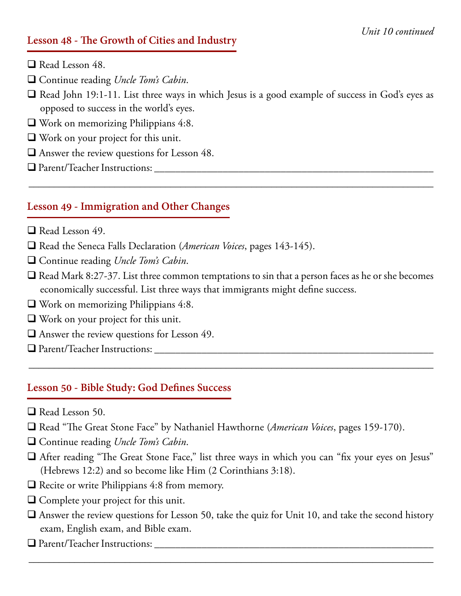#### **Lesson 48 - The Growth of Cities and Industry**

- $\Box$  Read Lesson 48.
- □ Continue reading *Uncle Tom's Cabin*.
- $\Box$  Read John 19:1-11. List three ways in which Jesus is a good example of success in God's eyes as opposed to success in the world's eyes.

\_\_\_\_\_\_\_\_\_\_\_\_\_\_\_\_\_\_\_\_\_\_\_\_\_\_\_\_\_\_\_\_\_\_\_\_\_\_\_\_\_\_\_\_\_\_\_\_\_\_\_\_\_\_\_\_\_\_\_\_\_\_\_\_\_\_\_\_\_\_\_\_\_\_\_\_\_\_\_\_

- $\Box$  Work on memorizing Philippians 4:8.
- $\Box$  Work on your project for this unit.
- $\Box$  Answer the review questions for Lesson 48.
- q Parent/Teacher Instructions: \_\_\_\_\_\_\_\_\_\_\_\_\_\_\_\_\_\_\_\_\_\_\_\_\_\_\_\_\_\_\_\_\_\_\_\_\_\_\_\_\_\_\_\_\_\_\_\_\_\_\_\_\_

#### **Lesson 49 - Immigration and Other Changes**

- $\Box$  Read Lesson 49.
- □ Read the Seneca Falls Declaration (*American Voices*, pages 143-145).
- □ Continue reading *Uncle Tom's Cabin*.
- $\Box$  Read Mark 8:27-37. List three common temptations to sin that a person faces as he or she becomes economically successful. List three ways that immigrants might define success.

\_\_\_\_\_\_\_\_\_\_\_\_\_\_\_\_\_\_\_\_\_\_\_\_\_\_\_\_\_\_\_\_\_\_\_\_\_\_\_\_\_\_\_\_\_\_\_\_\_\_\_\_\_\_\_\_\_\_\_\_\_\_\_\_\_\_\_\_\_\_\_\_\_\_\_\_\_\_\_\_

- $\Box$  Work on memorizing Philippians 4:8.
- $\Box$  Work on your project for this unit.
- $\Box$  Answer the review questions for Lesson 49.
- q Parent/Teacher Instructions: \_\_\_\_\_\_\_\_\_\_\_\_\_\_\_\_\_\_\_\_\_\_\_\_\_\_\_\_\_\_\_\_\_\_\_\_\_\_\_\_\_\_\_\_\_\_\_\_\_\_\_\_\_

#### **Lesson 50 - Bible Study: God Defines Success**

- $\Box$  Read Lesson 50.
- q Read "The Great Stone Face" by Nathaniel Hawthorne (*American Voices*, pages 159-170).
- □ Continue reading *Uncle Tom's Cabin*.
- $\Box$  After reading "The Great Stone Face," list three ways in which you can "fix your eyes on Jesus" (Hebrews 12:2) and so become like Him (2 Corinthians 3:18).
- $\Box$  Recite or write Philippians 4:8 from memory.
- $\Box$  Complete your project for this unit.
- $\Box$  Answer the review questions for Lesson 50, take the quiz for Unit 10, and take the second history exam, English exam, and Bible exam.

\_\_\_\_\_\_\_\_\_\_\_\_\_\_\_\_\_\_\_\_\_\_\_\_\_\_\_\_\_\_\_\_\_\_\_\_\_\_\_\_\_\_\_\_\_\_\_\_\_\_\_\_\_\_\_\_\_\_\_\_\_\_\_\_\_\_\_\_\_\_\_\_\_\_\_\_\_\_\_\_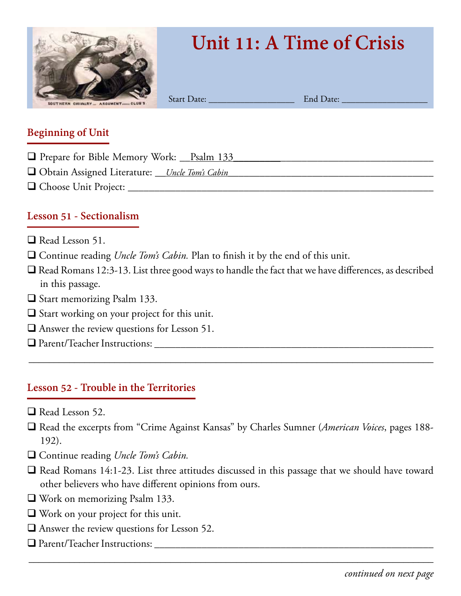

# **Unit 11: A Time of Crisis**

Start Date: \_\_\_\_\_\_\_\_\_\_\_\_\_\_\_\_\_\_\_ End Date: \_\_\_\_\_\_\_\_\_\_\_\_\_\_\_\_\_\_\_

#### **Beginning of Unit**

- □ Prepare for Bible Memory Work: \_\_Psalm 133
- q Obtain Assigned Literature: \_\_*Uncle Tom's Cabin*\_\_*\_\_\_*\_\_\_\_\_\_\_\_\_\_\_\_\_\_\_\_\_\_\_\_\_\_\_\_\_\_\_\_\_\_\_\_\_\_
- q Choose Unit Project: \_\_\_\_\_\_\_\_\_\_\_\_\_\_\_\_\_\_\_\_\_\_\_\_\_\_\_\_\_\_\_\_\_\_\_\_\_\_\_\_\_\_\_\_\_\_\_\_\_\_\_\_\_\_\_\_\_\_

# **Lesson 51 - Sectionalism**

- $\Box$  Read Lesson 51.
- □ Continue reading *Uncle Tom's Cabin*. Plan to finish it by the end of this unit.
- $\Box$  Read Romans 12:3-13. List three good ways to handle the fact that we have differences, as described in this passage.
- $\Box$  Start memorizing Psalm 133.
- $\Box$  Start working on your project for this unit.
- $\Box$  Answer the review questions for Lesson 51.
- q Parent/Teacher Instructions: \_\_\_\_\_\_\_\_\_\_\_\_\_\_\_\_\_\_\_\_\_\_\_\_\_\_\_\_\_\_\_\_\_\_\_\_\_\_\_\_\_\_\_\_\_\_\_\_\_\_\_\_\_

#### **Lesson 52 - Trouble in the Territories**

- $\Box$  Read Lesson 52.
- q Read the excerpts from "Crime Against Kansas" by Charles Sumner (*American Voices*, pages 188- 192).

\_\_\_\_\_\_\_\_\_\_\_\_\_\_\_\_\_\_\_\_\_\_\_\_\_\_\_\_\_\_\_\_\_\_\_\_\_\_\_\_\_\_\_\_\_\_\_\_\_\_\_\_\_\_\_\_\_\_\_\_\_\_\_\_\_\_\_\_\_\_\_\_\_\_\_\_\_\_\_\_

- □ Continue reading *Uncle Tom's Cabin.*
- $\Box$  Read Romans 14:1-23. List three attitudes discussed in this passage that we should have toward other believers who have different opinions from ours.

- $\Box$  Work on memorizing Psalm 133.
- $\Box$  Work on your project for this unit.
- $\Box$  Answer the review questions for Lesson 52.
- q Parent/Teacher Instructions: \_\_\_\_\_\_\_\_\_\_\_\_\_\_\_\_\_\_\_\_\_\_\_\_\_\_\_\_\_\_\_\_\_\_\_\_\_\_\_\_\_\_\_\_\_\_\_\_\_\_\_\_\_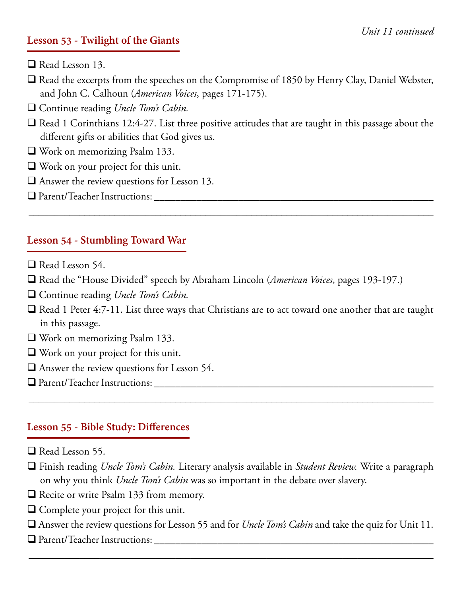#### **Lesson 53 - Twilight of the Giants**

- Read Lesson 13.
- $\Box$  Read the excerpts from the speeches on the Compromise of 1850 by Henry Clay, Daniel Webster, and John C. Calhoun (*American Voices*, pages 171-175).

□ Continue reading *Uncle Tom's Cabin*.

 $\Box$  Read 1 Corinthians 12:4-27. List three positive attitudes that are taught in this passage about the different gifts or abilities that God gives us.

\_\_\_\_\_\_\_\_\_\_\_\_\_\_\_\_\_\_\_\_\_\_\_\_\_\_\_\_\_\_\_\_\_\_\_\_\_\_\_\_\_\_\_\_\_\_\_\_\_\_\_\_\_\_\_\_\_\_\_\_\_\_\_\_\_\_\_\_\_\_\_\_\_\_\_\_\_\_\_\_

- $\Box$  Work on memorizing Psalm 133.
- $\Box$  Work on your project for this unit.
- $\Box$  Answer the review questions for Lesson 13.
- q Parent/Teacher Instructions: \_\_\_\_\_\_\_\_\_\_\_\_\_\_\_\_\_\_\_\_\_\_\_\_\_\_\_\_\_\_\_\_\_\_\_\_\_\_\_\_\_\_\_\_\_\_\_\_\_\_\_\_\_

#### **Lesson 54 - Stumbling Toward War**

- $\Box$  Read Lesson 54.
- □ Read the "House Divided" speech by Abraham Lincoln (*American Voices*, pages 193-197.)
- □ Continue reading *Uncle Tom's Cabin.*
- □ Read 1 Peter 4:7-11. List three ways that Christians are to act toward one another that are taught in this passage.
- $\Box$  Work on memorizing Psalm 133.
- $\Box$  Work on your project for this unit.
- $\Box$  Answer the review questions for Lesson 54.
- q Parent/Teacher Instructions: \_\_\_\_\_\_\_\_\_\_\_\_\_\_\_\_\_\_\_\_\_\_\_\_\_\_\_\_\_\_\_\_\_\_\_\_\_\_\_\_\_\_\_\_\_\_\_\_\_\_\_\_\_

# **Lesson 55 - Bible Study: Differences**

- $\Box$  Read Lesson 55.
- q Finish reading *Uncle Tom's Cabin.* Literary analysis available in *Student Review.* Write a paragraph on why you think *Uncle Tom's Cabin* was so important in the debate over slavery.

\_\_\_\_\_\_\_\_\_\_\_\_\_\_\_\_\_\_\_\_\_\_\_\_\_\_\_\_\_\_\_\_\_\_\_\_\_\_\_\_\_\_\_\_\_\_\_\_\_\_\_\_\_\_\_\_\_\_\_\_\_\_\_\_\_\_\_\_\_\_\_\_\_\_\_\_\_\_\_\_

- $\Box$  Recite or write Psalm 133 from memory.
- $\Box$  Complete your project for this unit.
- q Answer the review questions for Lesson 55 and for *Uncle Tom's Cabin* and take the quiz for Unit 11.

\_\_\_\_\_\_\_\_\_\_\_\_\_\_\_\_\_\_\_\_\_\_\_\_\_\_\_\_\_\_\_\_\_\_\_\_\_\_\_\_\_\_\_\_\_\_\_\_\_\_\_\_\_\_\_\_\_\_\_\_\_\_\_\_\_\_\_\_\_\_\_\_\_\_\_\_\_\_\_\_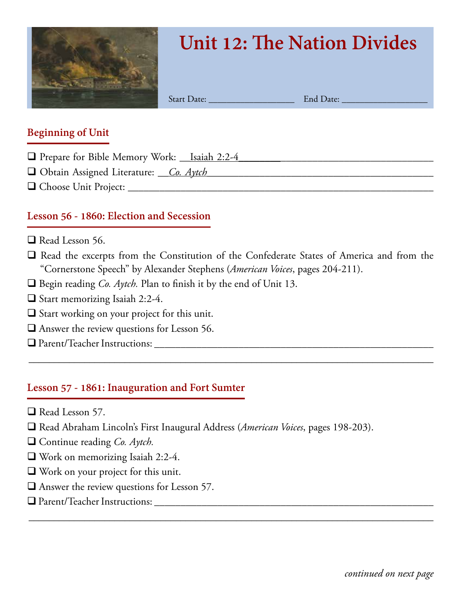

# **Unit 12: The Nation Divides**

Start Date: \_\_\_\_\_\_\_\_\_\_\_\_\_\_\_\_\_\_\_ End Date: \_\_\_\_\_\_\_\_\_\_\_\_\_\_\_\_\_\_\_

#### **Beginning of Unit**

- □ Prepare for Bible Memory Work: \_\_Isaiah 2:2-4
- q Obtain Assigned Literature: \_\_*Co. Aytch*\_\_\_\_\_\_*\_\_\_*\_\_\_\_\_\_\_\_\_\_\_\_\_\_\_\_\_\_\_\_\_\_\_\_\_\_\_\_\_\_\_\_\_\_
- q Choose Unit Project: \_\_\_\_\_\_\_\_\_\_\_\_\_\_\_\_\_\_\_\_\_\_\_\_\_\_\_\_\_\_\_\_\_\_\_\_\_\_\_\_\_\_\_\_\_\_\_\_\_\_\_\_\_\_\_\_\_\_

# **Lesson 56 - 1860: Election and Secession**

- $\Box$  Read Lesson 56.
- $\Box$  Read the excerpts from the Constitution of the Confederate States of America and from the "Cornerstone Speech" by Alexander Stephens (*American Voices*, pages 204-211).

\_\_\_\_\_\_\_\_\_\_\_\_\_\_\_\_\_\_\_\_\_\_\_\_\_\_\_\_\_\_\_\_\_\_\_\_\_\_\_\_\_\_\_\_\_\_\_\_\_\_\_\_\_\_\_\_\_\_\_\_\_\_\_\_\_\_\_\_\_\_\_\_\_\_\_\_\_\_\_\_

\_\_\_\_\_\_\_\_\_\_\_\_\_\_\_\_\_\_\_\_\_\_\_\_\_\_\_\_\_\_\_\_\_\_\_\_\_\_\_\_\_\_\_\_\_\_\_\_\_\_\_\_\_\_\_\_\_\_\_\_\_\_\_\_\_\_\_\_\_\_\_\_\_\_\_\_\_\_\_\_

- □ Begin reading *Co. Aytch*. Plan to finish it by the end of Unit 13.
- $\Box$  Start memorizing Isaiah 2:2-4.
- $\Box$  Start working on your project for this unit.
- $\Box$  Answer the review questions for Lesson 56.
- q Parent/Teacher Instructions: \_\_\_\_\_\_\_\_\_\_\_\_\_\_\_\_\_\_\_\_\_\_\_\_\_\_\_\_\_\_\_\_\_\_\_\_\_\_\_\_\_\_\_\_\_\_\_\_\_\_\_\_\_

#### **Lesson 57 - 1861: Inauguration and Fort Sumter**

- $\Box$  Read Lesson 57.
- q Read Abraham Lincoln's First Inaugural Address (*American Voices*, pages 198-203).
- □ Continue reading *Co. Aytch*.
- $\Box$  Work on memorizing Isaiah 2:2-4.
- $\Box$  Work on your project for this unit.
- $\Box$  Answer the review questions for Lesson 57.
- q Parent/Teacher Instructions: \_\_\_\_\_\_\_\_\_\_\_\_\_\_\_\_\_\_\_\_\_\_\_\_\_\_\_\_\_\_\_\_\_\_\_\_\_\_\_\_\_\_\_\_\_\_\_\_\_\_\_\_\_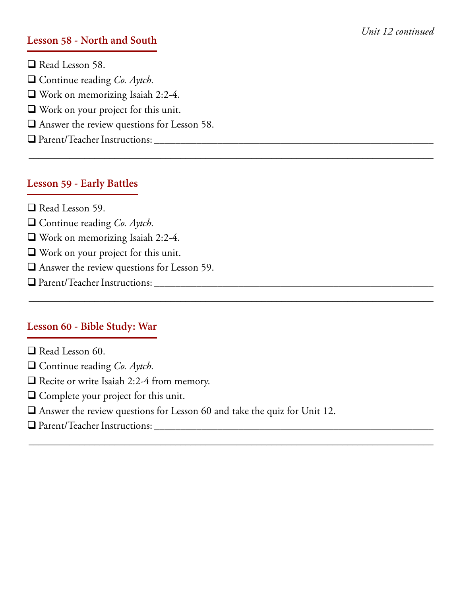#### **Lesson 58 - North and South**

 $\Box$  Read Lesson 58. □ Continue reading *Co. Aytch.*  $\Box$  Work on memorizing Isaiah 2:2-4.  $\Box$  Work on your project for this unit.  $\Box$  Answer the review questions for Lesson 58. q Parent/Teacher Instructions: \_\_\_\_\_\_\_\_\_\_\_\_\_\_\_\_\_\_\_\_\_\_\_\_\_\_\_\_\_\_\_\_\_\_\_\_\_\_\_\_\_\_\_\_\_\_\_\_\_\_\_\_\_

#### **Lesson 59 - Early Battles**

- $\Box$  Read Lesson 59.
- □ Continue reading *Co. Aytch.*
- $\Box$  Work on memorizing Isaiah 2:2-4.
- $\Box$  Work on your project for this unit.
- $\Box$  Answer the review questions for Lesson 59.
- q Parent/Teacher Instructions: \_\_\_\_\_\_\_\_\_\_\_\_\_\_\_\_\_\_\_\_\_\_\_\_\_\_\_\_\_\_\_\_\_\_\_\_\_\_\_\_\_\_\_\_\_\_\_\_\_\_\_\_\_

#### **Lesson 60 - Bible Study: War**

- $\Box$  Read Lesson 60.
- □ Continue reading *Co. Aytch*.
- $\Box$  Recite or write Isaiah 2:2-4 from memory.
- $\Box$  Complete your project for this unit.
- $\Box$  Answer the review questions for Lesson 60 and take the quiz for Unit 12.

\_\_\_\_\_\_\_\_\_\_\_\_\_\_\_\_\_\_\_\_\_\_\_\_\_\_\_\_\_\_\_\_\_\_\_\_\_\_\_\_\_\_\_\_\_\_\_\_\_\_\_\_\_\_\_\_\_\_\_\_\_\_\_\_\_\_\_\_\_\_\_\_\_\_\_\_\_\_\_\_

\_\_\_\_\_\_\_\_\_\_\_\_\_\_\_\_\_\_\_\_\_\_\_\_\_\_\_\_\_\_\_\_\_\_\_\_\_\_\_\_\_\_\_\_\_\_\_\_\_\_\_\_\_\_\_\_\_\_\_\_\_\_\_\_\_\_\_\_\_\_\_\_\_\_\_\_\_\_\_\_

\_\_\_\_\_\_\_\_\_\_\_\_\_\_\_\_\_\_\_\_\_\_\_\_\_\_\_\_\_\_\_\_\_\_\_\_\_\_\_\_\_\_\_\_\_\_\_\_\_\_\_\_\_\_\_\_\_\_\_\_\_\_\_\_\_\_\_\_\_\_\_\_\_\_\_\_\_\_\_\_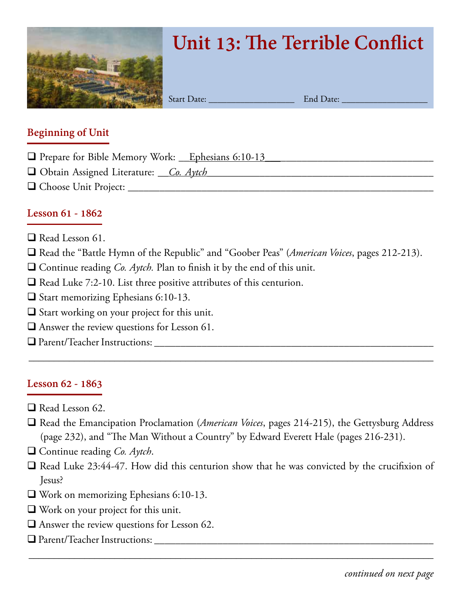

# **Unit 13: The Terrible Conflict**

Start Date: \_\_\_\_\_\_\_\_\_\_\_\_\_\_\_\_\_\_\_ End Date: \_\_\_\_\_\_\_\_\_\_\_\_\_\_\_\_\_\_\_

#### **Beginning of Unit**

- $\Box$  Prepare for Bible Memory Work: Lephesians 6:10-13
- □ Obtain Assigned Literature: <u>Co. Aytch</u>
- q Choose Unit Project: \_\_\_\_\_\_\_\_\_\_\_\_\_\_\_\_\_\_\_\_\_\_\_\_\_\_\_\_\_\_\_\_\_\_\_\_\_\_\_\_\_\_\_\_\_\_\_\_\_\_\_\_\_\_\_\_\_\_

#### **Lesson 61 - 1862**

- $\Box$  Read Lesson 61.
- □ Read the "Battle Hymn of the Republic" and "Goober Peas" (*American Voices*, pages 212-213).
- $\Box$  Continue reading *Co. Aytch*. Plan to finish it by the end of this unit.
- $\Box$  Read Luke 7:2-10. List three positive attributes of this centurion.
- $\Box$  Start memorizing Ephesians 6:10-13.
- $\Box$  Start working on your project for this unit.
- $\Box$  Answer the review questions for Lesson 61.
- q Parent/Teacher Instructions: \_\_\_\_\_\_\_\_\_\_\_\_\_\_\_\_\_\_\_\_\_\_\_\_\_\_\_\_\_\_\_\_\_\_\_\_\_\_\_\_\_\_\_\_\_\_\_\_\_\_\_\_\_

# **Lesson 62 - 1863**

- $\Box$  Read Lesson 62.
- □ Read the Emancipation Proclamation (*American Voices*, pages 214-215), the Gettysburg Address (page 232), and "The Man Without a Country" by Edward Everett Hale (pages 216-231).

\_\_\_\_\_\_\_\_\_\_\_\_\_\_\_\_\_\_\_\_\_\_\_\_\_\_\_\_\_\_\_\_\_\_\_\_\_\_\_\_\_\_\_\_\_\_\_\_\_\_\_\_\_\_\_\_\_\_\_\_\_\_\_\_\_\_\_\_\_\_\_\_\_\_\_\_\_\_\_\_

- □ Continue reading *Co. Aytch*.
- $\Box$  Read Luke 23:44-47. How did this centurion show that he was convicted by the crucifixion of Jesus?

- $\Box$  Work on memorizing Ephesians 6:10-13.
- $\Box$  Work on your project for this unit.
- $\Box$  Answer the review questions for Lesson 62.
- q Parent/Teacher Instructions: \_\_\_\_\_\_\_\_\_\_\_\_\_\_\_\_\_\_\_\_\_\_\_\_\_\_\_\_\_\_\_\_\_\_\_\_\_\_\_\_\_\_\_\_\_\_\_\_\_\_\_\_\_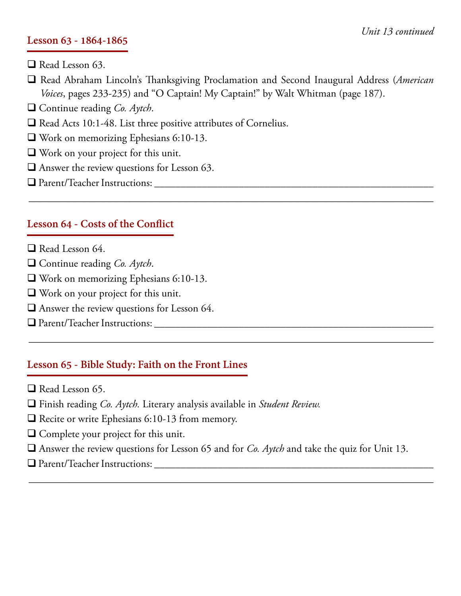#### **Lesson 63 - 1864-1865**

- $\Box$  Read Lesson 63.
- q Read Abraham Lincoln's Thanksgiving Proclamation and Second Inaugural Address (*American Voices*, pages 233-235) and "O Captain! My Captain!" by Walt Whitman (page 187).

\_\_\_\_\_\_\_\_\_\_\_\_\_\_\_\_\_\_\_\_\_\_\_\_\_\_\_\_\_\_\_\_\_\_\_\_\_\_\_\_\_\_\_\_\_\_\_\_\_\_\_\_\_\_\_\_\_\_\_\_\_\_\_\_\_\_\_\_\_\_\_\_\_\_\_\_\_\_\_\_

\_\_\_\_\_\_\_\_\_\_\_\_\_\_\_\_\_\_\_\_\_\_\_\_\_\_\_\_\_\_\_\_\_\_\_\_\_\_\_\_\_\_\_\_\_\_\_\_\_\_\_\_\_\_\_\_\_\_\_\_\_\_\_\_\_\_\_\_\_\_\_\_\_\_\_\_\_\_\_\_

- □ Continue reading *Co. Aytch*.
- $\Box$  Read Acts 10:1-48. List three positive attributes of Cornelius.
- $\Box$  Work on memorizing Ephesians 6:10-13.
- $\Box$  Work on your project for this unit.
- $\Box$  Answer the review questions for Lesson 63.
- q Parent/Teacher Instructions: \_\_\_\_\_\_\_\_\_\_\_\_\_\_\_\_\_\_\_\_\_\_\_\_\_\_\_\_\_\_\_\_\_\_\_\_\_\_\_\_\_\_\_\_\_\_\_\_\_\_\_\_\_

#### **Lesson 64 - Costs of the Conflict**

- $\Box$  Read Lesson 64.
- □ Continue reading *Co. Aytch*.
- $\Box$  Work on memorizing Ephesians 6:10-13.
- $\Box$  Work on your project for this unit.
- $\Box$  Answer the review questions for Lesson 64.
- q Parent/Teacher Instructions: \_\_\_\_\_\_\_\_\_\_\_\_\_\_\_\_\_\_\_\_\_\_\_\_\_\_\_\_\_\_\_\_\_\_\_\_\_\_\_\_\_\_\_\_\_\_\_\_\_\_\_\_\_

#### **Lesson 65 - Bible Study: Faith on the Front Lines**

- $\Box$  Read Lesson 65.
- q Finish reading *Co. Aytch.* Literary analysis available in *Student Review.*
- $\Box$  Recite or write Ephesians 6:10-13 from memory.
- $\Box$  Complete your project for this unit.
- q Answer the review questions for Lesson 65 and for *Co. Aytch* and take the quiz for Unit 13.

\_\_\_\_\_\_\_\_\_\_\_\_\_\_\_\_\_\_\_\_\_\_\_\_\_\_\_\_\_\_\_\_\_\_\_\_\_\_\_\_\_\_\_\_\_\_\_\_\_\_\_\_\_\_\_\_\_\_\_\_\_\_\_\_\_\_\_\_\_\_\_\_\_\_\_\_\_\_\_\_

 $\Box$  Parent/Teacher Instructions: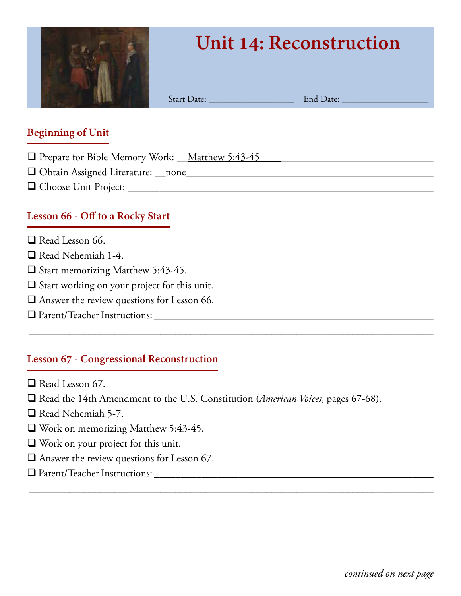

# **Unit 14: Reconstruction**

Start Date: \_\_\_\_\_\_\_\_\_\_\_\_\_\_\_\_\_\_\_ End Date: \_\_\_\_\_\_\_\_\_\_\_\_\_\_\_\_\_\_\_

#### **Beginning of Unit**

- □ Prepare for Bible Memory Work: \_\_Matthew 5:43-45
- q Obtain Assigned Literature: \_\_none*\_\_\_\_\_\_\_\_\_\_\_\_\_*\_\_\_\_\_\_\_\_\_\_\_\_\_\_\_\_\_\_\_\_\_\_\_\_\_\_\_\_\_\_\_\_\_\_
- q Choose Unit Project: \_\_\_\_\_\_\_\_\_\_\_\_\_\_\_\_\_\_\_\_\_\_\_\_\_\_\_\_\_\_\_\_\_\_\_\_\_\_\_\_\_\_\_\_\_\_\_\_\_\_\_\_\_\_\_\_\_\_

### **Lesson 66 - Off to a Rocky Start**

- $\Box$  Read Lesson 66.
- $\Box$  Read Nehemiah 1-4.
- $\Box$  Start memorizing Matthew 5:43-45.
- $\Box$  Start working on your project for this unit.
- $\Box$  Answer the review questions for Lesson 66.
- q Parent/Teacher Instructions: \_\_\_\_\_\_\_\_\_\_\_\_\_\_\_\_\_\_\_\_\_\_\_\_\_\_\_\_\_\_\_\_\_\_\_\_\_\_\_\_\_\_\_\_\_\_\_\_\_\_\_\_\_

# **Lesson 67 - Congressional Reconstruction**

- $\Box$  Read Lesson 67.
- □ Read the 14th Amendment to the U.S. Constitution (*American Voices*, pages 67-68).

\_\_\_\_\_\_\_\_\_\_\_\_\_\_\_\_\_\_\_\_\_\_\_\_\_\_\_\_\_\_\_\_\_\_\_\_\_\_\_\_\_\_\_\_\_\_\_\_\_\_\_\_\_\_\_\_\_\_\_\_\_\_\_\_\_\_\_\_\_\_\_\_\_\_\_\_\_\_\_\_

- $\Box$  Read Nehemiah 5-7.
- $\Box$  Work on memorizing Matthew 5:43-45.
- $\Box$  Work on your project for this unit.
- $\Box$  Answer the review questions for Lesson 67.
- q Parent/Teacher Instructions: \_\_\_\_\_\_\_\_\_\_\_\_\_\_\_\_\_\_\_\_\_\_\_\_\_\_\_\_\_\_\_\_\_\_\_\_\_\_\_\_\_\_\_\_\_\_\_\_\_\_\_\_\_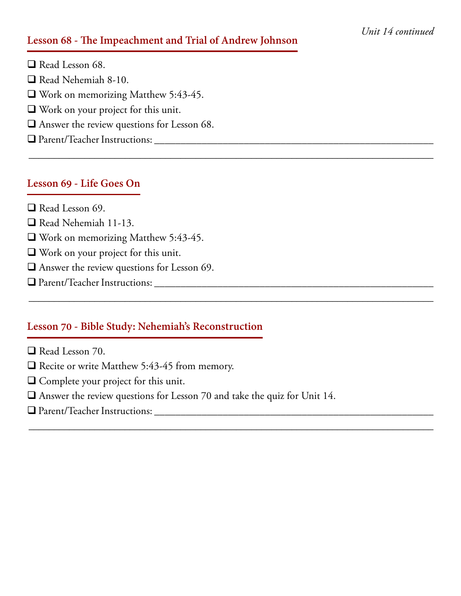#### **Lesson 68 - The Impeachment and Trial of Andrew Johnson**

\_\_\_\_\_\_\_\_\_\_\_\_\_\_\_\_\_\_\_\_\_\_\_\_\_\_\_\_\_\_\_\_\_\_\_\_\_\_\_\_\_\_\_\_\_\_\_\_\_\_\_\_\_\_\_\_\_\_\_\_\_\_\_\_\_\_\_\_\_\_\_\_\_\_\_\_\_\_\_\_

\_\_\_\_\_\_\_\_\_\_\_\_\_\_\_\_\_\_\_\_\_\_\_\_\_\_\_\_\_\_\_\_\_\_\_\_\_\_\_\_\_\_\_\_\_\_\_\_\_\_\_\_\_\_\_\_\_\_\_\_\_\_\_\_\_\_\_\_\_\_\_\_\_\_\_\_\_\_\_\_

\_\_\_\_\_\_\_\_\_\_\_\_\_\_\_\_\_\_\_\_\_\_\_\_\_\_\_\_\_\_\_\_\_\_\_\_\_\_\_\_\_\_\_\_\_\_\_\_\_\_\_\_\_\_\_\_\_\_\_\_\_\_\_\_\_\_\_\_\_\_\_\_\_\_\_\_\_\_\_\_

 $\Box$  Read Lesson 68.  $\Box$  Read Nehemiah 8-10.  $\Box$  Work on memorizing Matthew 5:43-45.  $\Box$  Work on your project for this unit.  $\Box$  Answer the review questions for Lesson 68. q Parent/Teacher Instructions: \_\_\_\_\_\_\_\_\_\_\_\_\_\_\_\_\_\_\_\_\_\_\_\_\_\_\_\_\_\_\_\_\_\_\_\_\_\_\_\_\_\_\_\_\_\_\_\_\_\_\_\_\_

#### **Lesson 69 - Life Goes On**

- $\Box$  Read Lesson 69.
- □ Read Nehemiah 11-13.
- $\Box$  Work on memorizing Matthew 5:43-45.
- $\Box$  Work on your project for this unit.
- $\Box$  Answer the review questions for Lesson 69.
- q Parent/Teacher Instructions: \_\_\_\_\_\_\_\_\_\_\_\_\_\_\_\_\_\_\_\_\_\_\_\_\_\_\_\_\_\_\_\_\_\_\_\_\_\_\_\_\_\_\_\_\_\_\_\_\_\_\_\_\_

#### **Lesson 70 - Bible Study: Nehemiah's Reconstruction**

- $\Box$  Read Lesson 70.
- $\Box$  Recite or write Matthew 5:43-45 from memory.
- $\Box$  Complete your project for this unit.
- $\Box$  Answer the review questions for Lesson 70 and take the quiz for Unit 14.
- q Parent/Teacher Instructions: \_\_\_\_\_\_\_\_\_\_\_\_\_\_\_\_\_\_\_\_\_\_\_\_\_\_\_\_\_\_\_\_\_\_\_\_\_\_\_\_\_\_\_\_\_\_\_\_\_\_\_\_\_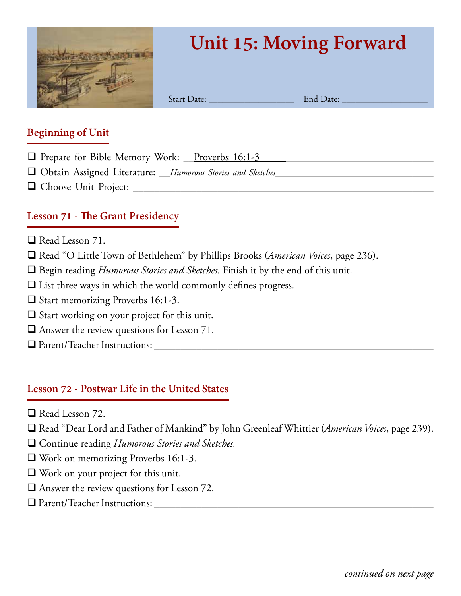

# **Unit 15: Moving Forward**

Start Date: <u>End Date:</u>

#### **Beginning of Unit**

- □ Prepare for Bible Memory Work: <u>Proverbs 16:1-3</u>
- q Obtain Assigned Literature: \_\_*Humorous Stories and Sketches*\_\_\_\_\_\_\_\_\_\_\_\_\_\_\_\_\_\_\_\_\_\_\_\_\_\_\_\_\_\_
- q Choose Unit Project: \_\_\_\_\_\_\_\_\_\_\_\_\_\_\_\_\_\_\_\_\_\_\_\_\_\_\_\_\_\_\_\_\_\_\_\_\_\_\_\_\_\_\_\_\_\_\_\_\_\_\_\_\_\_\_\_\_

# **Lesson 71 - The Grant Presidency**

- $\Box$  Read Lesson 71.
- □ Read "O Little Town of Bethlehem" by Phillips Brooks (*American Voices*, page 236).
- □ Begin reading *Humorous Stories and Sketches*. Finish it by the end of this unit.
- $\Box$  List three ways in which the world commonly defines progress.
- □ Start memorizing Proverbs 16:1-3.
- $\square$  Start working on your project for this unit.
- $\Box$  Answer the review questions for Lesson 71.
- q Parent/Teacher Instructions: \_\_\_\_\_\_\_\_\_\_\_\_\_\_\_\_\_\_\_\_\_\_\_\_\_\_\_\_\_\_\_\_\_\_\_\_\_\_\_\_\_\_\_\_\_\_\_\_\_\_\_\_\_

#### **Lesson 72 - Postwar Life in the United States**

- $\Box$  Read Lesson 72.
- q Read "Dear Lord and Father of Mankind" by John Greenleaf Whittier (*American Voices*, page 239).

\_\_\_\_\_\_\_\_\_\_\_\_\_\_\_\_\_\_\_\_\_\_\_\_\_\_\_\_\_\_\_\_\_\_\_\_\_\_\_\_\_\_\_\_\_\_\_\_\_\_\_\_\_\_\_\_\_\_\_\_\_\_\_\_\_\_\_\_\_\_\_\_\_\_\_\_\_\_\_\_

- □ Continue reading *Humorous Stories and Sketches*.
- $\Box$  Work on memorizing Proverbs 16:1-3.
- $\Box$  Work on your project for this unit.
- $\Box$  Answer the review questions for Lesson 72.
- q Parent/Teacher Instructions: \_\_\_\_\_\_\_\_\_\_\_\_\_\_\_\_\_\_\_\_\_\_\_\_\_\_\_\_\_\_\_\_\_\_\_\_\_\_\_\_\_\_\_\_\_\_\_\_\_\_\_\_\_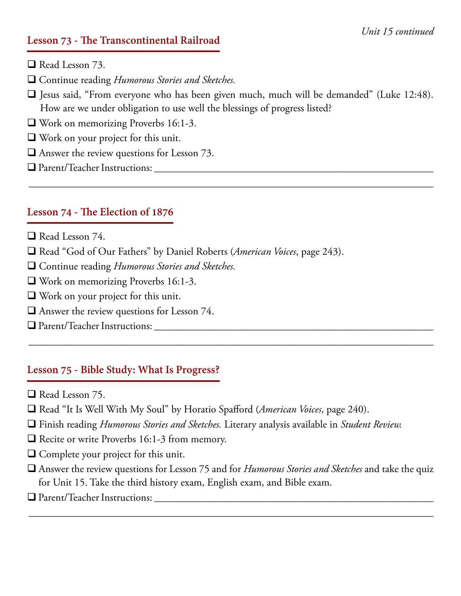#### **Lesson 73 - The Transcontinental Railroad**

- $\Box$  Read Lesson 73.
- □ Continue reading *Humorous Stories and Sketches*.
- $\Box$  Jesus said, "From everyone who has been given much, much will be demanded" (Luke 12:48). How are we under obligation to use well the blessings of progress listed?

\_\_\_\_\_\_\_\_\_\_\_\_\_\_\_\_\_\_\_\_\_\_\_\_\_\_\_\_\_\_\_\_\_\_\_\_\_\_\_\_\_\_\_\_\_\_\_\_\_\_\_\_\_\_\_\_\_\_\_\_\_\_\_\_\_\_\_\_\_\_\_\_\_\_\_\_\_\_\_\_

- $\Box$  Work on memorizing Proverbs 16:1-3.
- $\Box$  Work on your project for this unit.
- $\Box$  Answer the review questions for Lesson 73.
- q Parent/Teacher Instructions: \_\_\_\_\_\_\_\_\_\_\_\_\_\_\_\_\_\_\_\_\_\_\_\_\_\_\_\_\_\_\_\_\_\_\_\_\_\_\_\_\_\_\_\_\_\_\_\_\_\_\_\_\_

#### **Lesson 74 - The Election of 1876**

- $\Box$  Read Lesson 74.
- □ Read "God of Our Fathers" by Daniel Roberts (*American Voices*, page 243).
- **Q** Continue reading *Humorous Stories and Sketches*.
- $\Box$  Work on memorizing Proverbs 16:1-3.
- $\Box$  Work on your project for this unit.
- $\Box$  Answer the review questions for Lesson 74.
- q Parent/Teacher Instructions: \_\_\_\_\_\_\_\_\_\_\_\_\_\_\_\_\_\_\_\_\_\_\_\_\_\_\_\_\_\_\_\_\_\_\_\_\_\_\_\_\_\_\_\_\_\_\_\_\_\_\_\_\_

#### **Lesson 75 - Bible Study: What Is Progress?**

- $\Box$  Read Lesson 75.
- □ Read "It Is Well With My Soul" by Horatio Spafford (*American Voices*, page 240).
- q Finish reading *Humorous Stories and Sketches.* Literary analysis available in *Student Review.*
- $\Box$  Recite or write Proverbs 16:1-3 from memory.
- $\Box$  Complete your project for this unit.
- q Answer the review questions for Lesson 75 and for *Humorous Stories and Sketches* and take the quiz for Unit 15. Take the third history exam, English exam, and Bible exam.

\_\_\_\_\_\_\_\_\_\_\_\_\_\_\_\_\_\_\_\_\_\_\_\_\_\_\_\_\_\_\_\_\_\_\_\_\_\_\_\_\_\_\_\_\_\_\_\_\_\_\_\_\_\_\_\_\_\_\_\_\_\_\_\_\_\_\_\_\_\_\_\_\_\_\_\_\_\_\_\_

\_\_\_\_\_\_\_\_\_\_\_\_\_\_\_\_\_\_\_\_\_\_\_\_\_\_\_\_\_\_\_\_\_\_\_\_\_\_\_\_\_\_\_\_\_\_\_\_\_\_\_\_\_\_\_\_\_\_\_\_\_\_\_\_\_\_\_\_\_\_\_\_\_\_\_\_\_\_\_\_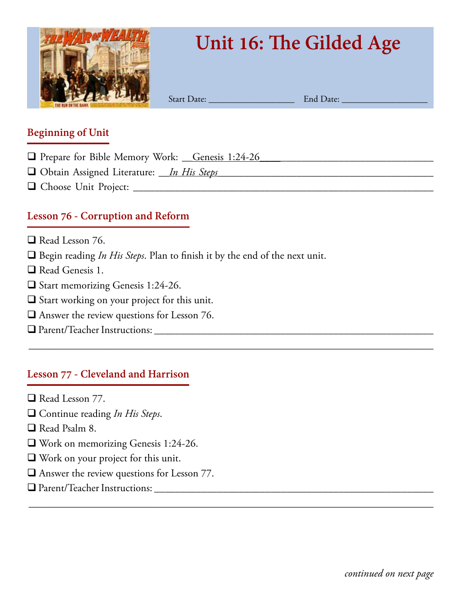

# **Unit 16: The Gilded Age**

Start Date: \_\_\_\_\_\_\_\_\_\_\_\_\_\_\_\_\_\_\_ End Date: \_\_\_\_\_\_\_\_\_\_\_\_\_\_\_\_\_\_\_

#### **Beginning of Unit**

- **Q** Prepare for Bible Memory Work: Genesis 1:24-26
- □ Obtain Assigned Literature: *\_\_In His Steps*
- q Choose Unit Project: \_\_\_\_\_\_\_\_\_\_\_\_\_\_\_\_\_\_\_\_\_\_\_\_\_\_\_\_\_\_\_\_\_\_\_\_\_\_\_\_\_\_\_\_\_\_\_\_\_\_\_\_\_\_\_\_\_

# **Lesson 76 - Corruption and Reform**

- $\Box$  Read Lesson 76.
- □ Begin reading *In His Steps*. Plan to finish it by the end of the next unit.

\_\_\_\_\_\_\_\_\_\_\_\_\_\_\_\_\_\_\_\_\_\_\_\_\_\_\_\_\_\_\_\_\_\_\_\_\_\_\_\_\_\_\_\_\_\_\_\_\_\_\_\_\_\_\_\_\_\_\_\_\_\_\_\_\_\_\_\_\_\_\_\_\_\_\_\_\_\_\_\_

\_\_\_\_\_\_\_\_\_\_\_\_\_\_\_\_\_\_\_\_\_\_\_\_\_\_\_\_\_\_\_\_\_\_\_\_\_\_\_\_\_\_\_\_\_\_\_\_\_\_\_\_\_\_\_\_\_\_\_\_\_\_\_\_\_\_\_\_\_\_\_\_\_\_\_\_\_\_\_\_

- $\Box$  Read Genesis 1.
- □ Start memorizing Genesis 1:24-26.
- $\Box$  Start working on your project for this unit.
- $\Box$  <br> Answer the review questions for Lesson 76.
- q Parent/Teacher Instructions: \_\_\_\_\_\_\_\_\_\_\_\_\_\_\_\_\_\_\_\_\_\_\_\_\_\_\_\_\_\_\_\_\_\_\_\_\_\_\_\_\_\_\_\_\_\_\_\_\_\_\_\_\_

#### **Lesson 77 - Cleveland and Harrison**

- $\Box$  Read Lesson 77.
- □ Continue reading *In His Steps*.
- $\Box$  Read Psalm 8.
- $\Box$  Work on memorizing Genesis 1:24-26.
- $\Box$  Work on your project for this unit.
- $\Box$  Answer the review questions for Lesson 77.
- q Parent/Teacher Instructions: \_\_\_\_\_\_\_\_\_\_\_\_\_\_\_\_\_\_\_\_\_\_\_\_\_\_\_\_\_\_\_\_\_\_\_\_\_\_\_\_\_\_\_\_\_\_\_\_\_\_\_\_\_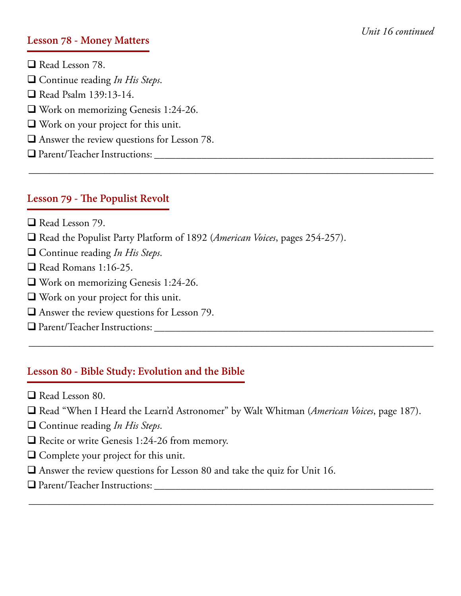#### **Lesson 78 - Money Matters**

 $\Box$  Read Lesson 78. □ Continue reading *In His Steps*.  $\Box$  Read Psalm 139:13-14.  $\Box$  Work on memorizing Genesis 1:24-26.  $\Box$  Work on your project for this unit.  $\Box$  Answer the review questions for Lesson 78. q Parent/Teacher Instructions: \_\_\_\_\_\_\_\_\_\_\_\_\_\_\_\_\_\_\_\_\_\_\_\_\_\_\_\_\_\_\_\_\_\_\_\_\_\_\_\_\_\_\_\_\_\_\_\_\_\_\_\_\_

#### **Lesson 79 - The Populist Revolt**

- $\Box$  Read Lesson 79.
- □ Read the Populist Party Platform of 1892 (*American Voices*, pages 254-257).
- □ Continue reading *In His Steps*.
- $\Box$  Read Romans 1:16-25.
- $\Box$  Work on memorizing Genesis 1:24-26.
- $\Box$  Work on your project for this unit.
- $\Box$  Answer the review questions for Lesson 79.
- q Parent/Teacher Instructions: \_\_\_\_\_\_\_\_\_\_\_\_\_\_\_\_\_\_\_\_\_\_\_\_\_\_\_\_\_\_\_\_\_\_\_\_\_\_\_\_\_\_\_\_\_\_\_\_\_\_\_\_\_

#### **Lesson 80 - Bible Study: Evolution and the Bible**

- $\Box$  Read Lesson 80.
- □ Read "When I Heard the Learn'd Astronomer" by Walt Whitman (*American Voices*, page 187).

\_\_\_\_\_\_\_\_\_\_\_\_\_\_\_\_\_\_\_\_\_\_\_\_\_\_\_\_\_\_\_\_\_\_\_\_\_\_\_\_\_\_\_\_\_\_\_\_\_\_\_\_\_\_\_\_\_\_\_\_\_\_\_\_\_\_\_\_\_\_\_\_\_\_\_\_\_\_\_\_

\_\_\_\_\_\_\_\_\_\_\_\_\_\_\_\_\_\_\_\_\_\_\_\_\_\_\_\_\_\_\_\_\_\_\_\_\_\_\_\_\_\_\_\_\_\_\_\_\_\_\_\_\_\_\_\_\_\_\_\_\_\_\_\_\_\_\_\_\_\_\_\_\_\_\_\_\_\_\_\_

- □ Continue reading *In His Steps*.
- $\Box$  Recite or write Genesis 1:24-26 from memory.
- $\Box$  Complete your project for this unit.
- $\Box$  Answer the review questions for Lesson 80 and take the quiz for Unit 16.
- q Parent/Teacher Instructions: \_\_\_\_\_\_\_\_\_\_\_\_\_\_\_\_\_\_\_\_\_\_\_\_\_\_\_\_\_\_\_\_\_\_\_\_\_\_\_\_\_\_\_\_\_\_\_\_\_\_\_\_\_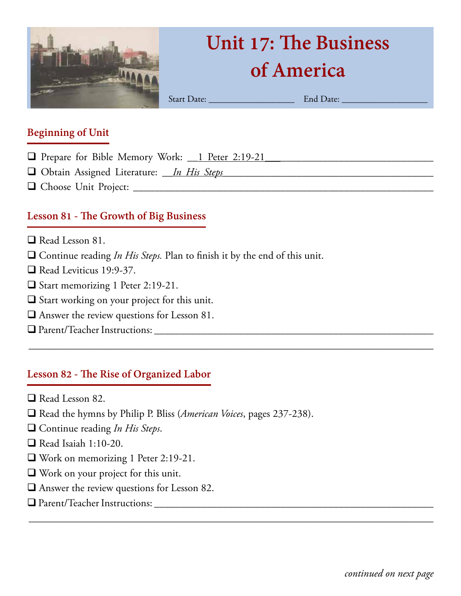

# **Unit 17: The Business of America**

Start Date: \_\_\_\_\_\_\_\_\_\_\_\_\_\_\_\_\_\_\_ End Date: \_\_\_\_\_\_\_\_\_\_\_\_\_\_\_\_\_\_\_

#### **Beginning of Unit**

- q Prepare for Bible Memory Work: \_\_1 Peter 2:19-21\_\_\_\_\_\_\_\_\_\_\_\_\_\_\_\_\_\_\_\_\_\_\_\_\_\_\_\_\_\_\_\_
- □ Obtain Assigned Literature: *\_\_In His Steps*
- q Choose Unit Project: \_\_\_\_\_\_\_\_\_\_\_\_\_\_\_\_\_\_\_\_\_\_\_\_\_\_\_\_\_\_\_\_\_\_\_\_\_\_\_\_\_\_\_\_\_\_\_\_\_\_\_\_\_\_\_\_\_

# **Lesson 81 - The Growth of Big Business**

- $\Box$  Read Lesson 81.
- □ Continue reading *In His Steps*. Plan to finish it by the end of this unit.

\_\_\_\_\_\_\_\_\_\_\_\_\_\_\_\_\_\_\_\_\_\_\_\_\_\_\_\_\_\_\_\_\_\_\_\_\_\_\_\_\_\_\_\_\_\_\_\_\_\_\_\_\_\_\_\_\_\_\_\_\_\_\_\_\_\_\_\_\_\_\_\_\_\_\_\_\_\_\_\_

\_\_\_\_\_\_\_\_\_\_\_\_\_\_\_\_\_\_\_\_\_\_\_\_\_\_\_\_\_\_\_\_\_\_\_\_\_\_\_\_\_\_\_\_\_\_\_\_\_\_\_\_\_\_\_\_\_\_\_\_\_\_\_\_\_\_\_\_\_\_\_\_\_\_\_\_\_\_\_\_

- $\Box$  Read Leviticus 19:9-37.
- $\Box$  Start memorizing 1 Peter 2:19-21.
- $\square$  Start working on your project for this unit.
- $\Box$  Answer the review questions for Lesson 81.
- q Parent/Teacher Instructions: \_\_\_\_\_\_\_\_\_\_\_\_\_\_\_\_\_\_\_\_\_\_\_\_\_\_\_\_\_\_\_\_\_\_\_\_\_\_\_\_\_\_\_\_\_\_\_\_\_\_\_\_\_

# **Lesson 82 - The Rise of Organized Labor**

- $\Box$  Read Lesson 82.
- □ Read the hymns by Philip P. Bliss (*American Voices*, pages 237-238).
- □ Continue reading *In His Steps*.
- $\Box$  Read Isaiah 1:10-20.
- $\Box$  Work on memorizing 1 Peter 2:19-21.
- $\Box$  Work on your project for this unit.
- $\Box$  Answer the review questions for Lesson 82.
- q Parent/Teacher Instructions: \_\_\_\_\_\_\_\_\_\_\_\_\_\_\_\_\_\_\_\_\_\_\_\_\_\_\_\_\_\_\_\_\_\_\_\_\_\_\_\_\_\_\_\_\_\_\_\_\_\_\_\_\_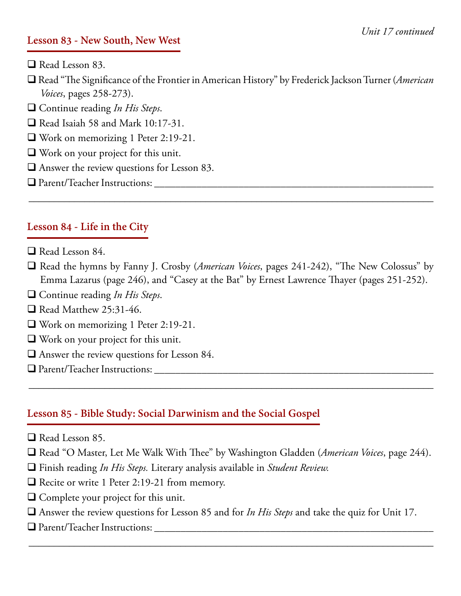#### **Lesson 83 - New South, New West**

- $\Box$  Read Lesson 83.
- □ Read "The Significance of the Frontier in American History" by Frederick Jackson Turner (*American Voices*, pages 258-273).
- □ Continue reading *In His Steps*.
- $\Box$  Read Isaiah 58 and Mark 10:17-31.
- $\Box$  Work on memorizing 1 Peter 2:19-21.
- $\Box$  Work on your project for this unit.
- $\Box$  Answer the review questions for Lesson 83.
- q Parent/Teacher Instructions: \_\_\_\_\_\_\_\_\_\_\_\_\_\_\_\_\_\_\_\_\_\_\_\_\_\_\_\_\_\_\_\_\_\_\_\_\_\_\_\_\_\_\_\_\_\_\_\_\_\_\_\_\_

#### **Lesson 84 - Life in the City**

- $\Box$  Read Lesson 84.
- □ Read the hymns by Fanny J. Crosby (*American Voices*, pages 241-242), "The New Colossus" by Emma Lazarus (page 246), and "Casey at the Bat" by Ernest Lawrence Thayer (pages 251-252).

\_\_\_\_\_\_\_\_\_\_\_\_\_\_\_\_\_\_\_\_\_\_\_\_\_\_\_\_\_\_\_\_\_\_\_\_\_\_\_\_\_\_\_\_\_\_\_\_\_\_\_\_\_\_\_\_\_\_\_\_\_\_\_\_\_\_\_\_\_\_\_\_\_\_\_\_\_\_\_\_

- □ Continue reading *In His Steps*.
- $\Box$  Read Matthew 25:31-46.
- $\Box$  Work on memorizing 1 Peter 2:19-21.
- $\Box$  Work on your project for this unit.
- $\Box$  Answer the review questions for Lesson 84.
- q Parent/Teacher Instructions: \_\_\_\_\_\_\_\_\_\_\_\_\_\_\_\_\_\_\_\_\_\_\_\_\_\_\_\_\_\_\_\_\_\_\_\_\_\_\_\_\_\_\_\_\_\_\_\_\_\_\_\_\_

#### **Lesson 85 - Bible Study: Social Darwinism and the Social Gospel**

- $\Box$  Read Lesson 85.
- □ Read "O Master, Let Me Walk With Thee" by Washington Gladden (*American Voices*, page 244).

\_\_\_\_\_\_\_\_\_\_\_\_\_\_\_\_\_\_\_\_\_\_\_\_\_\_\_\_\_\_\_\_\_\_\_\_\_\_\_\_\_\_\_\_\_\_\_\_\_\_\_\_\_\_\_\_\_\_\_\_\_\_\_\_\_\_\_\_\_\_\_\_\_\_\_\_\_\_\_\_

- q Finish reading *In His Steps.* Literary analysis available in *Student Review.*
- $\Box$  Recite or write 1 Peter 2:19-21 from memory.
- $\Box$  Complete your project for this unit.
- q Answer the review questions for Lesson 85 and for *In His Steps* and take the quiz for Unit 17.

\_\_\_\_\_\_\_\_\_\_\_\_\_\_\_\_\_\_\_\_\_\_\_\_\_\_\_\_\_\_\_\_\_\_\_\_\_\_\_\_\_\_\_\_\_\_\_\_\_\_\_\_\_\_\_\_\_\_\_\_\_\_\_\_\_\_\_\_\_\_\_\_\_\_\_\_\_\_\_\_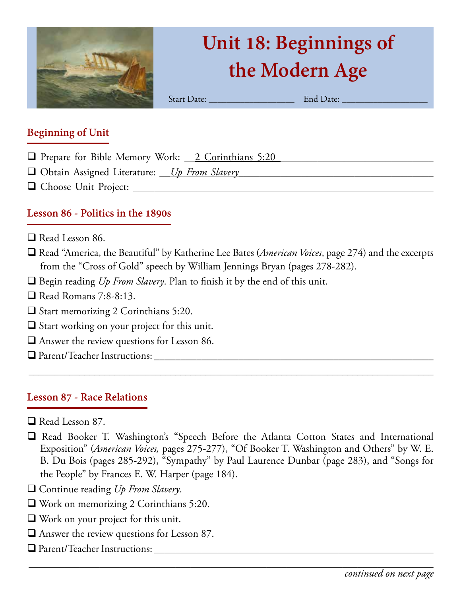

# **Unit 18: Beginnings of the Modern Age**

Start Date: \_\_\_\_\_\_\_\_\_\_\_\_\_\_\_\_\_\_\_ End Date: \_\_\_\_\_\_\_\_\_\_\_\_\_\_\_\_\_\_\_

#### **Beginning of Unit**

- **Q** Prepare for Bible Memory Work: <u>2 Corinthians 5:20</u>
- □ Obtain Assigned Literature: <u>Up From Slavery</u>
- q Choose Unit Project: \_\_\_\_\_\_\_\_\_\_\_\_\_\_\_\_\_\_\_\_\_\_\_\_\_\_\_\_\_\_\_\_\_\_\_\_\_\_\_\_\_\_\_\_\_\_\_\_\_\_\_\_\_\_\_\_\_

# **Lesson 86 - Politics in the 1890s**

- $\Box$  Read Lesson 86.
- □ Read "America, the Beautiful" by Katherine Lee Bates (*American Voices*, page 274) and the excerpts from the "Cross of Gold" speech by William Jennings Bryan (pages 278-282).
- $\Box$  Begin reading *Up From Slavery*. Plan to finish it by the end of this unit.
- $\Box$  Read Romans 7:8-8:13.
- $\Box$  Start memorizing 2 Corinthians 5:20.
- $\Box$  Start working on your project for this unit.
- $\Box$  Answer the review questions for Lesson 86.
- q Parent/Teacher Instructions: \_\_\_\_\_\_\_\_\_\_\_\_\_\_\_\_\_\_\_\_\_\_\_\_\_\_\_\_\_\_\_\_\_\_\_\_\_\_\_\_\_\_\_\_\_\_\_\_\_\_\_\_\_

# **Lesson 87 - Race Relations**

- $\Box$  Read Lesson 87.
- q Read Booker T. Washington's "Speech Before the Atlanta Cotton States and International Exposition" (*American Voices,* pages 275-277), "Of Booker T. Washington and Others" by W. E. B. Du Bois (pages 285-292), "Sympathy" by Paul Laurence Dunbar (page 283), and "Songs for the People" by Frances E. W. Harper (page 184).

- □ Continue reading *Up From Slavery*.
- $\Box$  Work on memorizing 2 Corinthians 5:20.
- $\Box$  Work on your project for this unit.
- $\Box$  Answer the review questions for Lesson 87.
- q Parent/Teacher Instructions: \_\_\_\_\_\_\_\_\_\_\_\_\_\_\_\_\_\_\_\_\_\_\_\_\_\_\_\_\_\_\_\_\_\_\_\_\_\_\_\_\_\_\_\_\_\_\_\_\_\_\_\_\_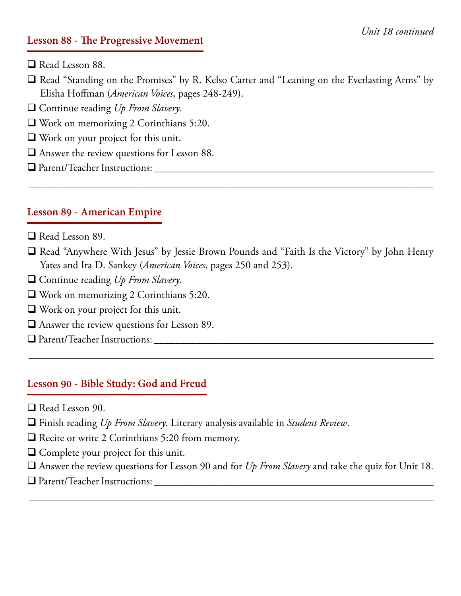#### **Lesson 88 - The Progressive Movement**

- $\Box$  Read Lesson 88.
- □ Read "Standing on the Promises" by R. Kelso Carter and "Leaning on the Everlasting Arms" by Elisha Hoffman (*American Voices*, pages 248-249).
- □ Continue reading *Up From Slavery*.
- $\Box$  Work on memorizing 2 Corinthians 5:20.
- $\Box$  Work on your project for this unit.
- $\Box$  Answer the review questions for Lesson 88.
- q Parent/Teacher Instructions: \_\_\_\_\_\_\_\_\_\_\_\_\_\_\_\_\_\_\_\_\_\_\_\_\_\_\_\_\_\_\_\_\_\_\_\_\_\_\_\_\_\_\_\_\_\_\_\_\_\_\_\_\_

#### **Lesson 89 - American Empire**

- $\Box$  Read Lesson 89.
- $\Box$  Read "Anywhere With Jesus" by Jessie Brown Pounds and "Faith Is the Victory" by John Henry Yates and Ira D. Sankey (*American Voices*, pages 250 and 253).

\_\_\_\_\_\_\_\_\_\_\_\_\_\_\_\_\_\_\_\_\_\_\_\_\_\_\_\_\_\_\_\_\_\_\_\_\_\_\_\_\_\_\_\_\_\_\_\_\_\_\_\_\_\_\_\_\_\_\_\_\_\_\_\_\_\_\_\_\_\_\_\_\_\_\_\_\_\_\_\_

\_\_\_\_\_\_\_\_\_\_\_\_\_\_\_\_\_\_\_\_\_\_\_\_\_\_\_\_\_\_\_\_\_\_\_\_\_\_\_\_\_\_\_\_\_\_\_\_\_\_\_\_\_\_\_\_\_\_\_\_\_\_\_\_\_\_\_\_\_\_\_\_\_\_\_\_\_\_\_\_

- □ Continue reading *Up From Slavery*.
- $\Box$  Work on memorizing 2 Corinthians 5:20.
- $\Box$  Work on your project for this unit.
- $\Box$  Answer the review questions for Lesson 89.
- $\Box$  Parent/Teacher Instructions:

#### **Lesson 90 - Bible Study: God and Freud**

- $\Box$  Read Lesson 90.
- q Finish reading *Up From Slavery*. Literary analysis available in *Student Review*.
- $\Box$  Recite or write 2 Corinthians 5:20 from memory.
- $\Box$  Complete your project for this unit.
- q Answer the review questions for Lesson 90 and for *Up From Slavery* and take the quiz for Unit 18.

\_\_\_\_\_\_\_\_\_\_\_\_\_\_\_\_\_\_\_\_\_\_\_\_\_\_\_\_\_\_\_\_\_\_\_\_\_\_\_\_\_\_\_\_\_\_\_\_\_\_\_\_\_\_\_\_\_\_\_\_\_\_\_\_\_\_\_\_\_\_\_\_\_\_\_\_\_\_\_\_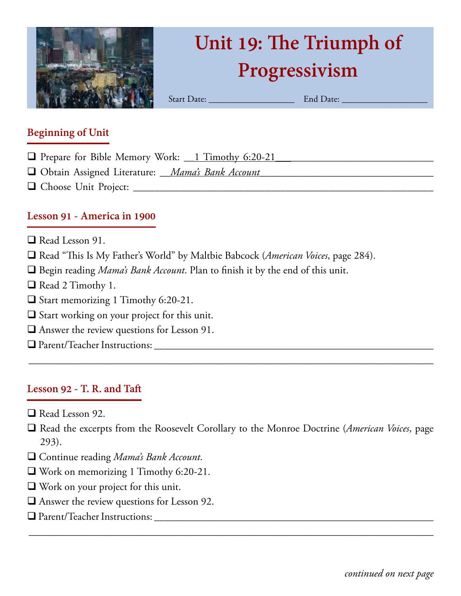

# **Unit 19: The Triumph of Progressivism**

Start Date: \_\_\_\_\_\_\_\_\_\_\_\_\_\_\_\_\_\_\_ End Date: \_\_\_\_\_\_\_\_\_\_\_\_\_\_\_\_\_\_\_

#### **Beginning of Unit**

- $\Box$  Prepare for Bible Memory Work:  $\Box$  Timothy 6:20-21
- □ Obtain Assigned Literature: *\_\_\_Mama's Bank Account*
- q Choose Unit Project: \_\_\_\_\_\_\_\_\_\_\_\_\_\_\_\_\_\_\_\_\_\_\_\_\_\_\_\_\_\_\_\_\_\_\_\_\_\_\_\_\_\_\_\_\_\_\_\_\_\_\_\_\_\_\_\_\_

#### **Lesson 91 - America in 1900**

- $\Box$  Read Lesson 91.
- □ Read "This Is My Father's World" by Maltbie Babcock (*American Voices*, page 284).
- $\Box$  Begin reading *Mama's Bank Account*. Plan to finish it by the end of this unit.
- Read 2 Timothy 1.
- $\Box$  Start memorizing 1 Timothy 6:20-21.
- $\square$  Start working on your project for this unit.
- $\Box$  Answer the review questions for Lesson 91.
- q Parent/Teacher Instructions: \_\_\_\_\_\_\_\_\_\_\_\_\_\_\_\_\_\_\_\_\_\_\_\_\_\_\_\_\_\_\_\_\_\_\_\_\_\_\_\_\_\_\_\_\_\_\_\_\_\_\_\_\_

#### **Lesson 92 - T. R. and Taft**

- $\Box$  Read Lesson 92.
- q Read the excerpts from the Roosevelt Corollary to the Monroe Doctrine (*American Voices*, page 293).

\_\_\_\_\_\_\_\_\_\_\_\_\_\_\_\_\_\_\_\_\_\_\_\_\_\_\_\_\_\_\_\_\_\_\_\_\_\_\_\_\_\_\_\_\_\_\_\_\_\_\_\_\_\_\_\_\_\_\_\_\_\_\_\_\_\_\_\_\_\_\_\_\_\_\_\_\_\_\_\_

- q Continue reading *Mama's Bank Account*.
- $\Box$  Work on memorizing 1 Timothy 6:20-21.
- $\Box$  Work on your project for this unit.
- $\Box$  Answer the review questions for Lesson 92.
- q Parent/Teacher Instructions: \_\_\_\_\_\_\_\_\_\_\_\_\_\_\_\_\_\_\_\_\_\_\_\_\_\_\_\_\_\_\_\_\_\_\_\_\_\_\_\_\_\_\_\_\_\_\_\_\_\_\_\_\_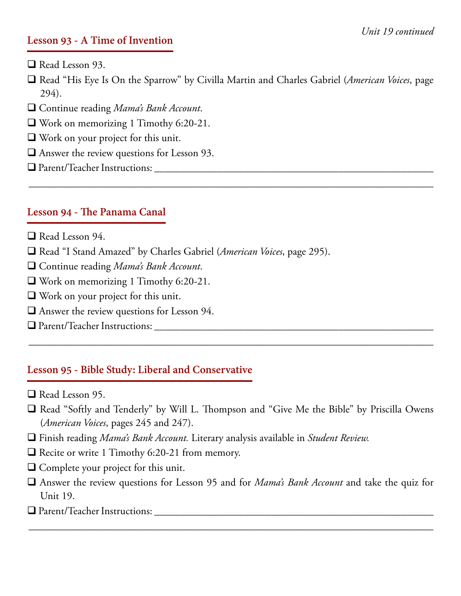#### **Lesson 93 - A Time of Invention**

- $\Box$  Read Lesson 93.
- q Read "His Eye Is On the Sparrow" by Civilla Martin and Charles Gabriel (*American Voices*, page 294).

\_\_\_\_\_\_\_\_\_\_\_\_\_\_\_\_\_\_\_\_\_\_\_\_\_\_\_\_\_\_\_\_\_\_\_\_\_\_\_\_\_\_\_\_\_\_\_\_\_\_\_\_\_\_\_\_\_\_\_\_\_\_\_\_\_\_\_\_\_\_\_\_\_\_\_\_\_\_\_\_

- □ Continue reading *Mama's Bank Account*.
- $\Box$  Work on memorizing 1 Timothy 6:20-21.
- $\Box$  Work on your project for this unit.
- $\Box$  Answer the review questions for Lesson 93.
- q Parent/Teacher Instructions: \_\_\_\_\_\_\_\_\_\_\_\_\_\_\_\_\_\_\_\_\_\_\_\_\_\_\_\_\_\_\_\_\_\_\_\_\_\_\_\_\_\_\_\_\_\_\_\_\_\_\_\_\_

#### **Lesson 94 - The Panama Canal**

- $\Box$  Read Lesson 94.
- □ Read "I Stand Amazed" by Charles Gabriel (*American Voices*, page 295).
- □ Continue reading *Mama's Bank Account*.
- $\Box$  Work on memorizing 1 Timothy 6:20-21.
- $\Box$  Work on your project for this unit.
- $\Box$  Answer the review questions for Lesson 94.
- q Parent/Teacher Instructions: \_\_\_\_\_\_\_\_\_\_\_\_\_\_\_\_\_\_\_\_\_\_\_\_\_\_\_\_\_\_\_\_\_\_\_\_\_\_\_\_\_\_\_\_\_\_\_\_\_\_\_\_\_

#### **Lesson 95 - Bible Study: Liberal and Conservative**

- $\Box$  Read Lesson 95.
- $\Box$  Read "Softly and Tenderly" by Will L. Thompson and "Give Me the Bible" by Priscilla Owens (*American Voices*, pages 245 and 247).

\_\_\_\_\_\_\_\_\_\_\_\_\_\_\_\_\_\_\_\_\_\_\_\_\_\_\_\_\_\_\_\_\_\_\_\_\_\_\_\_\_\_\_\_\_\_\_\_\_\_\_\_\_\_\_\_\_\_\_\_\_\_\_\_\_\_\_\_\_\_\_\_\_\_\_\_\_\_\_\_

- q Finish reading *Mama's Bank Account.* Literary analysis available in *Student Review.*
- $\Box$  Recite or write 1 Timothy 6:20-21 from memory.
- $\Box$  Complete your project for this unit.
- q Answer the review questions for Lesson 95 and for *Mama's Bank Account* and take the quiz for Unit 19.

\_\_\_\_\_\_\_\_\_\_\_\_\_\_\_\_\_\_\_\_\_\_\_\_\_\_\_\_\_\_\_\_\_\_\_\_\_\_\_\_\_\_\_\_\_\_\_\_\_\_\_\_\_\_\_\_\_\_\_\_\_\_\_\_\_\_\_\_\_\_\_\_\_\_\_\_\_\_\_\_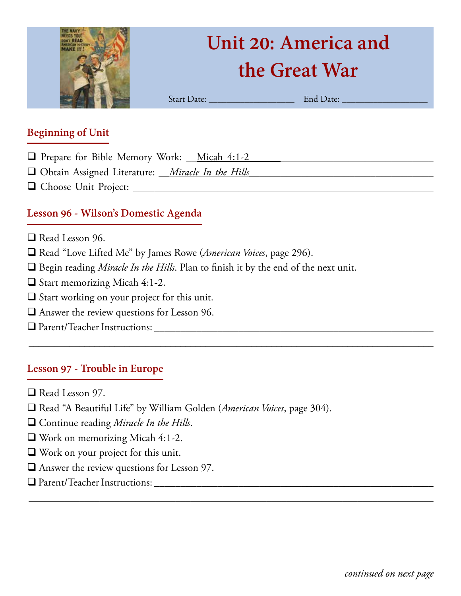

# **Unit 20: America and the Great War**

Start Date: \_\_\_\_\_\_\_\_\_\_\_\_\_\_\_\_\_\_\_ End Date: \_\_\_\_\_\_\_\_\_\_\_\_\_\_\_\_\_\_\_

#### **Beginning of Unit**

- **Q** Prepare for Bible Memory Work: <u>Micah 4:1-2</u>
- q Obtain Assigned Literature: \_\_*Miracle In the Hills\_\_\_*\_\_\_\_\_\_\_\_\_\_\_\_\_\_\_\_\_\_\_\_\_\_\_\_\_\_\_\_\_\_\_\_
- q Choose Unit Project: \_\_\_\_\_\_\_\_\_\_\_\_\_\_\_\_\_\_\_\_\_\_\_\_\_\_\_\_\_\_\_\_\_\_\_\_\_\_\_\_\_\_\_\_\_\_\_\_\_\_\_\_\_\_\_\_\_

#### **Lesson 96 - Wilson's Domestic Agenda**

- $\Box$  Read Lesson 96.
- □ Read "Love Lifted Me" by James Rowe (*American Voices*, page 296).
- $\Box$  Begin reading *Miracle In the Hills*. Plan to finish it by the end of the next unit.

\_\_\_\_\_\_\_\_\_\_\_\_\_\_\_\_\_\_\_\_\_\_\_\_\_\_\_\_\_\_\_\_\_\_\_\_\_\_\_\_\_\_\_\_\_\_\_\_\_\_\_\_\_\_\_\_\_\_\_\_\_\_\_\_\_\_\_\_\_\_\_\_\_\_\_\_\_\_\_\_

\_\_\_\_\_\_\_\_\_\_\_\_\_\_\_\_\_\_\_\_\_\_\_\_\_\_\_\_\_\_\_\_\_\_\_\_\_\_\_\_\_\_\_\_\_\_\_\_\_\_\_\_\_\_\_\_\_\_\_\_\_\_\_\_\_\_\_\_\_\_\_\_\_\_\_\_\_\_\_\_

- $\Box$  Start memorizing Micah 4:1-2.
- $\Box$  Start working on your project for this unit.
- $\Box$  Answer the review questions for Lesson 96.
- q Parent/Teacher Instructions: \_\_\_\_\_\_\_\_\_\_\_\_\_\_\_\_\_\_\_\_\_\_\_\_\_\_\_\_\_\_\_\_\_\_\_\_\_\_\_\_\_\_\_\_\_\_\_\_\_\_\_\_\_

#### **Lesson 97 - Trouble in Europe**

- $\Box$  Read Lesson 97.
- □ Read "A Beautiful Life" by William Golden (*American Voices*, page 304).
- □ Continue reading *Miracle In the Hills*.
- $\Box$  Work on memorizing Micah 4:1-2.
- $\Box$  Work on your project for this unit.
- $\Box$  Answer the review questions for Lesson 97.
- q Parent/Teacher Instructions: \_\_\_\_\_\_\_\_\_\_\_\_\_\_\_\_\_\_\_\_\_\_\_\_\_\_\_\_\_\_\_\_\_\_\_\_\_\_\_\_\_\_\_\_\_\_\_\_\_\_\_\_\_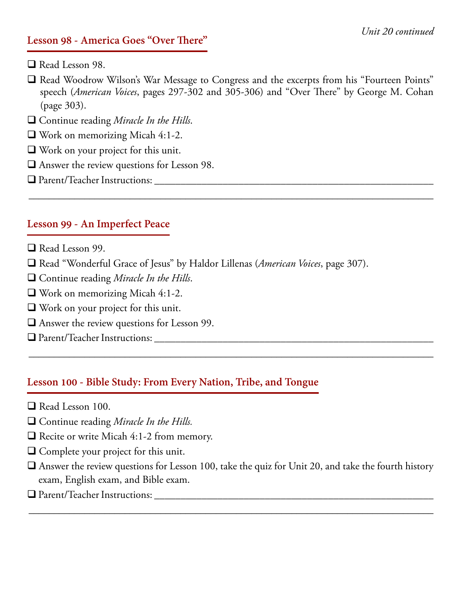#### **Lesson 98 - America Goes "Over There"**

- $\Box$  Read Lesson 98.
- q Read Woodrow Wilson's War Message to Congress and the excerpts from his "Fourteen Points" speech (*American Voices*, pages 297-302 and 305-306) and "Over There" by George M. Cohan (page 303).

\_\_\_\_\_\_\_\_\_\_\_\_\_\_\_\_\_\_\_\_\_\_\_\_\_\_\_\_\_\_\_\_\_\_\_\_\_\_\_\_\_\_\_\_\_\_\_\_\_\_\_\_\_\_\_\_\_\_\_\_\_\_\_\_\_\_\_\_\_\_\_\_\_\_\_\_\_\_\_\_

- □ Continue reading *Miracle In the Hills*.
- $\Box$  Work on memorizing Micah 4:1-2.
- $\Box$  Work on your project for this unit.
- $\Box$  Answer the review questions for Lesson 98.
- q Parent/Teacher Instructions: \_\_\_\_\_\_\_\_\_\_\_\_\_\_\_\_\_\_\_\_\_\_\_\_\_\_\_\_\_\_\_\_\_\_\_\_\_\_\_\_\_\_\_\_\_\_\_\_\_\_\_\_\_

#### **Lesson 99 - An Imperfect Peace**

- $\Box$  Read Lesson 99.
- □ Read "Wonderful Grace of Jesus" by Haldor Lillenas (*American Voices*, page 307).
- □ Continue reading *Miracle In the Hills*.
- $\Box$  Work on memorizing Micah 4:1-2.
- $\Box$  Work on your project for this unit.
- $\Box$  Answer the review questions for Lesson 99.
- q Parent/Teacher Instructions: \_\_\_\_\_\_\_\_\_\_\_\_\_\_\_\_\_\_\_\_\_\_\_\_\_\_\_\_\_\_\_\_\_\_\_\_\_\_\_\_\_\_\_\_\_\_\_\_\_\_\_\_\_

#### **Lesson 100 - Bible Study: From Every Nation, Tribe, and Tongue**

- $\Box$  Read Lesson 100.
- □ Continue reading *Miracle In the Hills*.
- $\Box$  Recite or write Micah 4:1-2 from memory.
- $\Box$  Complete your project for this unit.
- $\Box$  Answer the review questions for Lesson 100, take the quiz for Unit 20, and take the fourth history exam, English exam, and Bible exam.

\_\_\_\_\_\_\_\_\_\_\_\_\_\_\_\_\_\_\_\_\_\_\_\_\_\_\_\_\_\_\_\_\_\_\_\_\_\_\_\_\_\_\_\_\_\_\_\_\_\_\_\_\_\_\_\_\_\_\_\_\_\_\_\_\_\_\_\_\_\_\_\_\_\_\_\_\_\_\_\_

\_\_\_\_\_\_\_\_\_\_\_\_\_\_\_\_\_\_\_\_\_\_\_\_\_\_\_\_\_\_\_\_\_\_\_\_\_\_\_\_\_\_\_\_\_\_\_\_\_\_\_\_\_\_\_\_\_\_\_\_\_\_\_\_\_\_\_\_\_\_\_\_\_\_\_\_\_\_\_\_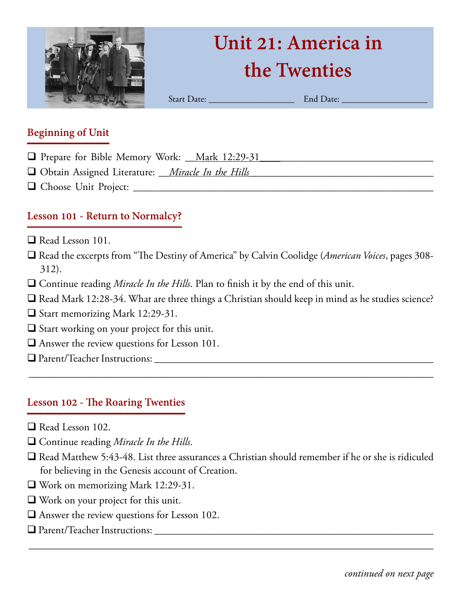

# **Unit 21: America in the Twenties**

Start Date: <u>Date:</u> End Date: **End Date:**  $\mathbb{E}$ 

#### **Beginning of Unit**

- **Q** Prepare for Bible Memory Work: <u>Mark 12:29-31</u>
- □ Obtain Assigned Literature: *\_\_\_Miracle In the Hills\_\_\_\_\_\_\_\_\_\_\_\_\_\_\_\_\_\_\_\_\_\_\_\_\_\_\_\_\_\_\_*
- q Choose Unit Project: \_\_\_\_\_\_\_\_\_\_\_\_\_\_\_\_\_\_\_\_\_\_\_\_\_\_\_\_\_\_\_\_\_\_\_\_\_\_\_\_\_\_\_\_\_\_\_\_\_\_\_\_\_\_\_\_\_

# **Lesson 101 - Return to Normalcy?**

- $\Box$  Read Lesson 101.
- q Read the excerpts from "The Destiny of America" by Calvin Coolidge (*American Voices*, pages 308- 312).
- □ Continue reading *Miracle In the Hills*. Plan to finish it by the end of this unit.
- $\Box$  Read Mark 12:28-34. What are three things a Christian should keep in mind as he studies science?

\_\_\_\_\_\_\_\_\_\_\_\_\_\_\_\_\_\_\_\_\_\_\_\_\_\_\_\_\_\_\_\_\_\_\_\_\_\_\_\_\_\_\_\_\_\_\_\_\_\_\_\_\_\_\_\_\_\_\_\_\_\_\_\_\_\_\_\_\_\_\_\_\_\_\_\_\_\_\_\_

- $\Box$  Start memorizing Mark 12:29-31.
- $\Box$  Start working on your project for this unit.
- $\Box$  Answer the review questions for Lesson 101.
- q Parent/Teacher Instructions: \_\_\_\_\_\_\_\_\_\_\_\_\_\_\_\_\_\_\_\_\_\_\_\_\_\_\_\_\_\_\_\_\_\_\_\_\_\_\_\_\_\_\_\_\_\_\_\_\_\_\_\_\_

#### **Lesson 102 - The Roaring Twenties**

- $\Box$  Read Lesson 102.
- q Continue reading *Miracle In the Hills*.
- $\Box$  Read Matthew 5:43-48. List three assurances a Christian should remember if he or she is ridiculed for believing in the Genesis account of Creation.

- $\Box$  Work on memorizing Mark 12:29-31.
- $\Box$  Work on your project for this unit.
- $\Box$  Answer the review questions for Lesson 102.
- q Parent/Teacher Instructions: \_\_\_\_\_\_\_\_\_\_\_\_\_\_\_\_\_\_\_\_\_\_\_\_\_\_\_\_\_\_\_\_\_\_\_\_\_\_\_\_\_\_\_\_\_\_\_\_\_\_\_\_\_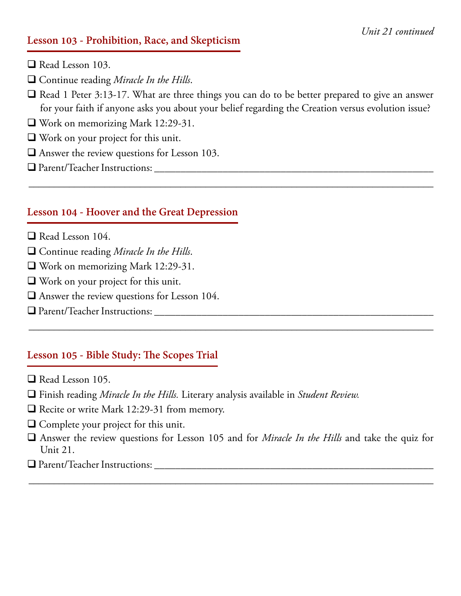#### **Lesson 103 - Prohibition, Race, and Skepticism**

- $\Box$  Read Lesson 103.
- □ Continue reading *Miracle In the Hills*.
- $\Box$  Read 1 Peter 3:13-17. What are three things you can do to be better prepared to give an answer for your faith if anyone asks you about your belief regarding the Creation versus evolution issue?

\_\_\_\_\_\_\_\_\_\_\_\_\_\_\_\_\_\_\_\_\_\_\_\_\_\_\_\_\_\_\_\_\_\_\_\_\_\_\_\_\_\_\_\_\_\_\_\_\_\_\_\_\_\_\_\_\_\_\_\_\_\_\_\_\_\_\_\_\_\_\_\_\_\_\_\_\_\_\_\_

- $\Box$  Work on memorizing Mark 12:29-31.
- $\Box$  Work on your project for this unit.
- $\Box$  Answer the review questions for Lesson 103.
- q Parent/Teacher Instructions: \_\_\_\_\_\_\_\_\_\_\_\_\_\_\_\_\_\_\_\_\_\_\_\_\_\_\_\_\_\_\_\_\_\_\_\_\_\_\_\_\_\_\_\_\_\_\_\_\_\_\_\_\_

#### **Lesson 104 - Hoover and the Great Depression**

- $\Box$  Read Lesson 104.
- □ Continue reading *Miracle In the Hills*.
- $\Box$  Work on memorizing Mark 12:29-31.
- $\Box$  Work on your project for this unit.
- $\Box$  Answer the review questions for Lesson 104.
- q Parent/Teacher Instructions: \_\_\_\_\_\_\_\_\_\_\_\_\_\_\_\_\_\_\_\_\_\_\_\_\_\_\_\_\_\_\_\_\_\_\_\_\_\_\_\_\_\_\_\_\_\_\_\_\_\_\_\_\_

#### **Lesson 105 - Bible Study: The Scopes Trial**

- $\Box$  Read Lesson 105.
- q Finish reading *Miracle In the Hills.* Literary analysis available in *Student Review.*
- $\Box$  Recite or write Mark 12:29-31 from memory.
- $\Box$  Complete your project for this unit.
- q Answer the review questions for Lesson 105 and for *Miracle In the Hills* and take the quiz for Unit 21.

\_\_\_\_\_\_\_\_\_\_\_\_\_\_\_\_\_\_\_\_\_\_\_\_\_\_\_\_\_\_\_\_\_\_\_\_\_\_\_\_\_\_\_\_\_\_\_\_\_\_\_\_\_\_\_\_\_\_\_\_\_\_\_\_\_\_\_\_\_\_\_\_\_\_\_\_\_\_\_\_

\_\_\_\_\_\_\_\_\_\_\_\_\_\_\_\_\_\_\_\_\_\_\_\_\_\_\_\_\_\_\_\_\_\_\_\_\_\_\_\_\_\_\_\_\_\_\_\_\_\_\_\_\_\_\_\_\_\_\_\_\_\_\_\_\_\_\_\_\_\_\_\_\_\_\_\_\_\_\_\_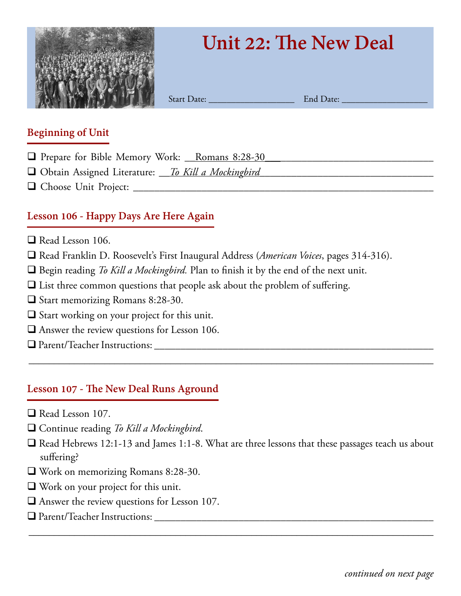

# **Unit 22: The New Deal**

Start Date: <u>End Date:</u>

#### **Beginning of Unit**

- **Q** Prepare for Bible Memory Work: <u>Romans 8:28-30</u>
- □ Obtain Assigned Literature: \_\_\_*To Kill a Mockingbird*
- q Choose Unit Project: \_\_\_\_\_\_\_\_\_\_\_\_\_\_\_\_\_\_\_\_\_\_\_\_\_\_\_\_\_\_\_\_\_\_\_\_\_\_\_\_\_\_\_\_\_\_\_\_\_\_\_\_\_\_\_\_\_

# **Lesson 106 - Happy Days Are Here Again**

- $\Box$  Read Lesson 106.
- q Read Franklin D. Roosevelt's First Inaugural Address (*American Voices*, pages 314-316).
- $\Box$  Begin reading *To Kill a Mockingbird*. Plan to finish it by the end of the next unit.
- $\Box$  List three common questions that people ask about the problem of suffering.
- $\Box$  Start memorizing Romans 8:28-30.
- $\square$  Start working on your project for this unit.
- $\Box$  Answer the review questions for Lesson 106.
- q Parent/Teacher Instructions: \_\_\_\_\_\_\_\_\_\_\_\_\_\_\_\_\_\_\_\_\_\_\_\_\_\_\_\_\_\_\_\_\_\_\_\_\_\_\_\_\_\_\_\_\_\_\_\_\_\_\_\_\_

# **Lesson 107 - The New Deal Runs Aground**

- $\Box$  Read Lesson 107.
- □ Continue reading *To Kill a Mockingbird*.
- $\Box$  Read Hebrews 12:1-13 and James 1:1-8. What are three lessons that these passages teach us about suffering?

\_\_\_\_\_\_\_\_\_\_\_\_\_\_\_\_\_\_\_\_\_\_\_\_\_\_\_\_\_\_\_\_\_\_\_\_\_\_\_\_\_\_\_\_\_\_\_\_\_\_\_\_\_\_\_\_\_\_\_\_\_\_\_\_\_\_\_\_\_\_\_\_\_\_\_\_\_\_\_\_

- $\Box$  Work on memorizing Romans 8:28-30.
- $\Box$  Work on your project for this unit.
- $\Box$  Answer the review questions for Lesson 107.
- q Parent/Teacher Instructions: \_\_\_\_\_\_\_\_\_\_\_\_\_\_\_\_\_\_\_\_\_\_\_\_\_\_\_\_\_\_\_\_\_\_\_\_\_\_\_\_\_\_\_\_\_\_\_\_\_\_\_\_\_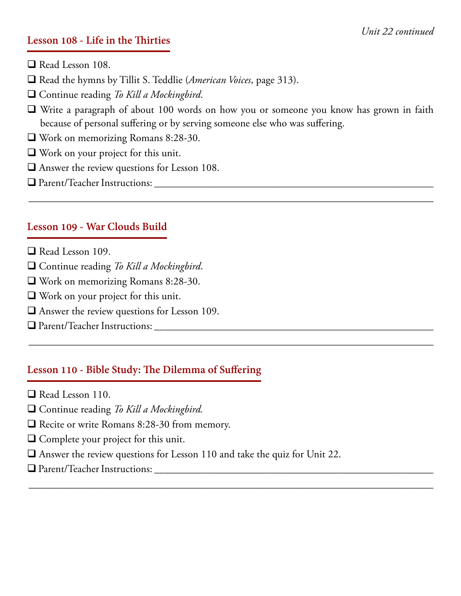#### **Lesson 108 - Life in the Thirties**

- $\Box$  Read Lesson 108.
- □ Read the hymns by Tillit S. Teddlie (*American Voices*, page 313).
- □ Continue reading *To Kill a Mockingbird*.
- $\Box$  Write a paragraph of about 100 words on how you or someone you know has grown in faith because of personal suffering or by serving someone else who was suffering.

\_\_\_\_\_\_\_\_\_\_\_\_\_\_\_\_\_\_\_\_\_\_\_\_\_\_\_\_\_\_\_\_\_\_\_\_\_\_\_\_\_\_\_\_\_\_\_\_\_\_\_\_\_\_\_\_\_\_\_\_\_\_\_\_\_\_\_\_\_\_\_\_\_\_\_\_\_\_\_\_

\_\_\_\_\_\_\_\_\_\_\_\_\_\_\_\_\_\_\_\_\_\_\_\_\_\_\_\_\_\_\_\_\_\_\_\_\_\_\_\_\_\_\_\_\_\_\_\_\_\_\_\_\_\_\_\_\_\_\_\_\_\_\_\_\_\_\_\_\_\_\_\_\_\_\_\_\_\_\_\_

\_\_\_\_\_\_\_\_\_\_\_\_\_\_\_\_\_\_\_\_\_\_\_\_\_\_\_\_\_\_\_\_\_\_\_\_\_\_\_\_\_\_\_\_\_\_\_\_\_\_\_\_\_\_\_\_\_\_\_\_\_\_\_\_\_\_\_\_\_\_\_\_\_\_\_\_\_\_\_\_

- $\Box$  Work on memorizing Romans 8:28-30.
- $\Box$  Work on your project for this unit.
- $\Box$  Answer the review questions for Lesson 108.
- q Parent/Teacher Instructions: \_\_\_\_\_\_\_\_\_\_\_\_\_\_\_\_\_\_\_\_\_\_\_\_\_\_\_\_\_\_\_\_\_\_\_\_\_\_\_\_\_\_\_\_\_\_\_\_\_\_\_\_\_

#### **Lesson 109 - War Clouds Build**

- $\Box$  Read Lesson 109.
- □ Continue reading *To Kill a Mockingbird*.
- $\Box$  Work on memorizing Romans 8:28-30.
- $\Box$  Work on your project for this unit.
- $\Box$  Answer the review questions for Lesson 109.
- q Parent/Teacher Instructions: \_\_\_\_\_\_\_\_\_\_\_\_\_\_\_\_\_\_\_\_\_\_\_\_\_\_\_\_\_\_\_\_\_\_\_\_\_\_\_\_\_\_\_\_\_\_\_\_\_\_\_\_\_

#### **Lesson 110 - Bible Study: The Dilemma of Suffering**

- $\Box$  Read Lesson 110.
- □ Continue reading *To Kill a Mockingbird.*
- $\Box$  Recite or write Romans 8:28-30 from memory.
- $\Box$  Complete your project for this unit.
- $\Box$  Answer the review questions for Lesson 110 and take the quiz for Unit 22.
- q Parent/Teacher Instructions: \_\_\_\_\_\_\_\_\_\_\_\_\_\_\_\_\_\_\_\_\_\_\_\_\_\_\_\_\_\_\_\_\_\_\_\_\_\_\_\_\_\_\_\_\_\_\_\_\_\_\_\_\_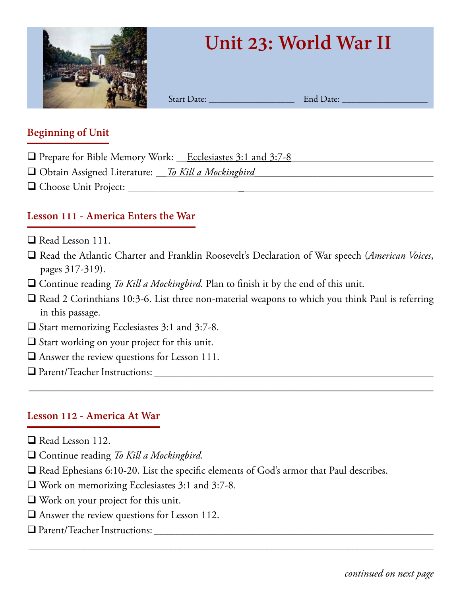

# **Unit 23: World War II**

Start Date: \_\_\_\_\_\_\_\_\_\_\_\_\_\_\_\_\_\_\_ End Date: \_\_\_\_\_\_\_\_\_\_\_\_\_\_\_\_\_\_\_

#### **Beginning of Unit**

- □ Prepare for Bible Memory Work: \_\_Ecclesiastes 3:1 and 3:7-8
- □ Obtain Assigned Literature: <u>To Kill a Mockingbird</u>
- q Choose Unit Project: \_\_\_\_\_\_\_\_\_\_\_\_\_\_\_\_\_\_\_\_\_\_\_\_\_\_\_\_\_\_\_\_\_\_\_\_\_\_\_\_\_\_\_\_\_\_\_\_\_\_\_\_\_\_\_\_\_\_

### **Lesson 111 - America Enters the War**

- $\Box$  Read Lesson 111.
- q Read the Atlantic Charter and Franklin Roosevelt's Declaration of War speech (*American Voices*, pages 317-319).
- $\Box$  Continue reading *To Kill a Mockingbird*. Plan to finish it by the end of this unit.
- $\Box$  Read 2 Corinthians 10:3-6. List three non-material weapons to which you think Paul is referring in this passage.

\_\_\_\_\_\_\_\_\_\_\_\_\_\_\_\_\_\_\_\_\_\_\_\_\_\_\_\_\_\_\_\_\_\_\_\_\_\_\_\_\_\_\_\_\_\_\_\_\_\_\_\_\_\_\_\_\_\_\_\_\_\_\_\_\_\_\_\_\_\_\_\_\_\_\_\_\_\_\_\_

\_\_\_\_\_\_\_\_\_\_\_\_\_\_\_\_\_\_\_\_\_\_\_\_\_\_\_\_\_\_\_\_\_\_\_\_\_\_\_\_\_\_\_\_\_\_\_\_\_\_\_\_\_\_\_\_\_\_\_\_\_\_\_\_\_\_\_\_\_\_\_\_\_\_\_\_\_\_\_\_

- $\Box$  Start memorizing Ecclesiastes 3:1 and 3:7-8.
- $\Box$  Start working on your project for this unit.
- $\Box$  Answer the review questions for Lesson 111.
- q Parent/Teacher Instructions: \_\_\_\_\_\_\_\_\_\_\_\_\_\_\_\_\_\_\_\_\_\_\_\_\_\_\_\_\_\_\_\_\_\_\_\_\_\_\_\_\_\_\_\_\_\_\_\_\_\_\_\_\_

#### **Lesson 112 - America At War**

- $\Box$  Read Lesson 112.
- □ Continue reading *To Kill a Mockingbird*.
- $\Box$  Read Ephesians 6:10-20. List the specific elements of God's armor that Paul describes.
- $\Box$  Work on memorizing Ecclesiastes 3:1 and 3:7-8.
- $\Box$  Work on your project for this unit.
- $\Box$  Answer the review questions for Lesson 112.
- $\Box$  Parent/Teacher Instructions: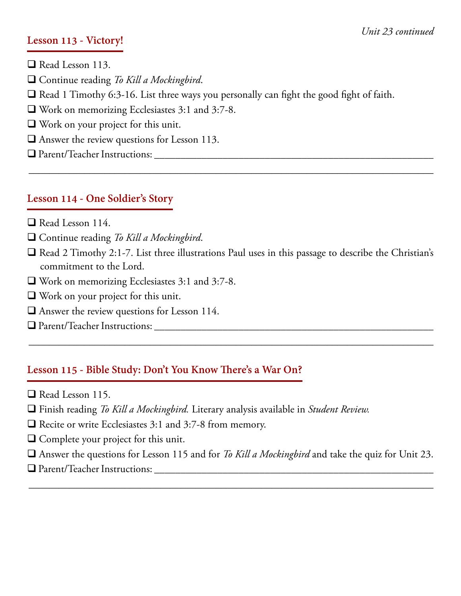#### **Lesson 113 - Victory!**

- $\Box$  Read Lesson 113.
- □ Continue reading *To Kill a Mockingbird*.
- $\Box$  Read 1 Timothy 6:3-16. List three ways you personally can fight the good fight of faith.
- $\Box$  Work on memorizing Ecclesiastes 3:1 and 3:7-8.
- $\Box$  Work on your project for this unit.
- $\Box$  Answer the review questions for Lesson 113.
- q Parent/Teacher Instructions: \_\_\_\_\_\_\_\_\_\_\_\_\_\_\_\_\_\_\_\_\_\_\_\_\_\_\_\_\_\_\_\_\_\_\_\_\_\_\_\_\_\_\_\_\_\_\_\_\_\_\_\_\_

#### **Lesson 114 - One Soldier's Story**

- $\Box$  Read Lesson 114.
- □ Continue reading *To Kill a Mockingbird*.
- $\Box$  Read 2 Timothy 2:1-7. List three illustrations Paul uses in this passage to describe the Christian's commitment to the Lord.

\_\_\_\_\_\_\_\_\_\_\_\_\_\_\_\_\_\_\_\_\_\_\_\_\_\_\_\_\_\_\_\_\_\_\_\_\_\_\_\_\_\_\_\_\_\_\_\_\_\_\_\_\_\_\_\_\_\_\_\_\_\_\_\_\_\_\_\_\_\_\_\_\_\_\_\_\_\_\_\_

\_\_\_\_\_\_\_\_\_\_\_\_\_\_\_\_\_\_\_\_\_\_\_\_\_\_\_\_\_\_\_\_\_\_\_\_\_\_\_\_\_\_\_\_\_\_\_\_\_\_\_\_\_\_\_\_\_\_\_\_\_\_\_\_\_\_\_\_\_\_\_\_\_\_\_\_\_\_\_\_

- $\Box$  Work on memorizing Ecclesiastes 3:1 and 3:7-8.
- $\Box$  Work on your project for this unit.
- $\Box$  Answer the review questions for Lesson 114.
- q Parent/Teacher Instructions: \_\_\_\_\_\_\_\_\_\_\_\_\_\_\_\_\_\_\_\_\_\_\_\_\_\_\_\_\_\_\_\_\_\_\_\_\_\_\_\_\_\_\_\_\_\_\_\_\_\_\_\_\_

#### **Lesson 115 - Bible Study: Don't You Know There's a War On?**

- $\Box$  Read Lesson 115.
- q Finish reading *To Kill a Mockingbird.* Literary analysis available in *Student Review.*
- $\Box$  Recite or write Ecclesiastes 3:1 and 3:7-8 from memory.
- $\Box$  Complete your project for this unit.
- q Answer the questions for Lesson 115 and for *To Kill a Mockingbird* and take the quiz for Unit 23.

\_\_\_\_\_\_\_\_\_\_\_\_\_\_\_\_\_\_\_\_\_\_\_\_\_\_\_\_\_\_\_\_\_\_\_\_\_\_\_\_\_\_\_\_\_\_\_\_\_\_\_\_\_\_\_\_\_\_\_\_\_\_\_\_\_\_\_\_\_\_\_\_\_\_\_\_\_\_\_\_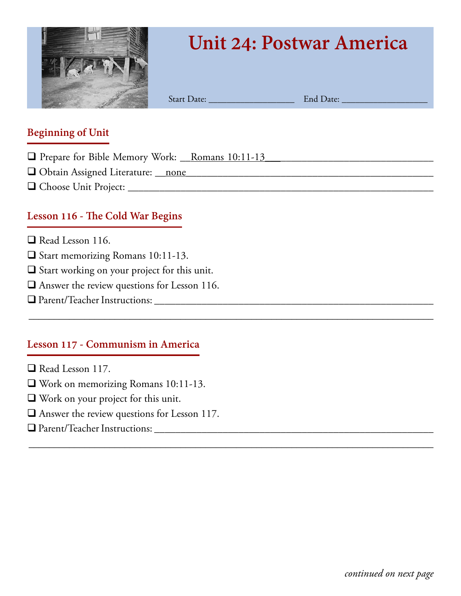

# **Unit 24: Postwar America**

Start Date: \_\_\_\_\_\_\_\_\_\_\_\_\_\_\_\_\_\_\_ End Date: \_\_\_\_\_\_\_\_\_\_\_\_\_\_\_\_\_\_\_

\_\_\_\_\_\_\_\_\_\_\_\_\_\_\_\_\_\_\_\_\_\_\_\_\_\_\_\_\_\_\_\_\_\_\_\_\_\_\_\_\_\_\_\_\_\_\_\_\_\_\_\_\_\_\_\_\_\_\_\_\_\_\_\_\_\_\_\_\_\_\_\_\_\_\_\_\_\_\_\_

\_\_\_\_\_\_\_\_\_\_\_\_\_\_\_\_\_\_\_\_\_\_\_\_\_\_\_\_\_\_\_\_\_\_\_\_\_\_\_\_\_\_\_\_\_\_\_\_\_\_\_\_\_\_\_\_\_\_\_\_\_\_\_\_\_\_\_\_\_\_\_\_\_\_\_\_\_\_\_\_

#### **Beginning of Unit**

- □ Prepare for Bible Memory Work: <u>\_\_Romans 10:11-13</u>
- q Obtain Assigned Literature: \_\_none*\_\_\_\_\_\_\_\_\_\_\_\_\_*\_\_\_\_\_\_\_\_\_\_\_\_\_\_\_\_\_\_\_\_\_\_\_\_\_\_\_\_\_\_\_\_\_\_
- q Choose Unit Project: \_\_\_\_\_\_\_\_\_\_\_\_\_\_\_\_\_\_\_\_\_\_\_\_\_\_\_\_\_\_\_\_\_\_\_\_\_\_\_\_\_\_\_\_\_\_\_\_\_\_\_\_\_\_\_\_\_\_

### **Lesson 116 - The Cold War Begins**

- $\Box$  Read Lesson 116.
- □ Start memorizing Romans 10:11-13.
- $\Box$  Start working on your project for this unit.
- $\Box$  Answer the review questions for Lesson 116.
- q Parent/Teacher Instructions: \_\_\_\_\_\_\_\_\_\_\_\_\_\_\_\_\_\_\_\_\_\_\_\_\_\_\_\_\_\_\_\_\_\_\_\_\_\_\_\_\_\_\_\_\_\_\_\_\_\_\_\_\_

#### **Lesson 117 - Communism in America**

- $\Box$  Read Lesson 117.
- $\Box$  Work on memorizing Romans 10:11-13.
- $\Box$  Work on your project for this unit.
- $\Box$  Answer the review questions for Lesson 117.
- q Parent/Teacher Instructions: \_\_\_\_\_\_\_\_\_\_\_\_\_\_\_\_\_\_\_\_\_\_\_\_\_\_\_\_\_\_\_\_\_\_\_\_\_\_\_\_\_\_\_\_\_\_\_\_\_\_\_\_\_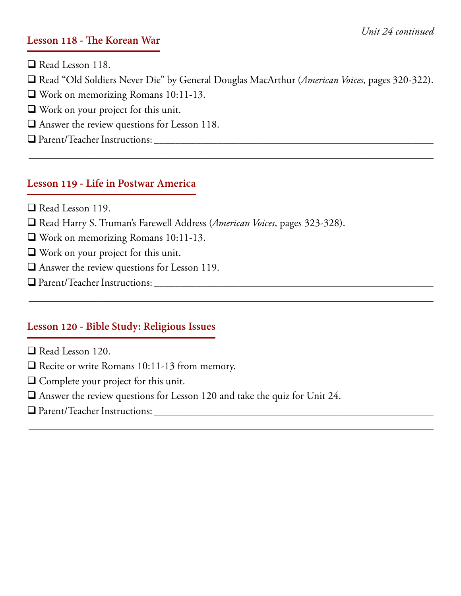#### **Lesson 118 - The Korean War**

 $\Box$  Read Lesson 118.

q Read "Old Soldiers Never Die" by General Douglas MacArthur (*American Voices*, pages 320-322).

\_\_\_\_\_\_\_\_\_\_\_\_\_\_\_\_\_\_\_\_\_\_\_\_\_\_\_\_\_\_\_\_\_\_\_\_\_\_\_\_\_\_\_\_\_\_\_\_\_\_\_\_\_\_\_\_\_\_\_\_\_\_\_\_\_\_\_\_\_\_\_\_\_\_\_\_\_\_\_\_

\_\_\_\_\_\_\_\_\_\_\_\_\_\_\_\_\_\_\_\_\_\_\_\_\_\_\_\_\_\_\_\_\_\_\_\_\_\_\_\_\_\_\_\_\_\_\_\_\_\_\_\_\_\_\_\_\_\_\_\_\_\_\_\_\_\_\_\_\_\_\_\_\_\_\_\_\_\_\_\_

\_\_\_\_\_\_\_\_\_\_\_\_\_\_\_\_\_\_\_\_\_\_\_\_\_\_\_\_\_\_\_\_\_\_\_\_\_\_\_\_\_\_\_\_\_\_\_\_\_\_\_\_\_\_\_\_\_\_\_\_\_\_\_\_\_\_\_\_\_\_\_\_\_\_\_\_\_\_\_\_

- $\Box$  Work on memorizing Romans 10:11-13.
- $\Box$  Work on your project for this unit.
- $\Box$  Answer the review questions for Lesson 118.
- q Parent/Teacher Instructions: \_\_\_\_\_\_\_\_\_\_\_\_\_\_\_\_\_\_\_\_\_\_\_\_\_\_\_\_\_\_\_\_\_\_\_\_\_\_\_\_\_\_\_\_\_\_\_\_\_\_\_\_\_

#### **Lesson 119 - Life in Postwar America**

- $\Box$  Read Lesson 119.
- q Read Harry S. Truman's Farewell Address (*American Voices*, pages 323-328).
- $\Box$  Work on memorizing Romans 10:11-13.
- $\Box$  Work on your project for this unit.
- $\Box$  Answer the review questions for Lesson 119.
- q Parent/Teacher Instructions: \_\_\_\_\_\_\_\_\_\_\_\_\_\_\_\_\_\_\_\_\_\_\_\_\_\_\_\_\_\_\_\_\_\_\_\_\_\_\_\_\_\_\_\_\_\_\_\_\_\_\_\_\_

# **Lesson 120 - Bible Study: Religious Issues**

- $\Box$  Read Lesson 120.
- $\Box$  Recite or write Romans 10:11-13 from memory.
- $\Box$  Complete your project for this unit.
- $\Box$  Answer the review questions for Lesson 120 and take the quiz for Unit 24.
- q Parent/Teacher Instructions: \_\_\_\_\_\_\_\_\_\_\_\_\_\_\_\_\_\_\_\_\_\_\_\_\_\_\_\_\_\_\_\_\_\_\_\_\_\_\_\_\_\_\_\_\_\_\_\_\_\_\_\_\_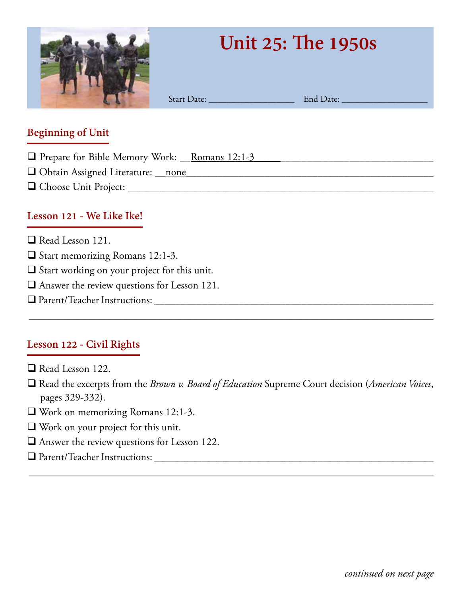

# **Unit 25: The 1950s**

Start Date: \_\_\_\_\_\_\_\_\_\_\_\_\_\_\_\_\_\_\_ End Date: \_\_\_\_\_\_\_\_\_\_\_\_\_\_\_\_\_\_\_

#### **Beginning of Unit**

- □ Prepare for Bible Memory Work: <u>Romans 12:1-3</u>
- q Obtain Assigned Literature: \_\_none*\_\_\_\_\_\_\_\_\_\_\_\_\_*\_\_\_\_\_\_\_\_\_\_\_\_\_\_\_\_\_\_\_\_\_\_\_\_\_\_\_\_\_\_\_\_\_\_
- q Choose Unit Project: \_\_\_\_\_\_\_\_\_\_\_\_\_\_\_\_\_\_\_\_\_\_\_\_\_\_\_\_\_\_\_\_\_\_\_\_\_\_\_\_\_\_\_\_\_\_\_\_\_\_\_\_\_\_\_\_\_\_

# **Lesson 121 - We Like Ike!**

- $\Box$  Read Lesson 121.
- $\Box$  Start memorizing Romans 12:1-3.
- $\Box$  Start working on your project for this unit.
- $\Box$  Answer the review questions for Lesson 121.
- q Parent/Teacher Instructions: \_\_\_\_\_\_\_\_\_\_\_\_\_\_\_\_\_\_\_\_\_\_\_\_\_\_\_\_\_\_\_\_\_\_\_\_\_\_\_\_\_\_\_\_\_\_\_\_\_\_\_\_\_

# **Lesson 122 - Civil Rights**

- $\Box$  Read Lesson 122.
- q Read the excerpts from the *Brown v. Board of Education* Supreme Court decision (*American Voices*, pages 329-332).

\_\_\_\_\_\_\_\_\_\_\_\_\_\_\_\_\_\_\_\_\_\_\_\_\_\_\_\_\_\_\_\_\_\_\_\_\_\_\_\_\_\_\_\_\_\_\_\_\_\_\_\_\_\_\_\_\_\_\_\_\_\_\_\_\_\_\_\_\_\_\_\_\_\_\_\_\_\_\_\_

- $\Box$  Work on memorizing Romans 12:1-3.
- $\Box$  Work on your project for this unit.
- $\Box$  Answer the review questions for Lesson 122.
- $\Box$  Parent/Teacher Instructions: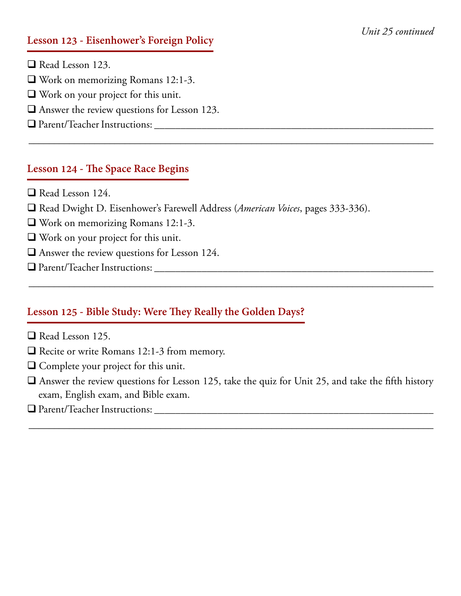#### *Unit 25 continued*

#### **Lesson 123 - Eisenhower's Foreign Policy**

- $\Box$  Read Lesson 123.
- $\Box$  Work on memorizing Romans 12:1-3.
- $\Box$  Work on your project for this unit.
- $\Box$  Answer the review questions for Lesson 123.
- q Parent/Teacher Instructions: \_\_\_\_\_\_\_\_\_\_\_\_\_\_\_\_\_\_\_\_\_\_\_\_\_\_\_\_\_\_\_\_\_\_\_\_\_\_\_\_\_\_\_\_\_\_\_\_\_\_\_\_\_

#### **Lesson 124 - The Space Race Begins**

- $\Box$  Read Lesson 124.
- q Read Dwight D. Eisenhower's Farewell Address (*American Voices*, pages 333-336).

\_\_\_\_\_\_\_\_\_\_\_\_\_\_\_\_\_\_\_\_\_\_\_\_\_\_\_\_\_\_\_\_\_\_\_\_\_\_\_\_\_\_\_\_\_\_\_\_\_\_\_\_\_\_\_\_\_\_\_\_\_\_\_\_\_\_\_\_\_\_\_\_\_\_\_\_\_\_\_\_

- $\Box$  Work on memorizing Romans 12:1-3.
- $\Box$  Work on your project for this unit.
- $\Box$  Answer the review questions for Lesson 124.
- q Parent/Teacher Instructions: \_\_\_\_\_\_\_\_\_\_\_\_\_\_\_\_\_\_\_\_\_\_\_\_\_\_\_\_\_\_\_\_\_\_\_\_\_\_\_\_\_\_\_\_\_\_\_\_\_\_\_\_\_

#### **Lesson 125 - Bible Study: Were They Really the Golden Days?**

- Read Lesson 125.
- $\Box$  Recite or write Romans 12:1-3 from memory.
- $\Box$  Complete your project for this unit.
- $\Box$  Answer the review questions for Lesson 125, take the quiz for Unit 25, and take the fifth history exam, English exam, and Bible exam.

\_\_\_\_\_\_\_\_\_\_\_\_\_\_\_\_\_\_\_\_\_\_\_\_\_\_\_\_\_\_\_\_\_\_\_\_\_\_\_\_\_\_\_\_\_\_\_\_\_\_\_\_\_\_\_\_\_\_\_\_\_\_\_\_\_\_\_\_\_\_\_\_\_\_\_\_\_\_\_\_

\_\_\_\_\_\_\_\_\_\_\_\_\_\_\_\_\_\_\_\_\_\_\_\_\_\_\_\_\_\_\_\_\_\_\_\_\_\_\_\_\_\_\_\_\_\_\_\_\_\_\_\_\_\_\_\_\_\_\_\_\_\_\_\_\_\_\_\_\_\_\_\_\_\_\_\_\_\_\_\_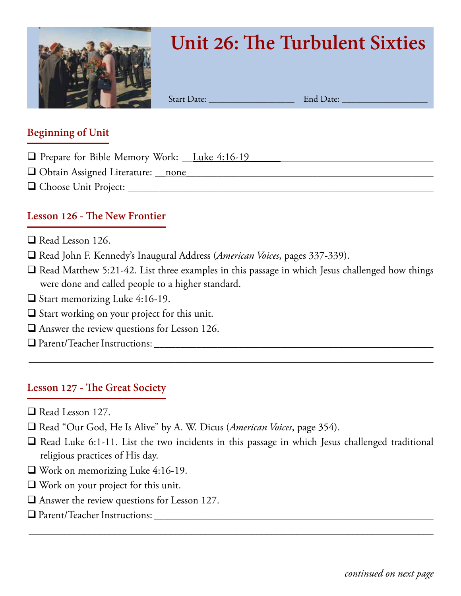

# **Unit 26: The Turbulent Sixties**

Start Date: \_\_\_\_\_\_\_\_\_\_\_\_\_\_\_\_\_\_\_ End Date: \_\_\_\_\_\_\_\_\_\_\_\_\_\_\_\_\_\_\_

#### **Beginning of Unit**

- **Q** Prepare for Bible Memory Work: Luke 4:16-19
- $\Box$  Obtain Assigned Literature: <u>\_\_none</u>
- q Choose Unit Project: \_\_\_\_\_\_\_\_\_\_\_\_\_\_\_\_\_\_\_\_\_\_\_\_\_\_\_\_\_\_\_\_\_\_\_\_\_\_\_\_\_\_\_\_\_\_\_\_\_\_\_\_\_\_\_\_\_\_

### **Lesson 126 - The New Frontier**

- $\Box$  Read Lesson 126.
- q Read John F. Kennedy's Inaugural Address (*American Voices*, pages 337-339).
- $\Box$  Read Matthew 5:21-42. List three examples in this passage in which Jesus challenged how things were done and called people to a higher standard.

\_\_\_\_\_\_\_\_\_\_\_\_\_\_\_\_\_\_\_\_\_\_\_\_\_\_\_\_\_\_\_\_\_\_\_\_\_\_\_\_\_\_\_\_\_\_\_\_\_\_\_\_\_\_\_\_\_\_\_\_\_\_\_\_\_\_\_\_\_\_\_\_\_\_\_\_\_\_\_\_

- $\Box$  Start memorizing Luke 4:16-19.
- $\Box$  Start working on your project for this unit.
- $\Box$  Answer the review questions for Lesson 126.
- q Parent/Teacher Instructions: \_\_\_\_\_\_\_\_\_\_\_\_\_\_\_\_\_\_\_\_\_\_\_\_\_\_\_\_\_\_\_\_\_\_\_\_\_\_\_\_\_\_\_\_\_\_\_\_\_\_\_\_\_

#### **Lesson 127 - The Great Society**

- $\Box$  Read Lesson 127.
- □ Read "Our God, He Is Alive" by A. W. Dicus (*American Voices*, page 354).
- $\Box$  Read Luke 6:1-11. List the two incidents in this passage in which Jesus challenged traditional religious practices of His day.

- $\Box$  Work on memorizing Luke 4:16-19.
- $\Box$  Work on your project for this unit.
- $\Box$  Answer the review questions for Lesson 127.
- q Parent/Teacher Instructions: \_\_\_\_\_\_\_\_\_\_\_\_\_\_\_\_\_\_\_\_\_\_\_\_\_\_\_\_\_\_\_\_\_\_\_\_\_\_\_\_\_\_\_\_\_\_\_\_\_\_\_\_\_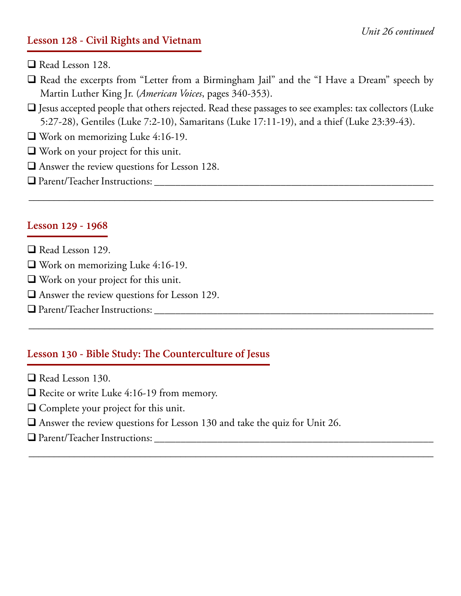#### *Unit 26 continued*

#### **Lesson 128 - Civil Rights and Vietnam**

- $\Box$  Read Lesson 128.
- $\Box$  Read the excerpts from "Letter from a Birmingham Jail" and the "I Have a Dream" speech by Martin Luther King Jr. (*American Voices*, pages 340-353).
- $\Box$  Jesus accepted people that others rejected. Read these passages to see examples: tax collectors (Luke 5:27-28), Gentiles (Luke 7:2-10), Samaritans (Luke 17:11-19), and a thief (Luke 23:39-43).

\_\_\_\_\_\_\_\_\_\_\_\_\_\_\_\_\_\_\_\_\_\_\_\_\_\_\_\_\_\_\_\_\_\_\_\_\_\_\_\_\_\_\_\_\_\_\_\_\_\_\_\_\_\_\_\_\_\_\_\_\_\_\_\_\_\_\_\_\_\_\_\_\_\_\_\_\_\_\_\_

\_\_\_\_\_\_\_\_\_\_\_\_\_\_\_\_\_\_\_\_\_\_\_\_\_\_\_\_\_\_\_\_\_\_\_\_\_\_\_\_\_\_\_\_\_\_\_\_\_\_\_\_\_\_\_\_\_\_\_\_\_\_\_\_\_\_\_\_\_\_\_\_\_\_\_\_\_\_\_\_

\_\_\_\_\_\_\_\_\_\_\_\_\_\_\_\_\_\_\_\_\_\_\_\_\_\_\_\_\_\_\_\_\_\_\_\_\_\_\_\_\_\_\_\_\_\_\_\_\_\_\_\_\_\_\_\_\_\_\_\_\_\_\_\_\_\_\_\_\_\_\_\_\_\_\_\_\_\_\_\_

- $\Box$  Work on memorizing Luke 4:16-19.
- $\Box$  Work on your project for this unit.
- $\Box$  Answer the review questions for Lesson 128.
- q Parent/Teacher Instructions: \_\_\_\_\_\_\_\_\_\_\_\_\_\_\_\_\_\_\_\_\_\_\_\_\_\_\_\_\_\_\_\_\_\_\_\_\_\_\_\_\_\_\_\_\_\_\_\_\_\_\_\_\_

#### **Lesson 129 - 1968**

- $\Box$  Read Lesson 129.
- $\Box$  Work on memorizing Luke 4:16-19.
- $\Box$  Work on your project for this unit.
- $\Box$  Answer the review questions for Lesson 129.
- q Parent/Teacher Instructions: \_\_\_\_\_\_\_\_\_\_\_\_\_\_\_\_\_\_\_\_\_\_\_\_\_\_\_\_\_\_\_\_\_\_\_\_\_\_\_\_\_\_\_\_\_\_\_\_\_\_\_\_\_

#### **Lesson 130 - Bible Study: The Counterculture of Jesus**

- $\Box$  Read Lesson 130.
- $\Box$  Recite or write Luke 4:16-19 from memory.
- $\Box$  Complete your project for this unit.
- $\Box$  Answer the review questions for Lesson 130 and take the quiz for Unit 26.
- q Parent/Teacher Instructions: \_\_\_\_\_\_\_\_\_\_\_\_\_\_\_\_\_\_\_\_\_\_\_\_\_\_\_\_\_\_\_\_\_\_\_\_\_\_\_\_\_\_\_\_\_\_\_\_\_\_\_\_\_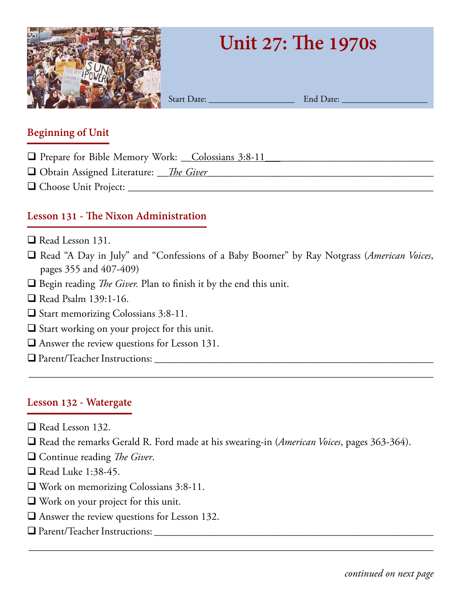

# **Unit 27: The 1970s**

Start Date: \_\_\_\_\_\_\_\_\_\_\_\_\_\_\_\_\_\_\_ End Date: \_\_\_\_\_\_\_\_\_\_\_\_\_\_\_\_\_\_\_

### **Beginning of Unit**

- □ Prepare for Bible Memory Work: Colossians 3:8-11
- □ Obtain Assigned Literature: <u>The Giver</u>
- q Choose Unit Project: \_\_\_\_\_\_\_\_\_\_\_\_\_\_\_\_\_\_\_\_\_\_\_\_\_\_\_\_\_\_\_\_\_\_\_\_\_\_\_\_\_\_\_\_\_\_\_\_\_\_\_\_\_\_\_\_\_\_

# **Lesson 131 - The Nixon Administration**

- $\Box$  Read Lesson 131.
- q Read "A Day in July" and "Confessions of a Baby Boomer" by Ray Notgrass (*American Voices*, pages 355 and 407-409)

\_\_\_\_\_\_\_\_\_\_\_\_\_\_\_\_\_\_\_\_\_\_\_\_\_\_\_\_\_\_\_\_\_\_\_\_\_\_\_\_\_\_\_\_\_\_\_\_\_\_\_\_\_\_\_\_\_\_\_\_\_\_\_\_\_\_\_\_\_\_\_\_\_\_\_\_\_\_\_\_

- $\Box$  Begin reading *The Giver*. Plan to finish it by the end this unit.
- $\Box$  Read Psalm 139:1-16.
- $\Box$  Start memorizing Colossians 3:8-11.
- $\Box$  Start working on your project for this unit.
- $\Box$  Answer the review questions for Lesson 131.
- q Parent/Teacher Instructions: \_\_\_\_\_\_\_\_\_\_\_\_\_\_\_\_\_\_\_\_\_\_\_\_\_\_\_\_\_\_\_\_\_\_\_\_\_\_\_\_\_\_\_\_\_\_\_\_\_\_\_\_\_

# **Lesson 132 - Watergate**

- $\Box$  Read Lesson 132.
- □ Read the remarks Gerald R. Ford made at his swearing-in (*American Voices*, pages 363-364).

- □ Continue reading *The Giver*.
- $\Box$  Read Luke 1:38-45.
- $\Box$  Work on memorizing Colossians 3:8-11.
- $\Box$  Work on your project for this unit.
- $\Box$  Answer the review questions for Lesson 132.
- q Parent/Teacher Instructions: \_\_\_\_\_\_\_\_\_\_\_\_\_\_\_\_\_\_\_\_\_\_\_\_\_\_\_\_\_\_\_\_\_\_\_\_\_\_\_\_\_\_\_\_\_\_\_\_\_\_\_\_\_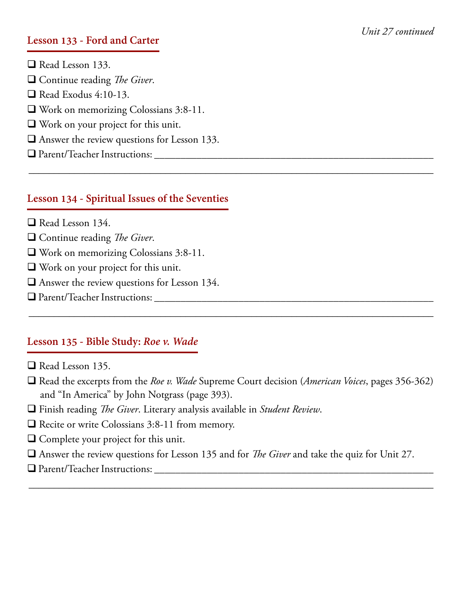#### **Lesson 133 - Ford and Carter**

 $\Box$  Read Lesson 133. q Continue reading *The Giver*.  $\Box$  Read Exodus 4:10-13.  $\Box$  Work on memorizing Colossians 3:8-11.  $\Box$  Work on your project for this unit.  $\Box$  Answer the review questions for Lesson 133. q Parent/Teacher Instructions: \_\_\_\_\_\_\_\_\_\_\_\_\_\_\_\_\_\_\_\_\_\_\_\_\_\_\_\_\_\_\_\_\_\_\_\_\_\_\_\_\_\_\_\_\_\_\_\_\_\_\_\_\_ \_\_\_\_\_\_\_\_\_\_\_\_\_\_\_\_\_\_\_\_\_\_\_\_\_\_\_\_\_\_\_\_\_\_\_\_\_\_\_\_\_\_\_\_\_\_\_\_\_\_\_\_\_\_\_\_\_\_\_\_\_\_\_\_\_\_\_\_\_\_\_\_\_\_\_\_\_\_\_\_

#### **Lesson 134 - Spiritual Issues of the Seventies**

- $\Box$  Read Lesson 134.
- □ Continue reading *The Giver*.
- $\Box$  Work on memorizing Colossians 3:8-11.
- $\Box$  Work on your project for this unit.
- $\Box$  Answer the review questions for Lesson 134.
- q Parent/Teacher Instructions: \_\_\_\_\_\_\_\_\_\_\_\_\_\_\_\_\_\_\_\_\_\_\_\_\_\_\_\_\_\_\_\_\_\_\_\_\_\_\_\_\_\_\_\_\_\_\_\_\_\_\_\_\_

#### **Lesson 135 - Bible Study:** *Roe v. Wade*

- $\Box$  Read Lesson 135.
- □ Read the excerpts from the *Roe v. Wade* Supreme Court decision (*American Voices*, pages 356-362) and "In America" by John Notgrass (page 393).

\_\_\_\_\_\_\_\_\_\_\_\_\_\_\_\_\_\_\_\_\_\_\_\_\_\_\_\_\_\_\_\_\_\_\_\_\_\_\_\_\_\_\_\_\_\_\_\_\_\_\_\_\_\_\_\_\_\_\_\_\_\_\_\_\_\_\_\_\_\_\_\_\_\_\_\_\_\_\_\_

- q Finish reading *The Giver*. Literary analysis available in *Student Review*.
- $\Box$  Recite or write Colossians 3:8-11 from memory.
- $\Box$  Complete your project for this unit.
- q Answer the review questions for Lesson 135 and for *The Giver* and take the quiz for Unit 27.

\_\_\_\_\_\_\_\_\_\_\_\_\_\_\_\_\_\_\_\_\_\_\_\_\_\_\_\_\_\_\_\_\_\_\_\_\_\_\_\_\_\_\_\_\_\_\_\_\_\_\_\_\_\_\_\_\_\_\_\_\_\_\_\_\_\_\_\_\_\_\_\_\_\_\_\_\_\_\_\_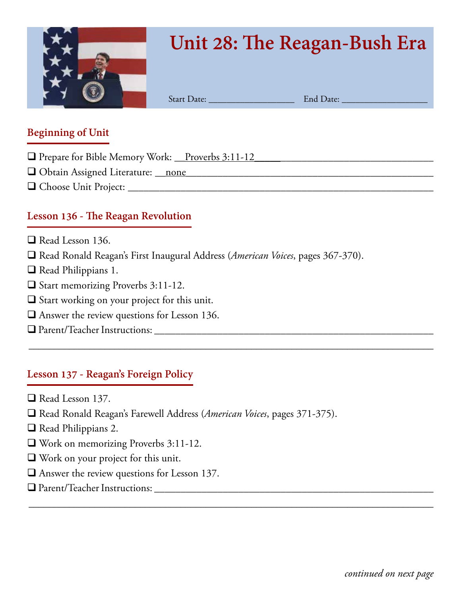

# **Unit 28: The Reagan-Bush Era**

Start Date: \_\_\_\_\_\_\_\_\_\_\_\_\_\_\_\_\_\_\_ End Date: \_\_\_\_\_\_\_\_\_\_\_\_\_\_\_\_\_\_\_

#### **Beginning of Unit**

- □ Prepare for Bible Memory Work: \_\_Proverbs 3:11-12
- q Obtain Assigned Literature: \_\_none*\_\_\_\_\_\_\_\_\_\_\_\_\_*\_\_\_\_\_\_\_\_\_\_\_\_\_\_\_\_\_\_\_\_\_\_\_\_\_\_\_\_\_\_\_\_\_\_
- q Choose Unit Project: \_\_\_\_\_\_\_\_\_\_\_\_\_\_\_\_\_\_\_\_\_\_\_\_\_\_\_\_\_\_\_\_\_\_\_\_\_\_\_\_\_\_\_\_\_\_\_\_\_\_\_\_\_\_\_\_\_\_

# **Lesson 136 - The Reagan Revolution**

- $\Box$  Read Lesson 136.
- q Read Ronald Reagan's First Inaugural Address (*American Voices*, pages 367-370).

\_\_\_\_\_\_\_\_\_\_\_\_\_\_\_\_\_\_\_\_\_\_\_\_\_\_\_\_\_\_\_\_\_\_\_\_\_\_\_\_\_\_\_\_\_\_\_\_\_\_\_\_\_\_\_\_\_\_\_\_\_\_\_\_\_\_\_\_\_\_\_\_\_\_\_\_\_\_\_\_

\_\_\_\_\_\_\_\_\_\_\_\_\_\_\_\_\_\_\_\_\_\_\_\_\_\_\_\_\_\_\_\_\_\_\_\_\_\_\_\_\_\_\_\_\_\_\_\_\_\_\_\_\_\_\_\_\_\_\_\_\_\_\_\_\_\_\_\_\_\_\_\_\_\_\_\_\_\_\_\_

- $\Box$  Read Philippians 1.
- $\Box$  Start memorizing Proverbs 3:11-12.
- $\square$  Start working on your project for this unit.
- $\Box$  Answer the review questions for Lesson 136.
- q Parent/Teacher Instructions: \_\_\_\_\_\_\_\_\_\_\_\_\_\_\_\_\_\_\_\_\_\_\_\_\_\_\_\_\_\_\_\_\_\_\_\_\_\_\_\_\_\_\_\_\_\_\_\_\_\_\_\_\_

# **Lesson 137 - Reagan's Foreign Policy**

- $\Box$  Read Lesson 137.
- □ Read Ronald Reagan's Farewell Address (*American Voices*, pages 371-375).
- $\Box$  Read Philippians 2.
- $\Box$  Work on memorizing Proverbs 3:11-12.
- $\Box$  Work on your project for this unit.
- $\Box$  Answer the review questions for Lesson 137.
- q Parent/Teacher Instructions: \_\_\_\_\_\_\_\_\_\_\_\_\_\_\_\_\_\_\_\_\_\_\_\_\_\_\_\_\_\_\_\_\_\_\_\_\_\_\_\_\_\_\_\_\_\_\_\_\_\_\_\_\_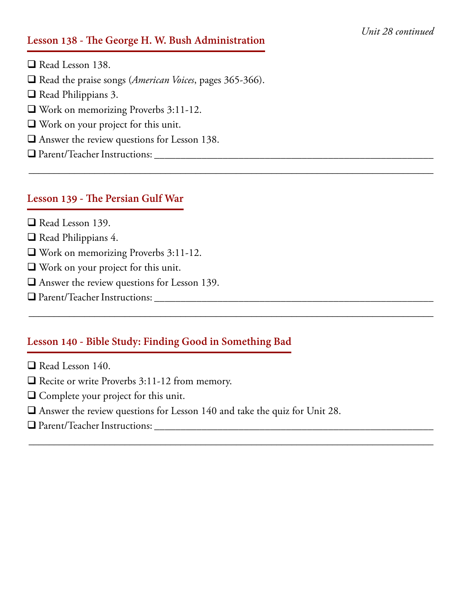#### *Unit 28 continued*

#### **Lesson 138 - The George H. W. Bush Administration**

 $\Box$  Read Lesson 138.

□ Read the praise songs (*American Voices*, pages 365-366).

- $\Box$  Read Philippians 3.
- $\Box$  Work on memorizing Proverbs 3:11-12.
- $\Box$  Work on your project for this unit.
- $\Box$  Answer the review questions for Lesson 138.
- q Parent/Teacher Instructions: \_\_\_\_\_\_\_\_\_\_\_\_\_\_\_\_\_\_\_\_\_\_\_\_\_\_\_\_\_\_\_\_\_\_\_\_\_\_\_\_\_\_\_\_\_\_\_\_\_\_\_\_\_

#### **Lesson 139 - The Persian Gulf War**

- $\Box$  Read Lesson 139.
- Read Philippians 4.
- $\Box$  Work on memorizing Proverbs 3:11-12.
- $\Box$  Work on your project for this unit.
- $\Box$  Answer the review questions for Lesson 139.
- q Parent/Teacher Instructions: \_\_\_\_\_\_\_\_\_\_\_\_\_\_\_\_\_\_\_\_\_\_\_\_\_\_\_\_\_\_\_\_\_\_\_\_\_\_\_\_\_\_\_\_\_\_\_\_\_\_\_\_\_

#### **Lesson 140 - Bible Study: Finding Good in Something Bad**

- $\Box$  Read Lesson 140.
- $\Box$  Recite or write Proverbs 3:11-12 from memory.
- $\Box$  Complete your project for this unit.
- $\Box$  Answer the review questions for Lesson 140 and take the quiz for Unit 28.

\_\_\_\_\_\_\_\_\_\_\_\_\_\_\_\_\_\_\_\_\_\_\_\_\_\_\_\_\_\_\_\_\_\_\_\_\_\_\_\_\_\_\_\_\_\_\_\_\_\_\_\_\_\_\_\_\_\_\_\_\_\_\_\_\_\_\_\_\_\_\_\_\_\_\_\_\_\_\_\_

\_\_\_\_\_\_\_\_\_\_\_\_\_\_\_\_\_\_\_\_\_\_\_\_\_\_\_\_\_\_\_\_\_\_\_\_\_\_\_\_\_\_\_\_\_\_\_\_\_\_\_\_\_\_\_\_\_\_\_\_\_\_\_\_\_\_\_\_\_\_\_\_\_\_\_\_\_\_\_\_

\_\_\_\_\_\_\_\_\_\_\_\_\_\_\_\_\_\_\_\_\_\_\_\_\_\_\_\_\_\_\_\_\_\_\_\_\_\_\_\_\_\_\_\_\_\_\_\_\_\_\_\_\_\_\_\_\_\_\_\_\_\_\_\_\_\_\_\_\_\_\_\_\_\_\_\_\_\_\_\_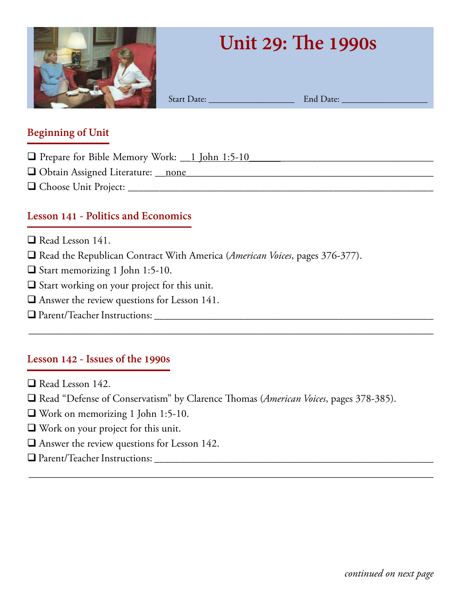

# **Unit 29: The 1990s**

Start Date: \_\_\_\_\_\_\_\_\_\_\_\_\_\_\_\_\_\_\_ End Date: \_\_\_\_\_\_\_\_\_\_\_\_\_\_\_\_\_\_\_

#### **Beginning of Unit**

- $\Box$  Prepare for Bible Memory Work: \_\_1 John 1:5-10
- q Obtain Assigned Literature: \_\_none*\_\_\_\_\_\_\_\_\_\_\_\_\_*\_\_\_\_\_\_\_\_\_\_\_\_\_\_\_\_\_\_\_\_\_\_\_\_\_\_\_\_\_\_\_\_\_\_
- q Choose Unit Project: \_\_\_\_\_\_\_\_\_\_\_\_\_\_\_\_\_\_\_\_\_\_\_\_\_\_\_\_\_\_\_\_\_\_\_\_\_\_\_\_\_\_\_\_\_\_\_\_\_\_\_\_\_\_\_\_\_\_

### **Lesson 141 - Politics and Economics**

- $\Box$  Read Lesson 141.
- □ Read the Republican Contract With America (*American Voices*, pages 376-377).
- □ Start memorizing 1 John 1:5-10.
- $\Box$  Start working on your project for this unit.
- $\Box$  Answer the review questions for Lesson 141.
- q Parent/Teacher Instructions: \_\_\_\_\_\_\_\_\_\_\_\_\_\_\_\_\_\_\_\_\_\_\_\_\_\_\_\_\_\_\_\_\_\_\_\_\_\_\_\_\_\_\_\_\_\_\_\_\_\_\_\_\_

#### **Lesson 142 - Issues of the 1990s**

- $\Box$  Read Lesson 142.
- □ Read "Defense of Conservatism" by Clarence Thomas (*American Voices*, pages 378-385).

\_\_\_\_\_\_\_\_\_\_\_\_\_\_\_\_\_\_\_\_\_\_\_\_\_\_\_\_\_\_\_\_\_\_\_\_\_\_\_\_\_\_\_\_\_\_\_\_\_\_\_\_\_\_\_\_\_\_\_\_\_\_\_\_\_\_\_\_\_\_\_\_\_\_\_\_\_\_\_\_

- $\Box$  Work on memorizing 1 John 1:5-10.
- $\Box$  Work on your project for this unit.
- $\Box$  Answer the review questions for Lesson 142.
- q Parent/Teacher Instructions: \_\_\_\_\_\_\_\_\_\_\_\_\_\_\_\_\_\_\_\_\_\_\_\_\_\_\_\_\_\_\_\_\_\_\_\_\_\_\_\_\_\_\_\_\_\_\_\_\_\_\_\_\_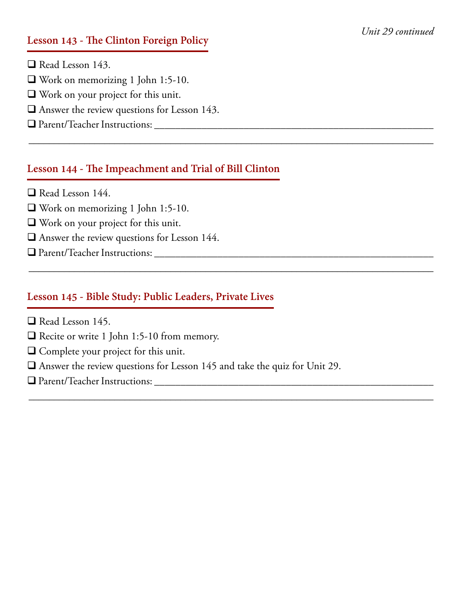#### *Unit 29 continued*

#### **Lesson 143 - The Clinton Foreign Policy**

- $\Box$  Read Lesson 143.
- $\Box$  Work on memorizing 1 John 1:5-10.
- $\Box$  Work on your project for this unit.
- $\Box$  Answer the review questions for Lesson 143.
- q Parent/Teacher Instructions: \_\_\_\_\_\_\_\_\_\_\_\_\_\_\_\_\_\_\_\_\_\_\_\_\_\_\_\_\_\_\_\_\_\_\_\_\_\_\_\_\_\_\_\_\_\_\_\_\_\_\_\_\_

#### **Lesson 144 - The Impeachment and Trial of Bill Clinton**

\_\_\_\_\_\_\_\_\_\_\_\_\_\_\_\_\_\_\_\_\_\_\_\_\_\_\_\_\_\_\_\_\_\_\_\_\_\_\_\_\_\_\_\_\_\_\_\_\_\_\_\_\_\_\_\_\_\_\_\_\_\_\_\_\_\_\_\_\_\_\_\_\_\_\_\_\_\_\_\_

\_\_\_\_\_\_\_\_\_\_\_\_\_\_\_\_\_\_\_\_\_\_\_\_\_\_\_\_\_\_\_\_\_\_\_\_\_\_\_\_\_\_\_\_\_\_\_\_\_\_\_\_\_\_\_\_\_\_\_\_\_\_\_\_\_\_\_\_\_\_\_\_\_\_\_\_\_\_\_\_

\_\_\_\_\_\_\_\_\_\_\_\_\_\_\_\_\_\_\_\_\_\_\_\_\_\_\_\_\_\_\_\_\_\_\_\_\_\_\_\_\_\_\_\_\_\_\_\_\_\_\_\_\_\_\_\_\_\_\_\_\_\_\_\_\_\_\_\_\_\_\_\_\_\_\_\_\_\_\_\_

- $\Box$  Read Lesson 144.
- $\Box$  Work on memorizing 1 John 1:5-10.
- $\Box$  Work on your project for this unit.
- $\Box$  Answer the review questions for Lesson 144.
- q Parent/Teacher Instructions: \_\_\_\_\_\_\_\_\_\_\_\_\_\_\_\_\_\_\_\_\_\_\_\_\_\_\_\_\_\_\_\_\_\_\_\_\_\_\_\_\_\_\_\_\_\_\_\_\_\_\_\_\_

#### **Lesson 145 - Bible Study: Public Leaders, Private Lives**

- $\Box$  Read Lesson 145.
- $\Box$  Recite or write 1 John 1:5-10 from memory.
- $\Box$  Complete your project for this unit.
- $\Box$  Answer the review questions for Lesson 145 and take the quiz for Unit 29.
- q Parent/Teacher Instructions: \_\_\_\_\_\_\_\_\_\_\_\_\_\_\_\_\_\_\_\_\_\_\_\_\_\_\_\_\_\_\_\_\_\_\_\_\_\_\_\_\_\_\_\_\_\_\_\_\_\_\_\_\_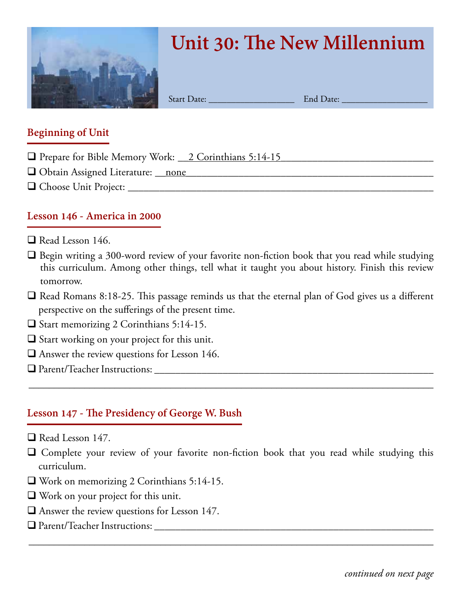

# **Unit 30: The New Millennium**

Start Date: \_\_\_\_\_\_\_\_\_\_\_\_\_\_\_\_\_\_\_ End Date: \_\_\_\_\_\_\_\_\_\_\_\_\_\_\_\_\_\_\_

#### **Beginning of Unit**

- $\Box$  Prepare for Bible Memory Work:  $\angle$  2 Corinthians 5:14-15
- q Obtain Assigned Literature: \_\_none*\_\_\_\_\_\_\_\_\_\_\_\_\_*\_\_\_\_\_\_\_\_\_\_\_\_\_\_\_\_\_\_\_\_\_\_\_\_\_\_\_\_\_\_\_\_\_\_
- q Choose Unit Project: \_\_\_\_\_\_\_\_\_\_\_\_\_\_\_\_\_\_\_\_\_\_\_\_\_\_\_\_\_\_\_\_\_\_\_\_\_\_\_\_\_\_\_\_\_\_\_\_\_\_\_\_\_\_\_\_\_\_

#### **Lesson 146 - America in 2000**

- $\Box$  Read Lesson 146.
- $\Box$  Begin writing a 300-word review of your favorite non-fiction book that you read while studying this curriculum. Among other things, tell what it taught you about history. Finish this review tomorrow.
- $\Box$  Read Romans 8:18-25. This passage reminds us that the eternal plan of God gives us a different perspective on the sufferings of the present time.
- $\Box$  Start memorizing 2 Corinthians 5:14-15.
- $\Box$  Start working on your project for this unit.
- $\Box$  Answer the review questions for Lesson 146.
- q Parent/Teacher Instructions: \_\_\_\_\_\_\_\_\_\_\_\_\_\_\_\_\_\_\_\_\_\_\_\_\_\_\_\_\_\_\_\_\_\_\_\_\_\_\_\_\_\_\_\_\_\_\_\_\_\_\_\_\_

#### **Lesson 147 - The Presidency of George W. Bush**

- $\Box$  Read Lesson 147.
- $\Box$  Complete your review of your favorite non-fiction book that you read while studying this curriculum.

\_\_\_\_\_\_\_\_\_\_\_\_\_\_\_\_\_\_\_\_\_\_\_\_\_\_\_\_\_\_\_\_\_\_\_\_\_\_\_\_\_\_\_\_\_\_\_\_\_\_\_\_\_\_\_\_\_\_\_\_\_\_\_\_\_\_\_\_\_\_\_\_\_\_\_\_\_\_\_\_

- $\Box$  Work on memorizing 2 Corinthians 5:14-15.
- $\Box$  Work on your project for this unit.
- $\Box$  Answer the review questions for Lesson 147.
- q Parent/Teacher Instructions: \_\_\_\_\_\_\_\_\_\_\_\_\_\_\_\_\_\_\_\_\_\_\_\_\_\_\_\_\_\_\_\_\_\_\_\_\_\_\_\_\_\_\_\_\_\_\_\_\_\_\_\_\_